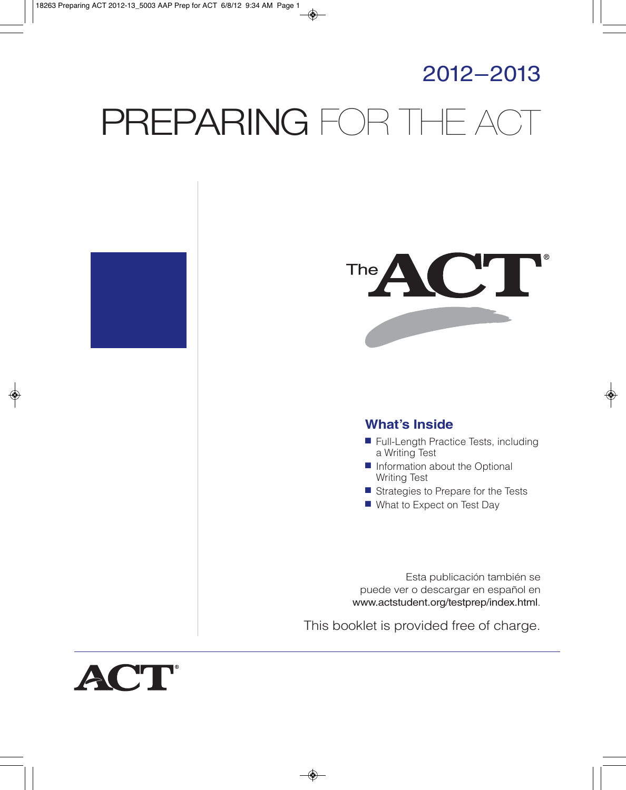## 2012–2013

# PREPARING FOR THE ACT





## **What's Inside**

- Full-Length Practice Tests, including a Writing Test
- Information about the Optional Writing Test
- Strategies to Prepare for the Tests
- What to Expect on Test Day

Esta publicación también se puede ver o descargar en español en www.actstudent.org/testprep/index.html.

This booklet is provided free of charge.

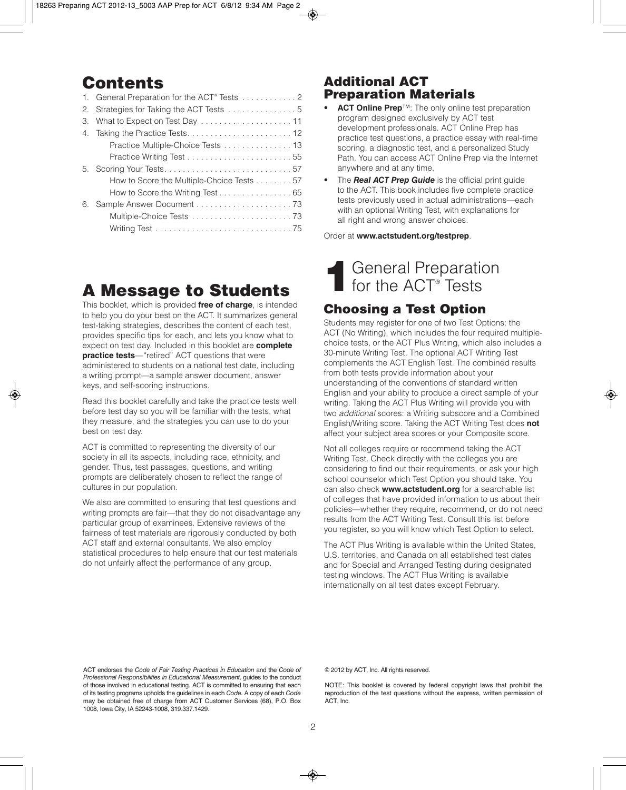## **Contents**

| 1. General Preparation for the ACT® Tests 2 |
|---------------------------------------------|
| 2. Strategies for Taking the ACT Tests  5   |
| 3. What to Expect on Test Day  11           |
|                                             |
| Practice Multiple-Choice Tests 13           |
|                                             |
| 5. Scoring Your Tests57                     |
| How to Score the Multiple-Choice Tests 57   |
| How to Score the Writing Test 65            |
|                                             |
|                                             |
|                                             |

## **A Message to Students**

This booklet, which is provided **free of charge**, is intended to help you do your best on the ACT. It summarizes general test-taking strategies, describes the content of each test, provides specific tips for each, and lets you know what to expect on test day. Included in this booklet are **complete practice tests**—"retired" ACT questions that were administered to students on a national test date, including a writing prompt—a sample answer document, answer keys, and self-scoring instructions.

Read this booklet carefully and take the practice tests well before test day so you will be familiar with the tests, what they measure, and the strategies you can use to do your best on test day.

ACT is committed to representing the diversity of our society in all its aspects, including race, ethnicity, and gender. Thus, test passages, questions, and writing prompts are deliberately chosen to reflect the range of cultures in our population.

We also are committed to ensuring that test questions and writing prompts are fair—that they do not disadvantage any particular group of examinees. Extensive reviews of the fairness of test materials are rigorously conducted by both ACT staff and external consultants. We also employ statistical procedures to help ensure that our test materials do not unfairly affect the performance of any group.

## **Additional ACT Preparation Materials**

- **ACT Online Prep**™: The only online test preparation program designed exclusively by ACT test development professionals. ACT Online Prep has practice test questions, a practice essay with real-time scoring, a diagnostic test, and a personalized Study Path. You can access ACT Online Prep via the Internet anywhere and at any time.
- The **Real ACT Prep Guide** is the official print guide to the ACT. This book includes five complete practice tests previously used in actual administrations—each with an optional Writing Test, with explanations for all right and wrong answer choices.

Order at **www.actstudent.org/testprep**.

**1** General Preparation<br>
for the ACT® Tests

## **Choosing a Test Option**

Students may register for one of two Test Options: the ACT (No Writing), which includes the four required multiplechoice tests, or the ACT Plus Writing, which also includes a 30-minute Writing Test. The optional ACT Writing Test complements the ACT English Test. The combined results from both tests provide information about your understanding of the conventions of standard written English and your ability to produce a direct sample of your writing. Taking the ACT Plus Writing will provide you with two additional scores: a Writing subscore and a Combined English/Writing score. Taking the ACT Writing Test does **not** affect your subject area scores or your Composite score.

Not all colleges require or recommend taking the ACT Writing Test. Check directly with the colleges you are considering to find out their requirements, or ask your high school counselor which Test Option you should take. You can also check **www.actstudent.org** for a searchable list of colleges that have provided information to us about their policies—whether they require, recommend, or do not need results from the ACT Writing Test. Consult this list before you register, so you will know which Test Option to select.

The ACT Plus Writing is available within the United States, U.S. territories, and Canada on all established test dates and for Special and Arranged Testing during designated testing windows. The ACT Plus Writing is available internationally on all test dates except February.

ACT endorses the *Code of Fair Testing Practices in Education* and the *Code of Professional Responsibilities in Educational Measurement,* guides to the conduct of those involved in educational testing. ACT is committed to ensuring that each of its testing programs upholds the guidelines in each *Code.* A copy of each *Code* may be obtained free of charge from ACT Customer Services (68), P.O. Box 1008, Iowa City, IA 52243-1008, 319.337.1429.

© 2012 by ACT, Inc. All rights reserved.

NOTE: This booklet is covered by federal copyright laws that prohibit the reproduction of the test questions without the express, written permission of ACT, Inc.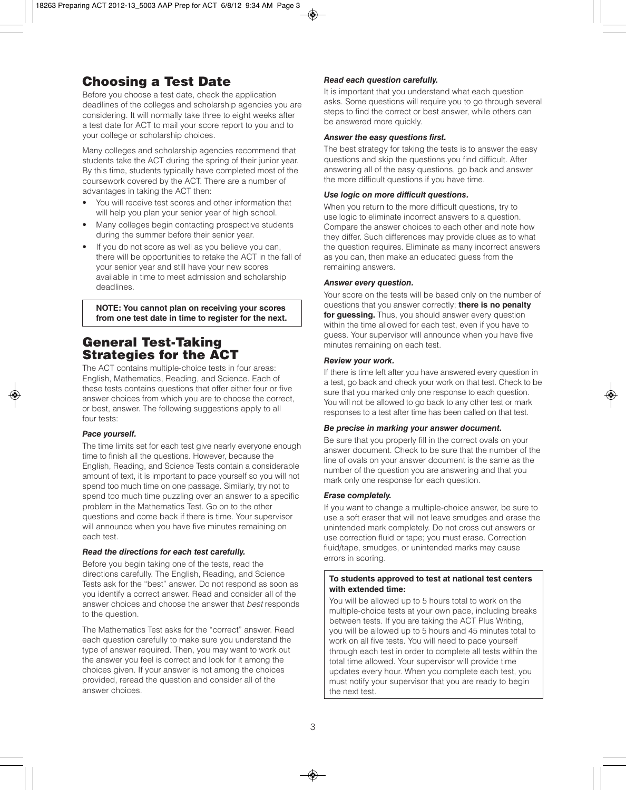## **Choosing a Test Date**

Before you choose a test date, check the application deadlines of the colleges and scholarship agencies you are considering. It will normally take three to eight weeks after a test date for ACT to mail your score report to you and to your college or scholarship choices.

Many colleges and scholarship agencies recommend that students take the ACT during the spring of their junior year. By this time, students typically have completed most of the coursework covered by the ACT. There are a number of advantages in taking the ACT then:

- You will receive test scores and other information that will help you plan your senior year of high school.
- Many colleges begin contacting prospective students during the summer before their senior year.
- If you do not score as well as you believe you can, there will be opportunities to retake the ACT in the fall of your senior year and still have your new scores available in time to meet admission and scholarship deadlines.

**NOTE: You cannot plan on receiving your scores from one test date in time to register for the next.**

## **General Test-Taking Strategies for the ACT**

The ACT contains multiple-choice tests in four areas: English, Mathematics, Reading, and Science. Each of these tests contains questions that offer either four or five answer choices from which you are to choose the correct, or best, answer. The following suggestions apply to all four tests:

#### *Pace yourself.*

The time limits set for each test give nearly everyone enough time to finish all the questions. However, because the English, Reading, and Science Tests contain a considerable amount of text, it is important to pace yourself so you will not spend too much time on one passage. Similarly, try not to spend too much time puzzling over an answer to a specific problem in the Mathematics Test. Go on to the other questions and come back if there is time. Your supervisor will announce when you have five minutes remaining on each test.

#### *Read the directions for each test carefully.*

Before you begin taking one of the tests, read the directions carefully. The English, Reading, and Science Tests ask for the "best" answer. Do not respond as soon as you identify a correct answer. Read and consider all of the answer choices and choose the answer that best responds to the question.

The Mathematics Test asks for the "correct" answer. Read each question carefully to make sure you understand the type of answer required. Then, you may want to work out the answer you feel is correct and look for it among the choices given. If your answer is not among the choices provided, reread the question and consider all of the answer choices.

#### *Read each question carefully.*

It is important that you understand what each question asks. Some questions will require you to go through several steps to find the correct or best answer, while others can be answered more quickly.

#### *Answer the easy questions first.*

The best strategy for taking the tests is to answer the easy questions and skip the questions you find difficult. After answering all of the easy questions, go back and answer the more difficult questions if you have time.

#### *Use logic on more difficult questions.*

When you return to the more difficult questions, try to use logic to eliminate incorrect answers to a question. Compare the answer choices to each other and note how they differ. Such differences may provide clues as to what the question requires. Eliminate as many incorrect answers as you can, then make an educated guess from the remaining answers.

#### *Answer every question.*

Your score on the tests will be based only on the number of questions that you answer correctly; **there is no penalty** for guessing. Thus, you should answer every question within the time allowed for each test, even if you have to guess. Your supervisor will announce when you have five minutes remaining on each test.

#### *Review your work.*

If there is time left after you have answered every question in a test, go back and check your work on that test. Check to be sure that you marked only one response to each question. You will not be allowed to go back to any other test or mark responses to a test after time has been called on that test.

#### *Be precise in marking your answer document.*

Be sure that you properly fill in the correct ovals on your answer document. Check to be sure that the number of the line of ovals on your answer document is the same as the number of the question you are answering and that you mark only one response for each question.

#### *Erase completely.*

If you want to change a multiple-choice answer, be sure to use a soft eraser that will not leave smudges and erase the unintended mark completely. Do not cross out answers or use correction fluid or tape; you must erase. Correction fluid/tape, smudges, or unintended marks may cause errors in scoring.

#### **To students approved to test at national test centers with extended time:**

You will be allowed up to 5 hours total to work on the multiple-choice tests at your own pace, including breaks between tests. If you are taking the ACT Plus Writing, you will be allowed up to 5 hours and 45 minutes total to work on all five tests. You will need to pace yourself through each test in order to complete all tests within the total time allowed. Your supervisor will provide time updates every hour. When you complete each test, you must notify your supervisor that you are ready to begin the next test.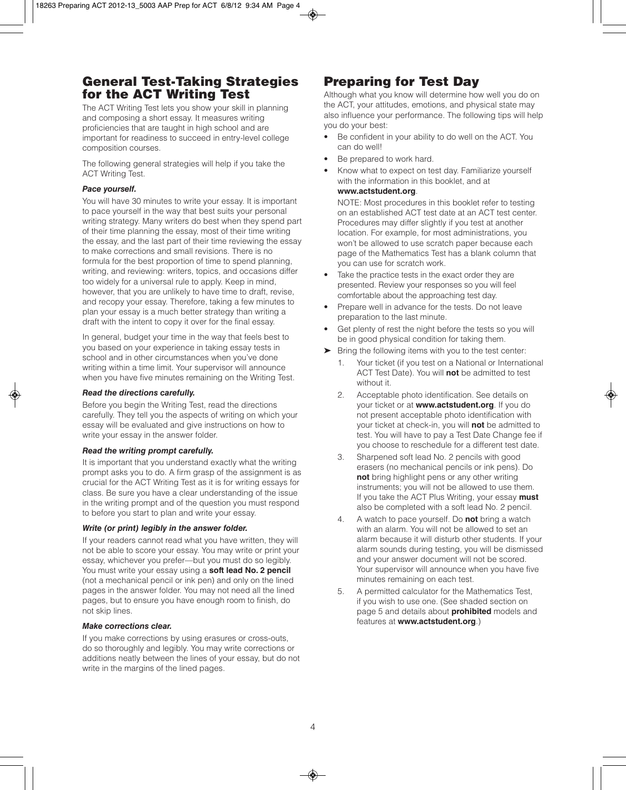## **General Test-Taking Strategies for the ACT Writing Test**

The ACT Writing Test lets you show your skill in planning and composing a short essay. It measures writing proficiencies that are taught in high school and are important for readiness to succeed in entry-level college composition courses.

The following general strategies will help if you take the ACT Writing Test.

#### *Pace yourself.*

You will have 30 minutes to write your essay. It is important to pace yourself in the way that best suits your personal writing strategy. Many writers do best when they spend part of their time planning the essay, most of their time writing the essay, and the last part of their time reviewing the essay to make corrections and small revisions. There is no formula for the best proportion of time to spend planning, writing, and reviewing: writers, topics, and occasions differ too widely for a universal rule to apply. Keep in mind, however, that you are unlikely to have time to draft, revise, and recopy your essay. Therefore, taking a few minutes to plan your essay is a much better strategy than writing a draft with the intent to copy it over for the final essay.

In general, budget your time in the way that feels best to you based on your experience in taking essay tests in school and in other circumstances when you've done writing within a time limit. Your supervisor will announce when you have five minutes remaining on the Writing Test.

#### *Read the directions carefully.*

Before you begin the Writing Test, read the directions carefully. They tell you the aspects of writing on which your essay will be evaluated and give instructions on how to write your essay in the answer folder.

#### *Read the writing prompt carefully.*

It is important that you understand exactly what the writing prompt asks you to do. A firm grasp of the assignment is as crucial for the ACT Writing Test as it is for writing essays for class. Be sure you have a clear understanding of the issue in the writing prompt and of the question you must respond to before you start to plan and write your essay.

#### *Write (or print) legibly in the answer folder.*

If your readers cannot read what you have written, they will not be able to score your essay. You may write or print your essay, whichever you prefer—but you must do so legibly. You must write your essay using a **soft lead No. 2 pencil** (not a mechanical pencil or ink pen) and only on the lined pages in the answer folder. You may not need all the lined pages, but to ensure you have enough room to finish, do not skip lines.

#### *Make corrections clear.*

If you make corrections by using erasures or cross-outs, do so thoroughly and legibly. You may write corrections or additions neatly between the lines of your essay, but do not write in the margins of the lined pages.

## **Preparing for Test Day**

Although what you know will determine how well you do on the ACT, your attitudes, emotions, and physical state may also influence your performance. The following tips will help you do your best:

- Be confident in your ability to do well on the ACT. You can do well!
- Be prepared to work hard.
- Know what to expect on test day. Familiarize yourself with the information in this booklet, and at

#### **www.actstudent.org**.

NOTE: Most procedures in this booklet refer to testing on an established ACT test date at an ACT test center. Procedures may differ slightly if you test at another location. For example, for most administrations, you won't be allowed to use scratch paper because each page of the Mathematics Test has a blank column that you can use for scratch work.

- Take the practice tests in the exact order they are presented. Review your responses so you will feel comfortable about the approaching test day.
- Prepare well in advance for the tests. Do not leave preparation to the last minute.
- Get plenty of rest the night before the tests so you will be in good physical condition for taking them.
- $\blacktriangleright$  Bring the following items with you to the test center:
	- 1. Your ticket (if you test on a National or International ACT Test Date). You will **not** be admitted to test without it.
	- 2. Acceptable photo identification. See details on your ticket or at **www.actstudent.org**. If you do not present acceptable photo identification with your ticket at check-in, you will **not** be admitted to test. You will have to pay a Test Date Change fee if you choose to reschedule for a different test date.
	- 3. Sharpened soft lead No. 2 pencils with good erasers (no mechanical pencils or ink pens). Do **not** bring highlight pens or any other writing instruments; you will not be allowed to use them. If you take the ACT Plus Writing, your essay **must** also be completed with a soft lead No. 2 pencil.
	- 4. A watch to pace yourself. Do **not** bring a watch with an alarm. You will not be allowed to set an alarm because it will disturb other students. If your alarm sounds during testing, you will be dismissed and your answer document will not be scored. Your supervisor will announce when you have five minutes remaining on each test.
	- 5. A permitted calculator for the Mathematics Test, if you wish to use one. (See shaded section on page 5 and details about **prohibited** models and features at **www.actstudent.org**.)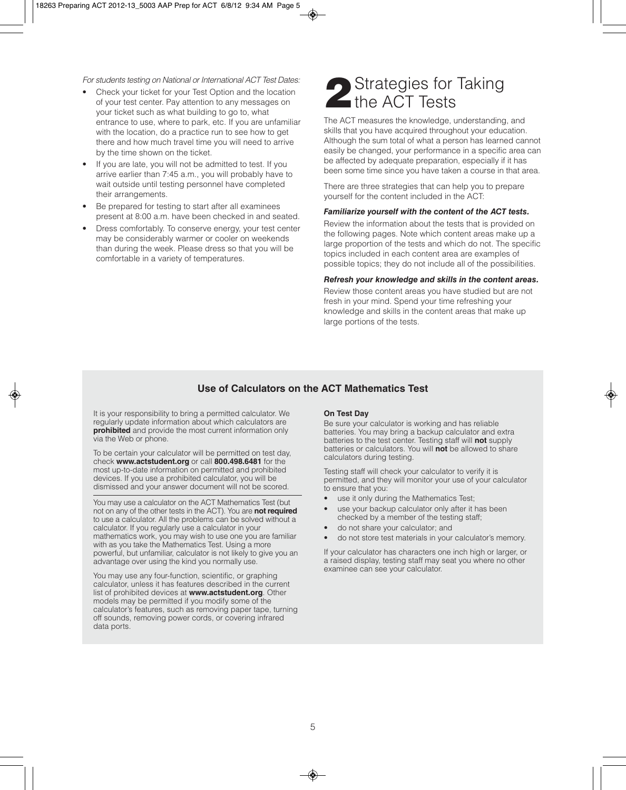#### For students testing on National or International ACT Test Dates:

- Check your ticket for your Test Option and the location of your test center. Pay attention to any messages on your ticket such as what building to go to, what entrance to use, where to park, etc. If you are unfamiliar with the location, do a practice run to see how to get there and how much travel time you will need to arrive by the time shown on the ticket.
- If you are late, you will not be admitted to test. If you arrive earlier than 7:45 a.m., you will probably have to wait outside until testing personnel have completed their arrangements.
- Be prepared for testing to start after all examinees present at 8:00 a.m. have been checked in and seated.
- Dress comfortably. To conserve energy, your test center may be considerably warmer or cooler on weekends than during the week. Please dress so that you will be comfortable in a variety of temperatures.

# **2**Strategies for Taking<br>
the ACT Tests

The ACT measures the knowledge, understanding, and skills that you have acquired throughout your education. Although the sum total of what a person has learned cannot easily be changed, your performance in a specific area can be affected by adequate preparation, especially if it has been some time since you have taken a course in that area.

There are three strategies that can help you to prepare yourself for the content included in the ACT:

#### *Familiarize yourself with the content of the ACT tests.*

Review the information about the tests that is provided on the following pages. Note which content areas make up a large proportion of the tests and which do not. The specific topics included in each content area are examples of possible topics; they do not include all of the possibilities.

#### *Refresh your knowledge and skills in the content areas.*

Review those content areas you have studied but are not fresh in your mind. Spend your time refreshing your knowledge and skills in the content areas that make up large portions of the tests.

#### **Use of Calculators on the ACT Mathematics Test**

It is your responsibility to bring a permitted calculator. We regularly update information about which calculators are **prohibited** and provide the most current information only via the Web or phone.

To be certain your calculator will be permitted on test day, check **www.actstudent.org** or call **800.498.6481** for the most up-to-date information on permitted and prohibited devices. If you use a prohibited calculator, you will be dismissed and your answer document will not be scored.

You may use a calculator on the ACT Mathematics Test (but not on any of the other tests in the ACT). You are **not required** to use a calculator. All the problems can be solved without a calculator. If you regularly use a calculator in your mathematics work, you may wish to use one you are familiar with as you take the Mathematics Test. Using a more powerful, but unfamiliar, calculator is not likely to give you an advantage over using the kind you normally use.

You may use any four-function, scientific, or graphing calculator, unless it has features described in the current list of prohibited devices at **www.actstudent.org**. Other models may be permitted if you modify some of the calculator's features, such as removing paper tape, turning off sounds, removing power cords, or covering infrared data ports.

#### **On Test Day**

Be sure your calculator is working and has reliable batteries. You may bring a backup calculator and extra batteries to the test center. Testing staff will **not** supply batteries or calculators. You will **not** be allowed to share calculators during testing.

Testing staff will check your calculator to verify it is permitted, and they will monitor your use of your calculator to ensure that you:

- use it only during the Mathematics Test;
- use your backup calculator only after it has been checked by a member of the testing staff;
- do not share your calculator; and
- do not store test materials in your calculator's memory.

If your calculator has characters one inch high or larger, or a raised display, testing staff may seat you where no other examinee can see your calculator.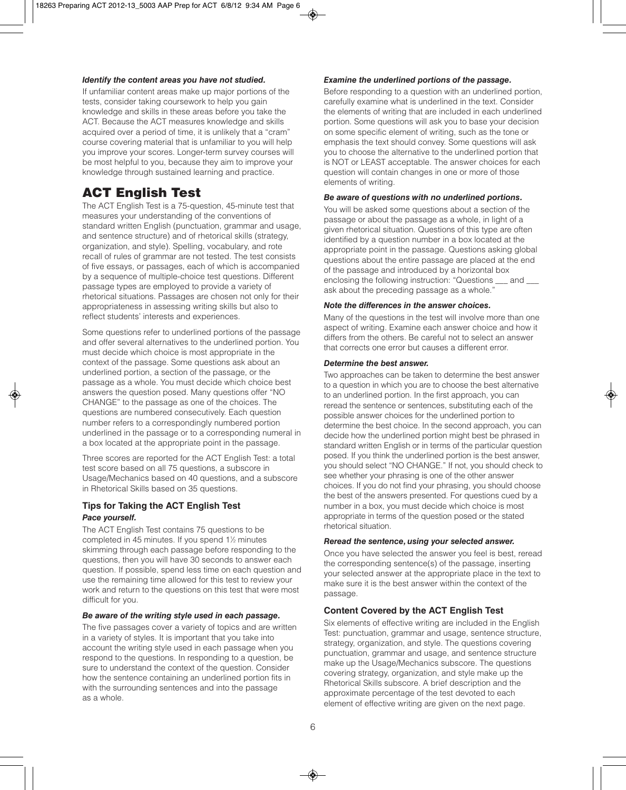#### *Identify the content areas you have not studied.*

If unfamiliar content areas make up major portions of the tests, consider taking coursework to help you gain knowledge and skills in these areas before you take the ACT. Because the ACT measures knowledge and skills acquired over a period of time, it is unlikely that a "cram" course covering material that is unfamiliar to you will help you improve your scores. Longer-term survey courses will be most helpful to you, because they aim to improve your knowledge through sustained learning and practice.

## **ACT English Test**

The ACT English Test is a 75-question, 45-minute test that measures your understanding of the conventions of standard written English (punctuation, grammar and usage, and sentence structure) and of rhetorical skills (strategy, organization, and style). Spelling, vocabulary, and rote recall of rules of grammar are not tested. The test consists of five essays, or passages, each of which is accompanied by a sequence of multiple-choice test questions. Different passage types are employed to provide a variety of rhetorical situations. Passages are chosen not only for their appropriateness in assessing writing skills but also to reflect students' interests and experiences.

Some questions refer to underlined portions of the passage and offer several alternatives to the underlined portion. You must decide which choice is most appropriate in the context of the passage. Some questions ask about an underlined portion, a section of the passage, or the passage as a whole. You must decide which choice best answers the question posed. Many questions offer "NO CHANGE" to the passage as one of the choices. The questions are numbered consecutively. Each question number refers to a correspondingly numbered portion underlined in the passage or to a corresponding numeral in a box located at the appropriate point in the passage.

Three scores are reported for the ACT English Test: a total test score based on all 75 questions, a subscore in Usage/Mechanics based on 40 questions, and a subscore in Rhetorical Skills based on 35 questions.

#### **Tips for Taking the ACT English Test** *Pace yourself.*

The ACT English Test contains 75 questions to be completed in 45 minutes. If you spend 11 ⁄2 minutes skimming through each passage before responding to the questions, then you will have 30 seconds to answer each question. If possible, spend less time on each question and use the remaining time allowed for this test to review your work and return to the questions on this test that were most difficult for you.

#### *Be aware of the writing style used in each passage.*

The five passages cover a variety of topics and are written in a variety of styles. It is important that you take into account the writing style used in each passage when you respond to the questions. In responding to a question, be sure to understand the context of the question. Consider how the sentence containing an underlined portion fits in with the surrounding sentences and into the passage as a whole.

#### *Examine the underlined portions of the passage.*

Before responding to a question with an underlined portion, carefully examine what is underlined in the text. Consider the elements of writing that are included in each underlined portion. Some questions will ask you to base your decision on some specific element of writing, such as the tone or emphasis the text should convey. Some questions will ask you to choose the alternative to the underlined portion that is NOT or LEAST acceptable. The answer choices for each question will contain changes in one or more of those elements of writing.

#### *Be aware of questions with no underlined portions.*

You will be asked some questions about a section of the passage or about the passage as a whole, in light of a given rhetorical situation. Questions of this type are often identified by a question number in a box located at the appropriate point in the passage. Questions asking global questions about the entire passage are placed at the end of the passage and introduced by a horizontal box enclosing the following instruction: "Questions \_\_\_ and \_\_\_ ask about the preceding passage as a whole."

#### *Note the differences in the answer choices.*

Many of the questions in the test will involve more than one aspect of writing. Examine each answer choice and how it differs from the others. Be careful not to select an answer that corrects one error but causes a different error.

#### *Determine the best answer.*

Two approaches can be taken to determine the best answer to a question in which you are to choose the best alternative to an underlined portion. In the first approach, you can reread the sentence or sentences, substituting each of the possible answer choices for the underlined portion to determine the best choice. In the second approach, you can decide how the underlined portion might best be phrased in standard written English or in terms of the particular question posed. If you think the underlined portion is the best answer, you should select "NO CHANGE." If not, you should check to see whether your phrasing is one of the other answer choices. If you do not find your phrasing, you should choose the best of the answers presented. For questions cued by a number in a box, you must decide which choice is most appropriate in terms of the question posed or the stated rhetorical situation.

#### *Reread the sentence, using your selected answer.*

Once you have selected the answer you feel is best, reread the corresponding sentence(s) of the passage, inserting your selected answer at the appropriate place in the text to make sure it is the best answer within the context of the passage.

#### **Content Covered by the ACT English Test**

Six elements of effective writing are included in the English Test: punctuation, grammar and usage, sentence structure, strategy, organization, and style. The questions covering punctuation, grammar and usage, and sentence structure make up the Usage/Mechanics subscore. The questions covering strategy, organization, and style make up the Rhetorical Skills subscore. A brief description and the approximate percentage of the test devoted to each element of effective writing are given on the next page.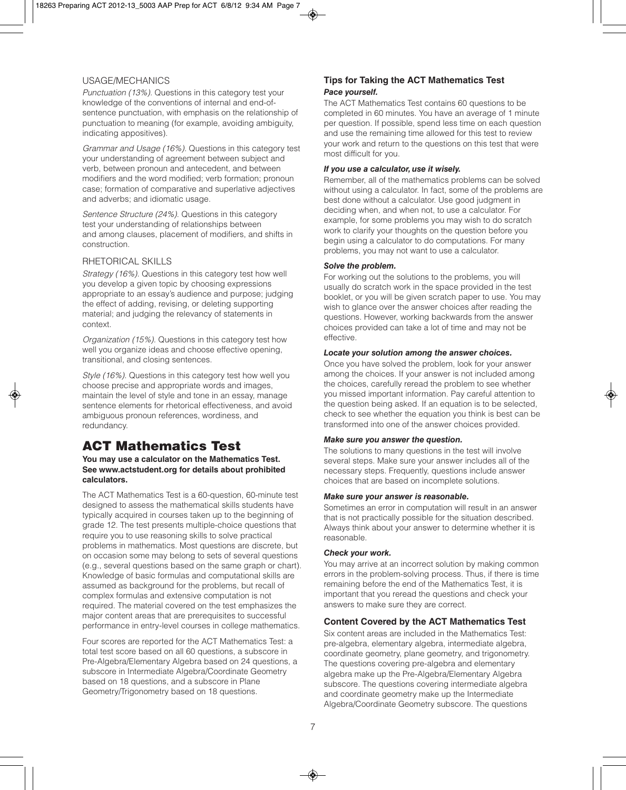#### USAGE/MECHANICS

Punctuation (13%). Questions in this category test your knowledge of the conventions of internal and end-ofsentence punctuation, with emphasis on the relationship of punctuation to meaning (for example, avoiding ambiguity, indicating appositives).

Grammar and Usage (16%). Questions in this category test your understanding of agreement between subject and verb, between pronoun and antecedent, and between modifiers and the word modified; verb formation; pronoun case; formation of comparative and superlative adjectives and adverbs; and idiomatic usage.

Sentence Structure (24%). Questions in this category test your understanding of relationships between and among clauses, placement of modifiers, and shifts in construction.

#### RHETORICAL SKILLS

Strategy (16%). Questions in this category test how well you develop a given topic by choosing expressions appropriate to an essay's audience and purpose; judging the effect of adding, revising, or deleting supporting material; and judging the relevancy of statements in context.

Organization (15%). Questions in this category test how well you organize ideas and choose effective opening, transitional, and closing sentences.

Style (16%). Questions in this category test how well you choose precise and appropriate words and images, maintain the level of style and tone in an essay, manage sentence elements for rhetorical effectiveness, and avoid ambiguous pronoun references, wordiness, and redundancy.

## **ACT Mathematics Test**

#### **You may use a calculator on the Mathematics Test. See www.actstudent.org for details about prohibited calculators.**

The ACT Mathematics Test is a 60-question, 60-minute test designed to assess the mathematical skills students have typically acquired in courses taken up to the beginning of grade 12. The test presents multiple-choice questions that require you to use reasoning skills to solve practical problems in mathematics. Most questions are discrete, but on occasion some may belong to sets of several questions (e.g., several questions based on the same graph or chart). Knowledge of basic formulas and computational skills are assumed as background for the problems, but recall of complex formulas and extensive computation is not required. The material covered on the test emphasizes the major content areas that are prerequisites to successful performance in entry-level courses in college mathematics.

Four scores are reported for the ACT Mathematics Test: a total test score based on all 60 questions, a subscore in Pre-Algebra/Elementary Algebra based on 24 questions, a subscore in Intermediate Algebra/Coordinate Geometry based on 18 questions, and a subscore in Plane Geometry/Trigonometry based on 18 questions.

#### **Tips for Taking the ACT Mathematics Test** *Pace yourself.*

The ACT Mathematics Test contains 60 questions to be completed in 60 minutes. You have an average of 1 minute per question. If possible, spend less time on each question and use the remaining time allowed for this test to review your work and return to the questions on this test that were most difficult for you.

#### *If you use a calculator, use it wisely.*

Remember, all of the mathematics problems can be solved without using a calculator. In fact, some of the problems are best done without a calculator. Use good judgment in deciding when, and when not, to use a calculator. For example, for some problems you may wish to do scratch work to clarify your thoughts on the question before you begin using a calculator to do computations. For many problems, you may not want to use a calculator.

#### *Solve the problem.*

For working out the solutions to the problems, you will usually do scratch work in the space provided in the test booklet, or you will be given scratch paper to use. You may wish to glance over the answer choices after reading the questions. However, working backwards from the answer choices provided can take a lot of time and may not be effective.

#### *Locate your solution among the answer choices.*

Once you have solved the problem, look for your answer among the choices. If your answer is not included among the choices, carefully reread the problem to see whether you missed important information. Pay careful attention to the question being asked. If an equation is to be selected, check to see whether the equation you think is best can be transformed into one of the answer choices provided.

#### *Make sure you answer the question.*

The solutions to many questions in the test will involve several steps. Make sure your answer includes all of the necessary steps. Frequently, questions include answer choices that are based on incomplete solutions.

#### *Make sure your answer is reasonable.*

Sometimes an error in computation will result in an answer that is not practically possible for the situation described. Always think about your answer to determine whether it is reasonable.

#### *Check your work.*

You may arrive at an incorrect solution by making common errors in the problem-solving process. Thus, if there is time remaining before the end of the Mathematics Test, it is important that you reread the questions and check your answers to make sure they are correct.

#### **Content Covered by the ACT Mathematics Test**

Six content areas are included in the Mathematics Test: pre-algebra, elementary algebra, intermediate algebra, coordinate geometry, plane geometry, and trigonometry. The questions covering pre-algebra and elementary algebra make up the Pre-Algebra/Elementary Algebra subscore. The questions covering intermediate algebra and coordinate geometry make up the Intermediate Algebra/Coordinate Geometry subscore. The questions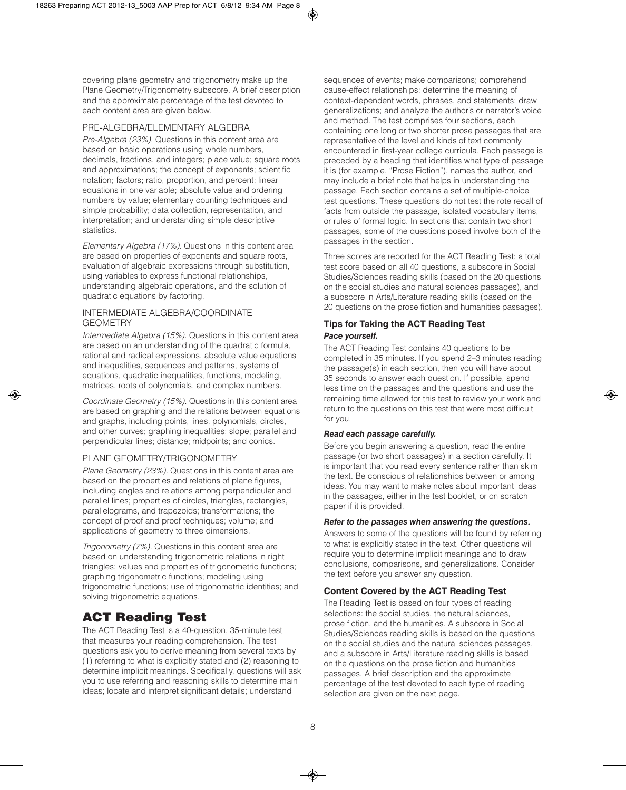covering plane geometry and trigonometry make up the Plane Geometry/Trigonometry subscore. A brief description and the approximate percentage of the test devoted to each content area are given below.

#### PRE-ALGEBRA/ELEMENTARY ALGEBRA

Pre-Algebra (23%). Questions in this content area are based on basic operations using whole numbers, decimals, fractions, and integers; place value; square roots and approximations; the concept of exponents; scientific notation; factors; ratio, proportion, and percent; linear equations in one variable; absolute value and ordering numbers by value; elementary counting techniques and simple probability; data collection, representation, and interpretation; and understanding simple descriptive statistics.

Elementary Algebra (17%). Questions in this content area are based on properties of exponents and square roots, evaluation of algebraic expressions through substitution, using variables to express functional relationships, understanding algebraic operations, and the solution of quadratic equations by factoring.

#### INTERMEDIATE ALGEBRA/COORDINATE **GEOMETRY**

Intermediate Algebra (15%). Questions in this content area are based on an understanding of the quadratic formula, rational and radical expressions, absolute value equations and inequalities, sequences and patterns, systems of equations, quadratic inequalities, functions, modeling, matrices, roots of polynomials, and complex numbers.

Coordinate Geometry (15%). Questions in this content area are based on graphing and the relations between equations and graphs, including points, lines, polynomials, circles, and other curves; graphing inequalities; slope; parallel and perpendicular lines; distance; midpoints; and conics.

#### PLANE GEOMETRY/TRIGONOMETRY

Plane Geometry (23%). Questions in this content area are based on the properties and relations of plane figures, including angles and relations among perpendicular and parallel lines; properties of circles, triangles, rectangles, parallelograms, and trapezoids; transformations; the concept of proof and proof techniques; volume; and applications of geometry to three dimensions.

Trigonometry (7%). Questions in this content area are based on understanding trigonometric relations in right triangles; values and properties of trigonometric functions; graphing trigonometric functions; modeling using trigonometric functions; use of trigonometric identities; and solving trigonometric equations.

## **ACT Reading Test**

The ACT Reading Test is a 40-question, 35-minute test that measures your reading comprehension. The test questions ask you to derive meaning from several texts by (1) referring to what is explicitly stated and (2) reasoning to determine implicit meanings. Specifically, questions will ask you to use referring and reasoning skills to determine main ideas; locate and interpret significant details; understand

sequences of events; make comparisons; comprehend cause-effect relationships; determine the meaning of context-dependent words, phrases, and statements; draw generalizations; and analyze the author's or narrator's voice and method. The test comprises four sections, each containing one long or two shorter prose passages that are representative of the level and kinds of text commonly encountered in first-year college curricula. Each passage is preceded by a heading that identifies what type of passage it is (for example, "Prose Fiction"), names the author, and may include a brief note that helps in understanding the passage. Each section contains a set of multiple-choice test questions. These questions do not test the rote recall of facts from outside the passage, isolated vocabulary items, or rules of formal logic. In sections that contain two short passages, some of the questions posed involve both of the passages in the section.

Three scores are reported for the ACT Reading Test: a total test score based on all 40 questions, a subscore in Social Studies/Sciences reading skills (based on the 20 questions on the social studies and natural sciences passages), and a subscore in Arts/Literature reading skills (based on the 20 questions on the prose fiction and humanities passages).

#### **Tips for Taking the ACT Reading Test** *Pace yourself.*

The ACT Reading Test contains 40 questions to be completed in 35 minutes. If you spend 2–3 minutes reading the passage(s) in each section, then you will have about 35 seconds to answer each question. If possible, spend less time on the passages and the questions and use the remaining time allowed for this test to review your work and return to the questions on this test that were most difficult for you.

#### *Read each passage carefully.*

Before you begin answering a question, read the entire passage (or two short passages) in a section carefully. It is important that you read every sentence rather than skim the text. Be conscious of relationships between or among ideas. You may want to make notes about important ideas in the passages, either in the test booklet, or on scratch paper if it is provided.

#### *Refer to the passages when answering the questions.*

Answers to some of the questions will be found by referring to what is explicitly stated in the text. Other questions will require you to determine implicit meanings and to draw conclusions, comparisons, and generalizations. Consider the text before you answer any question.

#### **Content Covered by the ACT Reading Test**

The Reading Test is based on four types of reading selections: the social studies, the natural sciences, prose fiction, and the humanities. A subscore in Social Studies/Sciences reading skills is based on the questions on the social studies and the natural sciences passages, and a subscore in Arts/Literature reading skills is based on the questions on the prose fiction and humanities passages. A brief description and the approximate percentage of the test devoted to each type of reading selection are given on the next page.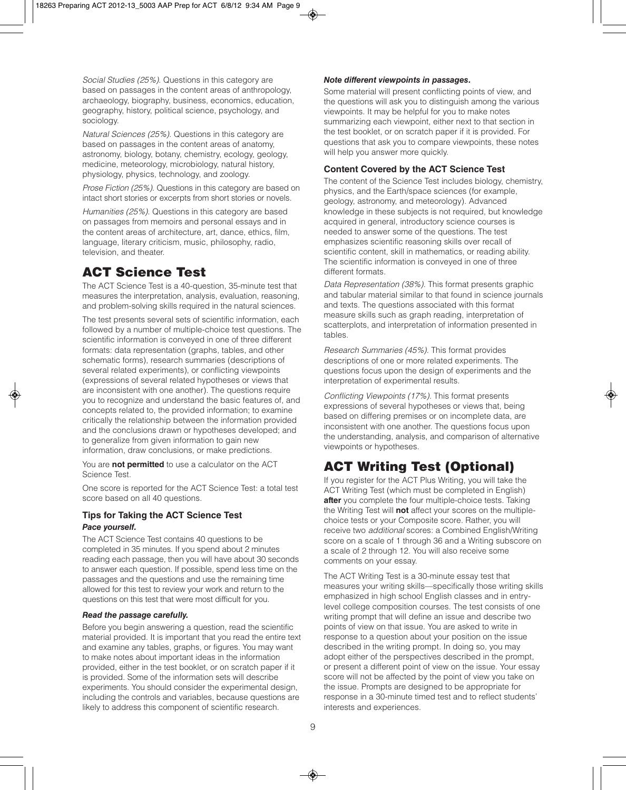Social Studies (25%). Questions in this category are based on passages in the content areas of anthropology, archaeology, biography, business, economics, education, geography, history, political science, psychology, and sociology.

Natural Sciences (25%). Questions in this category are based on passages in the content areas of anatomy, astronomy, biology, botany, chemistry, ecology, geology, medicine, meteorology, microbiology, natural history, physiology, physics, technology, and zoology.

Prose Fiction (25%). Questions in this category are based on intact short stories or excerpts from short stories or novels.

Humanities (25%). Questions in this category are based on passages from memoirs and personal essays and in the content areas of architecture, art, dance, ethics, film, language, literary criticism, music, philosophy, radio, television, and theater.

## **ACT Science Test**

The ACT Science Test is a 40-question, 35-minute test that measures the interpretation, analysis, evaluation, reasoning, and problem-solving skills required in the natural sciences.

The test presents several sets of scientific information, each followed by a number of multiple-choice test questions. The scientific information is conveyed in one of three different formats: data representation (graphs, tables, and other schematic forms), research summaries (descriptions of several related experiments), or conflicting viewpoints (expressions of several related hypotheses or views that are inconsistent with one another). The questions require you to recognize and understand the basic features of, and concepts related to, the provided information; to examine critically the relationship between the information provided and the conclusions drawn or hypotheses developed; and to generalize from given information to gain new information, draw conclusions, or make predictions.

You are **not permitted** to use a calculator on the ACT Science Test.

One score is reported for the ACT Science Test: a total test score based on all 40 questions.

#### **Tips for Taking the ACT Science Test** *Pace yourself.*

The ACT Science Test contains 40 questions to be completed in 35 minutes. If you spend about 2 minutes reading each passage, then you will have about 30 seconds to answer each question. If possible, spend less time on the passages and the questions and use the remaining time allowed for this test to review your work and return to the questions on this test that were most difficult for you.

#### *Read the passage carefully.*

Before you begin answering a question, read the scientific material provided. It is important that you read the entire text and examine any tables, graphs, or figures. You may want to make notes about important ideas in the information provided, either in the test booklet, or on scratch paper if it is provided. Some of the information sets will describe experiments. You should consider the experimental design, including the controls and variables, because questions are likely to address this component of scientific research.

#### *Note different viewpoints in passages.*

Some material will present conflicting points of view, and the questions will ask you to distinguish among the various viewpoints. It may be helpful for you to make notes summarizing each viewpoint, either next to that section in the test booklet, or on scratch paper if it is provided. For questions that ask you to compare viewpoints, these notes will help you answer more quickly.

#### **Content Covered by the ACT Science Test**

The content of the Science Test includes biology, chemistry, physics, and the Earth/space sciences (for example, geology, astronomy, and meteorology). Advanced knowledge in these subjects is not required, but knowledge acquired in general, introductory science courses is needed to answer some of the questions. The test emphasizes scientific reasoning skills over recall of scientific content, skill in mathematics, or reading ability. The scientific information is conveyed in one of three different formats.

Data Representation (38%). This format presents graphic and tabular material similar to that found in science journals and texts. The questions associated with this format measure skills such as graph reading, interpretation of scatterplots, and interpretation of information presented in tables.

Research Summaries (45%). This format provides descriptions of one or more related experiments. The questions focus upon the design of experiments and the interpretation of experimental results.

Conflicting Viewpoints (17%). This format presents expressions of several hypotheses or views that, being based on differing premises or on incomplete data, are inconsistent with one another. The questions focus upon the understanding, analysis, and comparison of alternative viewpoints or hypotheses.

## **ACT Writing Test (Optional)**

If you register for the ACT Plus Writing, you will take the ACT Writing Test (which must be completed in English) **after** you complete the four multiple-choice tests. Taking the Writing Test will **not** affect your scores on the multiplechoice tests or your Composite score. Rather, you will receive two additional scores: a Combined English/Writing score on a scale of 1 through 36 and a Writing subscore on a scale of 2 through 12. You will also receive some comments on your essay.

The ACT Writing Test is a 30-minute essay test that measures your writing skills—specifically those writing skills emphasized in high school English classes and in entrylevel college composition courses. The test consists of one writing prompt that will define an issue and describe two points of view on that issue. You are asked to write in response to a question about your position on the issue described in the writing prompt. In doing so, you may adopt either of the perspectives described in the prompt, or present a different point of view on the issue. Your essay score will not be affected by the point of view you take on the issue. Prompts are designed to be appropriate for response in a 30-minute timed test and to reflect students' interests and experiences.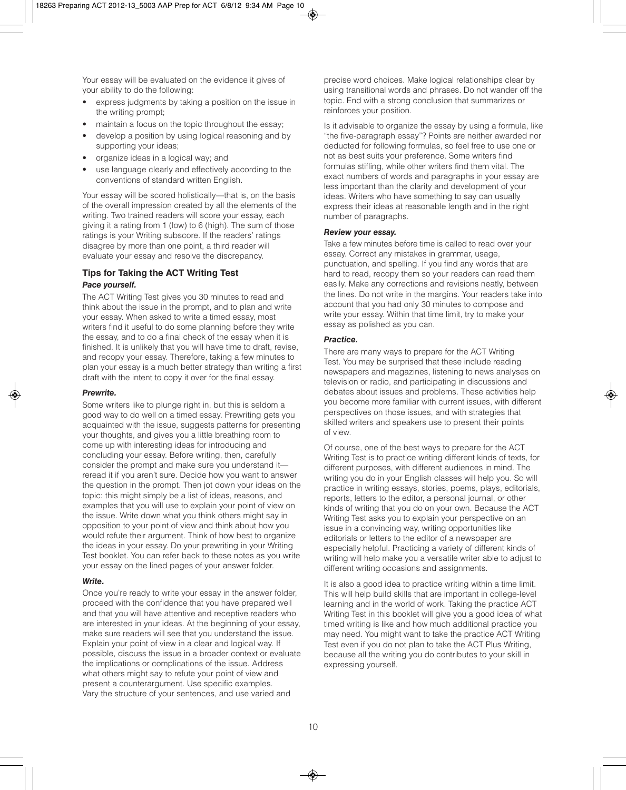Your essay will be evaluated on the evidence it gives of your ability to do the following:

- express judgments by taking a position on the issue in the writing prompt;
- maintain a focus on the topic throughout the essay;
- develop a position by using logical reasoning and by supporting your ideas;
- organize ideas in a logical way; and
- use language clearly and effectively according to the conventions of standard written English.

Your essay will be scored holistically—that is, on the basis of the overall impression created by all the elements of the writing. Two trained readers will score your essay, each giving it a rating from 1 (low) to 6 (high). The sum of those ratings is your Writing subscore. If the readers' ratings disagree by more than one point, a third reader will evaluate your essay and resolve the discrepancy.

#### **Tips for Taking the ACT Writing Test** *Pace yourself.*

The ACT Writing Test gives you 30 minutes to read and think about the issue in the prompt, and to plan and write your essay. When asked to write a timed essay, most writers find it useful to do some planning before they write the essay, and to do a final check of the essay when it is finished. It is unlikely that you will have time to draft, revise, and recopy your essay. Therefore, taking a few minutes to plan your essay is a much better strategy than writing a first draft with the intent to copy it over for the final essay.

#### *Prewrite.*

Some writers like to plunge right in, but this is seldom a good way to do well on a timed essay. Prewriting gets you acquainted with the issue, suggests patterns for presenting your thoughts, and gives you a little breathing room to come up with interesting ideas for introducing and concluding your essay. Before writing, then, carefully consider the prompt and make sure you understand it reread it if you aren't sure. Decide how you want to answer the question in the prompt. Then jot down your ideas on the topic: this might simply be a list of ideas, reasons, and examples that you will use to explain your point of view on the issue. Write down what you think others might say in opposition to your point of view and think about how you would refute their argument. Think of how best to organize the ideas in your essay. Do your prewriting in your Writing Test booklet. You can refer back to these notes as you write your essay on the lined pages of your answer folder.

#### *Write.*

Once you're ready to write your essay in the answer folder, proceed with the confidence that you have prepared well and that you will have attentive and receptive readers who are interested in your ideas. At the beginning of your essay, make sure readers will see that you understand the issue. Explain your point of view in a clear and logical way. If possible, discuss the issue in a broader context or evaluate the implications or complications of the issue. Address what others might say to refute your point of view and present a counterargument. Use specific examples. Vary the structure of your sentences, and use varied and

precise word choices. Make logical relationships clear by using transitional words and phrases. Do not wander off the topic. End with a strong conclusion that summarizes or reinforces your position.

Is it advisable to organize the essay by using a formula, like "the five-paragraph essay"? Points are neither awarded nor deducted for following formulas, so feel free to use one or not as best suits your preference. Some writers find formulas stifling, while other writers find them vital. The exact numbers of words and paragraphs in your essay are less important than the clarity and development of your ideas. Writers who have something to say can usually express their ideas at reasonable length and in the right number of paragraphs.

#### *Review your essay.*

Take a few minutes before time is called to read over your essay. Correct any mistakes in grammar, usage, punctuation, and spelling. If you find any words that are hard to read, recopy them so your readers can read them easily. Make any corrections and revisions neatly, between the lines. Do not write in the margins. Your readers take into account that you had only 30 minutes to compose and write your essay. Within that time limit, try to make your essay as polished as you can.

#### *Practice.*

There are many ways to prepare for the ACT Writing Test. You may be surprised that these include reading newspapers and magazines, listening to news analyses on television or radio, and participating in discussions and debates about issues and problems. These activities help you become more familiar with current issues, with different perspectives on those issues, and with strategies that skilled writers and speakers use to present their points of view.

Of course, one of the best ways to prepare for the ACT Writing Test is to practice writing different kinds of texts, for different purposes, with different audiences in mind. The writing you do in your English classes will help you. So will practice in writing essays, stories, poems, plays, editorials, reports, letters to the editor, a personal journal, or other kinds of writing that you do on your own. Because the ACT Writing Test asks you to explain your perspective on an issue in a convincing way, writing opportunities like editorials or letters to the editor of a newspaper are especially helpful. Practicing a variety of different kinds of writing will help make you a versatile writer able to adjust to different writing occasions and assignments.

It is also a good idea to practice writing within a time limit. This will help build skills that are important in college-level learning and in the world of work. Taking the practice ACT Writing Test in this booklet will give you a good idea of what timed writing is like and how much additional practice you may need. You might want to take the practice ACT Writing Test even if you do not plan to take the ACT Plus Writing, because all the writing you do contributes to your skill in expressing yourself.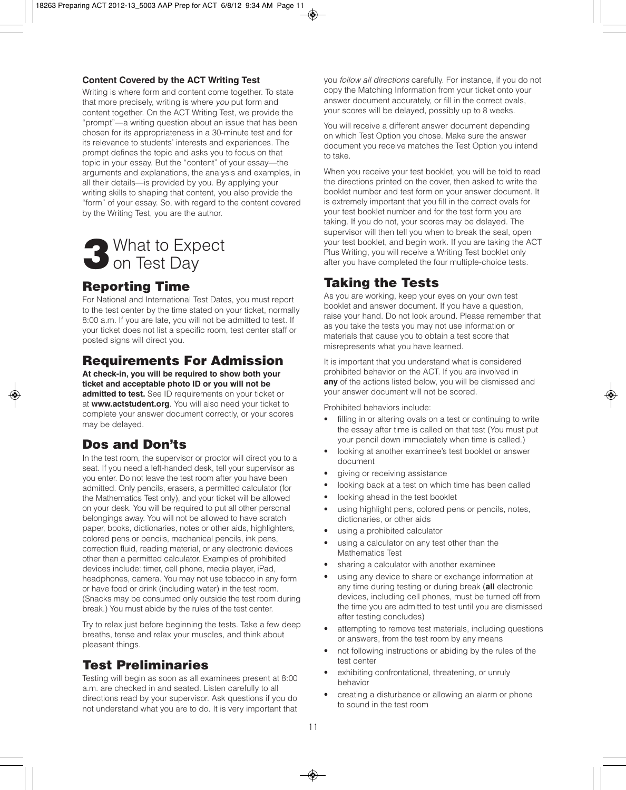#### **Content Covered by the ACT Writing Test**

Writing is where form and content come together. To state that more precisely, writing is where you put form and content together. On the ACT Writing Test, we provide the "prompt"—a writing question about an issue that has been chosen for its appropriateness in a 30-minute test and for its relevance to students' interests and experiences. The prompt defines the topic and asks you to focus on that topic in your essay. But the "content" of your essay—the arguments and explanations, the analysis and examples, in all their details—is provided by you. By applying your writing skills to shaping that content, you also provide the "form" of your essay. So, with regard to the content covered by the Writing Test, you are the author.



## **Reporting Time**

For National and International Test Dates, you must report to the test center by the time stated on your ticket, normally 8:00 a.m. If you are late, you will not be admitted to test. If your ticket does not list a specific room, test center staff or posted signs will direct you.

## **Requirements For Admission**

**At check-in, you will be required to show both your ticket and acceptable photo ID or you will not be admitted to test.** See ID requirements on your ticket or at **www.actstudent.org**. You will also need your ticket to complete your answer document correctly, or your scores may be delayed.

## **Dos and Don'ts**

In the test room, the supervisor or proctor will direct you to a seat. If you need a left-handed desk, tell your supervisor as you enter. Do not leave the test room after you have been admitted. Only pencils, erasers, a permitted calculator (for the Mathematics Test only), and your ticket will be allowed on your desk. You will be required to put all other personal belongings away. You will not be allowed to have scratch paper, books, dictionaries, notes or other aids, highlighters, colored pens or pencils, mechanical pencils, ink pens, correction fluid, reading material, or any electronic devices other than a permitted calculator. Examples of prohibited devices include: timer, cell phone, media player, iPad, headphones, camera. You may not use tobacco in any form or have food or drink (including water) in the test room. (Snacks may be consumed only outside the test room during break.) You must abide by the rules of the test center.

Try to relax just before beginning the tests. Take a few deep breaths, tense and relax your muscles, and think about pleasant things.

## **Test Preliminaries**

Testing will begin as soon as all examinees present at 8:00 a.m. are checked in and seated. Listen carefully to all directions read by your supervisor. Ask questions if you do not understand what you are to do. It is very important that

you follow all directions carefully. For instance, if you do not copy the Matching Information from your ticket onto your answer document accurately, or fill in the correct ovals, your scores will be delayed, possibly up to 8 weeks.

You will receive a different answer document depending on which Test Option you chose. Make sure the answer document you receive matches the Test Option you intend to take.

When you receive your test booklet, you will be told to read the directions printed on the cover, then asked to write the booklet number and test form on your answer document. It is extremely important that you fill in the correct ovals for your test booklet number and for the test form you are taking. If you do not, your scores may be delayed. The supervisor will then tell you when to break the seal, open your test booklet, and begin work. If you are taking the ACT Plus Writing, you will receive a Writing Test booklet only after you have completed the four multiple-choice tests.

## **Taking the Tests**

As you are working, keep your eyes on your own test booklet and answer document. If you have a question, raise your hand. Do not look around. Please remember that as you take the tests you may not use information or materials that cause you to obtain a test score that misrepresents what you have learned.

It is important that you understand what is considered prohibited behavior on the ACT. If you are involved in **any** of the actions listed below, you will be dismissed and your answer document will not be scored.

Prohibited behaviors include:

- filling in or altering ovals on a test or continuing to write the essay after time is called on that test (You must put your pencil down immediately when time is called.)
- looking at another examinee's test booklet or answer document
- giving or receiving assistance
- looking back at a test on which time has been called
- looking ahead in the test booklet
- using highlight pens, colored pens or pencils, notes, dictionaries, or other aids
- using a prohibited calculator
- using a calculator on any test other than the Mathematics Test
- sharing a calculator with another examinee
- using any device to share or exchange information at any time during testing or during break (**all** electronic devices, including cell phones, must be turned off from the time you are admitted to test until you are dismissed after testing concludes)
- attempting to remove test materials, including questions or answers, from the test room by any means
- not following instructions or abiding by the rules of the test center
- exhibiting confrontational, threatening, or unruly behavior
- creating a disturbance or allowing an alarm or phone to sound in the test room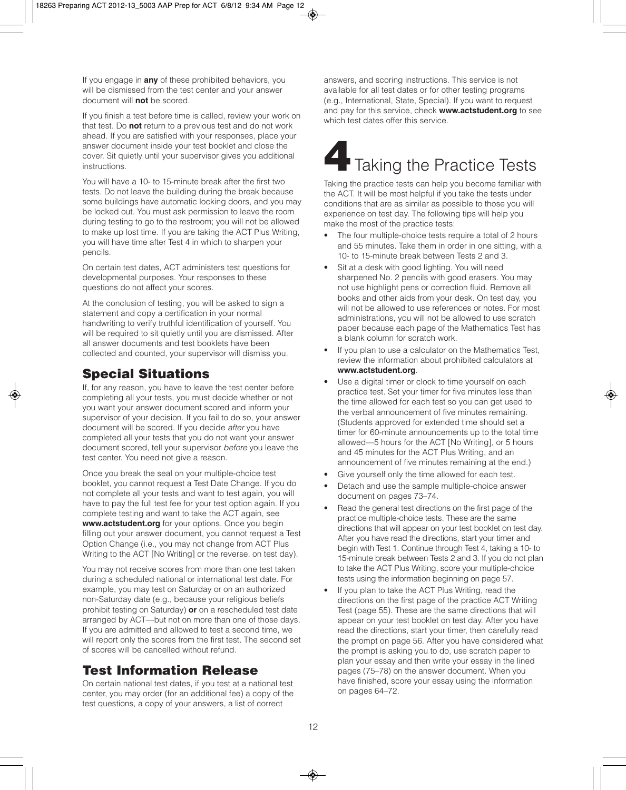If you engage in **any** of these prohibited behaviors, you will be dismissed from the test center and your answer document will **not** be scored.

If you finish a test before time is called, review your work on that test. Do **not** return to a previous test and do not work ahead. If you are satisfied with your responses, place your answer document inside your test booklet and close the cover. Sit quietly until your supervisor gives you additional instructions.

You will have a 10- to 15-minute break after the first two tests. Do not leave the building during the break because some buildings have automatic locking doors, and you may be locked out. You must ask permission to leave the room during testing to go to the restroom; you will not be allowed to make up lost time. If you are taking the ACT Plus Writing, you will have time after Test 4 in which to sharpen your pencils.

On certain test dates, ACT administers test questions for developmental purposes. Your responses to these questions do not affect your scores.

At the conclusion of testing, you will be asked to sign a statement and copy a certification in your normal handwriting to verify truthful identification of yourself. You will be required to sit quietly until you are dismissed. After all answer documents and test booklets have been collected and counted, your supervisor will dismiss you.

## **Special Situations**

If, for any reason, you have to leave the test center before completing all your tests, you must decide whether or not you want your answer document scored and inform your supervisor of your decision. If you fail to do so, your answer document will be scored. If you decide after you have completed all your tests that you do not want your answer document scored, tell your supervisor before you leave the test center. You need not give a reason.

Once you break the seal on your multiple-choice test booklet, you cannot request a Test Date Change. If you do not complete all your tests and want to test again, you will have to pay the full test fee for your test option again. If you complete testing and want to take the ACT again, see **www.actstudent.org** for your options. Once you begin filling out your answer document, you cannot request a Test Option Change (i.e., you may not change from ACT Plus Writing to the ACT [No Writing] or the reverse, on test day).

You may not receive scores from more than one test taken during a scheduled national or international test date. For example, you may test on Saturday or on an authorized non-Saturday date (e.g., because your religious beliefs prohibit testing on Saturday) **or** on a rescheduled test date arranged by ACT—but not on more than one of those days. If you are admitted and allowed to test a second time, we will report only the scores from the first test. The second set of scores will be cancelled without refund.

## **Test Information Release**

On certain national test dates, if you test at a national test center, you may order (for an additional fee) a copy of the test questions, a copy of your answers, a list of correct

answers, and scoring instructions. This service is not available for all test dates or for other testing programs (e.g., International, State, Special). If you want to request and pay for this service, check **www.actstudent.org** to see which test dates offer this service.

## **4**Taking the Practice Tests

Taking the practice tests can help you become familiar with the ACT. It will be most helpful if you take the tests under conditions that are as similar as possible to those you will experience on test day. The following tips will help you make the most of the practice tests:

- The four multiple-choice tests require a total of 2 hours and 55 minutes. Take them in order in one sitting, with a 10- to 15-minute break between Tests 2 and 3.
- Sit at a desk with good lighting. You will need sharpened No. 2 pencils with good erasers. You may not use highlight pens or correction fluid. Remove all books and other aids from your desk. On test day, you will not be allowed to use references or notes. For most administrations, you will not be allowed to use scratch paper because each page of the Mathematics Test has a blank column for scratch work.
- If you plan to use a calculator on the Mathematics Test, review the information about prohibited calculators at **www.actstudent.org**.
- Use a digital timer or clock to time yourself on each practice test. Set your timer for five minutes less than the time allowed for each test so you can get used to the verbal announcement of five minutes remaining. (Students approved for extended time should set a timer for 60-minute announcements up to the total time allowed—5 hours for the ACT [No Writing], or 5 hours and 45 minutes for the ACT Plus Writing, and an announcement of five minutes remaining at the end.)
- Give yourself only the time allowed for each test.
- Detach and use the sample multiple-choice answer document on pages 73–74.
- Read the general test directions on the first page of the practice multiple-choice tests. These are the same directions that will appear on your test booklet on test day. After you have read the directions, start your timer and begin with Test 1. Continue through Test 4, taking a 10- to 15-minute break between Tests 2 and 3. If you do not plan to take the ACT Plus Writing, score your multiple-choice tests using the information beginning on page 57.
- If you plan to take the ACT Plus Writing, read the directions on the first page of the practice ACT Writing Test (page 55). These are the same directions that will appear on your test booklet on test day. After you have read the directions, start your timer, then carefully read the prompt on page 56. After you have considered what the prompt is asking you to do, use scratch paper to plan your essay and then write your essay in the lined pages (75–78) on the answer document. When you have finished, score your essay using the information on pages 64–72.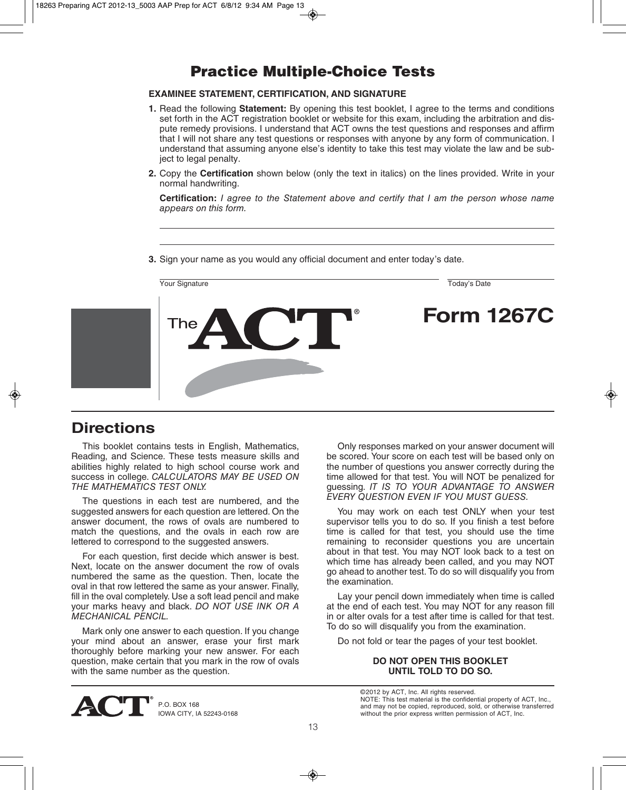## **Practice Multiple-Choice Tests**

#### **EXAMINEE STATEMENT, CERTIFICATION, AND SIGNATURE**

- **1.** Read the following **Statement:** By opening this test booklet, I agree to the terms and conditions set forth in the ACT registration booklet or website for this exam, including the arbitration and dispute remedy provisions. I understand that ACT owns the test questions and responses and affirm that I will not share any test questions or responses with anyone by any form of communication. I understand that assuming anyone else's identity to take this test may violate the law and be subject to legal penalty.
- **2.** Copy the **Certification** shown below (only the text in italics) on the lines provided. Write in your normal handwriting.

**Certification:** *I agree to the Statement above and certify that I am the person whose name appears on this form.*

**3.** Sign your name as you would any official document and enter today's date.



## **Directions**

This booklet contains tests in English, Mathematics, Reading, and Science. These tests measure skills and abilities highly related to high school course work and success in college. *CALCULATORS MAY BE USED ON THE MATHEMATICS TEST ONLY.*

The questions in each test are numbered, and the suggested answers for each question are lettered. On the answer document, the rows of ovals are numbered to match the questions, and the ovals in each row are lettered to correspond to the suggested answers.

For each question, first decide which answer is best. Next, locate on the answer document the row of ovals numbered the same as the question. Then, locate the oval in that row lettered the same as your answer. Finally, fill in the oval completely. Use a soft lead pencil and make your marks heavy and black. *DO NOT USE INK OR A MECHANICAL PENCIL.*

Mark only one answer to each question. If you change your mind about an answer, erase your first mark thoroughly before marking your new answer. For each question, make certain that you mark in the row of ovals with the same number as the question.

Only responses marked on your answer document will be scored. Your score on each test will be based only on the number of questions you answer correctly during the time allowed for that test. You will NOT be penalized for guessing. *IT IS TO YOUR ADVANTAGE TO ANSWER EVERY QUESTION EVEN IF YOU MUST GUESS.*

You may work on each test ONLY when your test supervisor tells you to do so. If you finish a test before time is called for that test, you should use the time remaining to reconsider questions you are uncertain about in that test. You may NOT look back to a test on which time has already been called, and you may NOT go ahead to another test. To do so will disqualify you from the examination.

Lay your pencil down immediately when time is called at the end of each test. You may NOT for any reason fill in or alter ovals for a test after time is called for that test. To do so will disqualify you from the examination.

Do not fold or tear the pages of your test booklet.

#### **DO NOT OPEN THIS BOOKLET UNTIL TOLD TO DO SO.**



©2012 by ACT, Inc. All rights reserved. NOTE: This test material is the confidential property of ACT, Inc., and may not be copied, reproduced, sold, or otherwise transferred without the prior express written permission of ACT, Inc.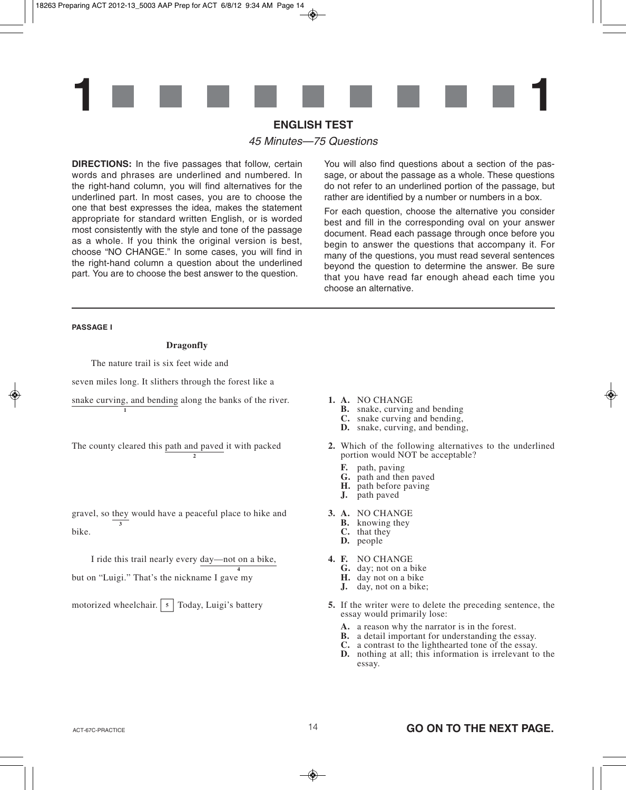

#### **ENGLISH TEST**

45 Minutes—75 Questions

**DIRECTIONS:** In the five passages that follow, certain words and phrases are underlined and numbered. In the right-hand column, you will find alternatives for the underlined part. In most cases, you are to choose the one that best expresses the idea, makes the statement appropriate for standard written English, or is worded most consistently with the style and tone of the passage as a whole. If you think the original version is best, choose "NO CHANGE." In some cases, you will find in the right-hand column a question about the underlined part. You are to choose the best answer to the question.

You will also find questions about a section of the passage, or about the passage as a whole. These questions do not refer to an underlined portion of the passage, but rather are identified by a number or numbers in a box.

For each question, choose the alternative you consider best and fill in the corresponding oval on your answer document. Read each passage through once before you begin to answer the questions that accompany it. For many of the questions, you must read several sentences beyond the question to determine the answer. Be sure that you have read far enough ahead each time you choose an alternative.

#### **PASSAGE I**

#### **Dragonfly**

The nature trail is six feet wide and

**1**

seven miles long. It slithers through the forest like a

snake curving, and bending along the banks of the river.

The county cleared this path and paved it with packed

**2**

gravel, so they would have a peaceful place to hike and bike. **3**

I ride this trail nearly every day—not on a bike, but on "Luigi." That's the nickname I gave my **4**

motorized wheelchair.  $\vert s \vert$  Today, Luigi's battery

- **1. A.** NO CHANGE
	- **B.** snake, curving and bending
	- **C.** snake curving and bending,
	- **D.** snake, curving, and bending,
- **2.** Which of the following alternatives to the underlined portion would NOT be acceptable?
	- **F.** path, paving
	- **G.** path and then paved
	- **H.** path before paving
	- **J.** path paved
- **3. A.** NO CHANGE
	- **B.** knowing they
	- **C.** that they
	- **D.** people
- **4. F.** NO CHANGE
	- **G.** day; not on a bike
	- **H.** day not on a bike
	- **J.** day, not on a bike;
- **5.** If the writer were to delete the preceding sentence, the essay would primarily lose:
	- **A.** a reason why the narrator is in the forest.
	- **B.** a detail important for understanding the essay.
	- **C.** a contrast to the lighthearted tone of the essay.
	- **D.** nothing at all; this information is irrelevant to the essay.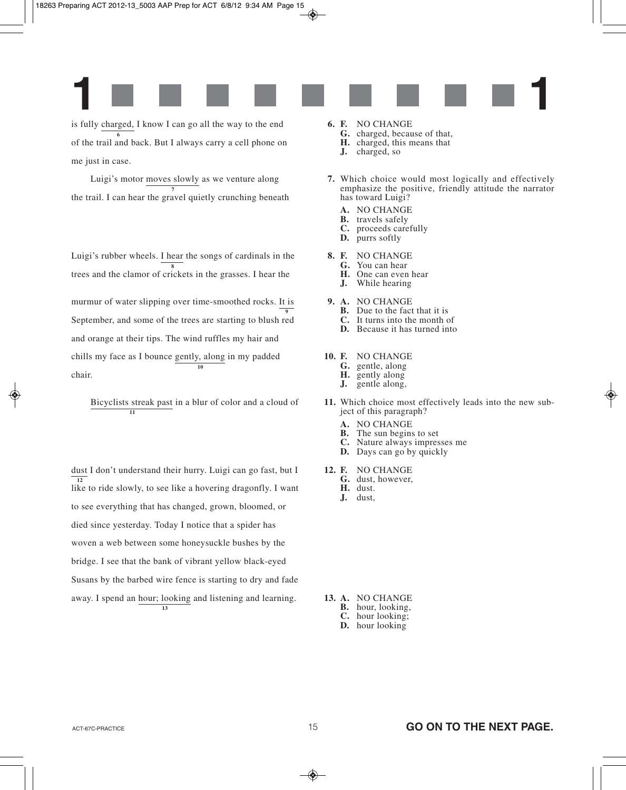

is fully charged, I know I can go all the way to the end of the trail and back. But I always carry a cell phone on me just in case. **6**

Luigi's motor moves slowly as we venture along the trail. I can hear the gravel quietly crunching beneath **7**

Luigi's rubber wheels. I hear the songs of cardinals in the trees and the clamor of crickets in the grasses. I hear the **8**

murmur of water slipping over time-smoothed rocks. It is September, and some of the trees are starting to blush red and orange at their tips. The wind ruffles my hair and chills my face as I bounce gently, along in my padded chair. **9 10**

Bicyclists streak past in a blur of color and a cloud of **11**

dust I don't understand their hurry. Luigi can go fast, but I like to ride slowly, to see like a hovering dragonfly. I want to see everything that has changed, grown, bloomed, or died since yesterday. Today I notice that a spider has woven a web between some honeysuckle bushes by the bridge. I see that the bank of vibrant yellow black-eyed Susans by the barbed wire fence is starting to dry and fade away. I spend an hour; looking and listening and learning. **12 13**

**6. F.** NO CHANGE

- **G.** charged, because of that,
- **H.** charged, this means that
- **J.** charged, so
- **7.** Which choice would most logically and effectively emphasize the positive, friendly attitude the narrator has toward Luigi?
	- **A.** NO CHANGE
	- **B.** travels safely
	- **C.** proceeds carefully
	- **D.** purrs softly
- **8. F.** NO CHANGE
	- **G.** You can hear
	- **H.** One can even hear **J.** While hearing
	-
- **9. A.** NO CHANGE
	- **B.** Due to the fact that it is
	- **C.** It turns into the month of **D.** Because it has turned into
	-

#### **10. F.** NO CHANGE

- **G.** gentle, along
- **H.** gently along
- **J.** gentle along,
- **11.** Which choice most effectively leads into the new subject of this paragraph?
	- **A.** NO CHANGE
	- **B.** The sun begins to set
	- **C.** Nature always impresses me
	- **D.** Days can go by quickly

#### **12. F.** NO CHANGE

- **G.** dust, however,
- **H.** dust.
- **J.** dust,

- **13. A.** NO CHANGE
	- **B.** hour, looking,
	- **C.** hour looking;
	- **D.** hour looking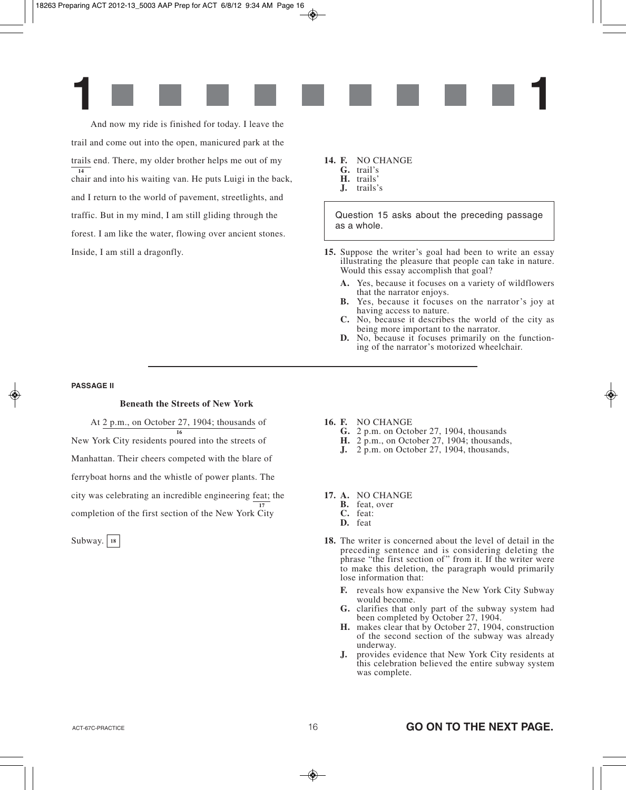

And now my ride is finished for today. I leave the trail and come out into the open, manicured park at the trails end. There, my older brother helps me out of my chair and into his waiting van. He puts Luigi in the back, and I return to the world of pavement, streetlights, and traffic. But in my mind, I am still gliding through the forest. I am like the water, flowing over ancient stones. Inside, I am still a dragonfly. **14**

- **14. F.** NO CHANGE
	- **G.** trail's
	- **H.** trails'
	- **J.** trails's

Question 15 asks about the preceding passage as a whole.

- **15.** Suppose the writer's goal had been to write an essay illustrating the pleasure that people can take in nature. Would this essay accomplish that goal?
	- **A.** Yes, because it focuses on a variety of wildflowers that the narrator enjoys.
	- **B.** Yes, because it focuses on the narrator's joy at having access to nature.
	- **C.** No, because it describes the world of the city as being more important to the narrator.
	- **D.** No, because it focuses primarily on the functioning of the narrator's motorized wheelchair.

#### **PASSAGE II**

#### **Beneath the Streets of New York**

At 2 p.m., on October 27, 1904; thousands of New York City residents poured into the streets of Manhattan. Their cheers competed with the blare of ferryboat horns and the whistle of power plants. The city was celebrating an incredible engineering feat; the completion of the first section of the New York City **16 17**

Subway.  $\sqrt{18}$ 

#### **16. F.** NO CHANGE

- **G.** 2 p.m. on October 27, 1904, thousands
- **H.** 2 p.m., on October 27, 1904; thousands,
- **J.** 2 p.m. on October 27, 1904, thousands,

#### **17. A.** NO CHANGE

- **B.** feat, over
- **C.** feat:
- **D.** feat
- **18.** The writer is concerned about the level of detail in the preceding sentence and is considering deleting the phrase "the first section of" from it. If the writer were to make this deletion, the paragraph would primarily lose information that:
	- **F.** reveals how expansive the New York City Subway would become.
	- **G.** clarifies that only part of the subway system had been completed by October 27, 1904.
	- **H.** makes clear that by October 27, 1904, construction of the second section of the subway was already underway.
	- **J.** provides evidence that New York City residents at this celebration believed the entire subway system was complete.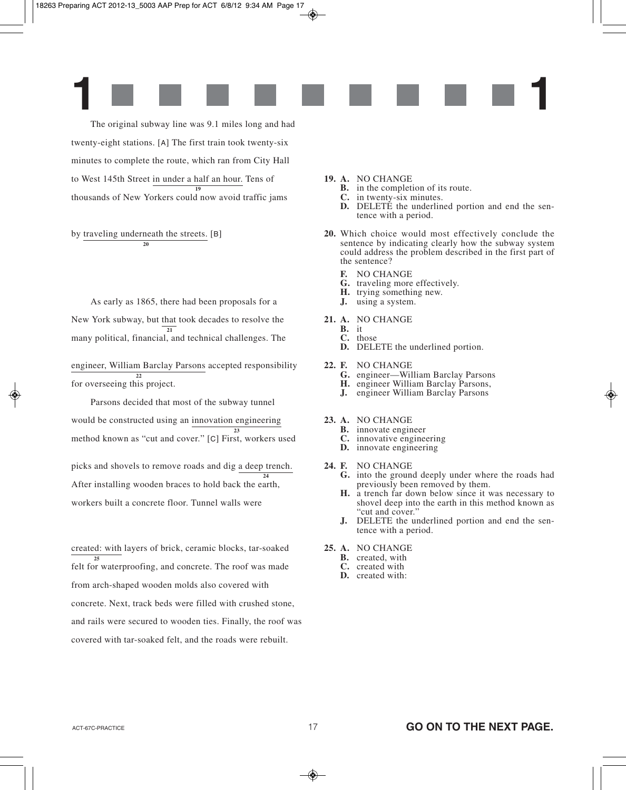

The original subway line was 9.1 miles long and had twenty-eight stations. [A] The first train took twenty-six minutes to complete the route, which ran from City Hall to West 145th Street in under a half an hour. Tens of thousands of New Yorkers could now avoid traffic jams **19**

#### by traveling underneath the streets. [B] **20**

As early as 1865, there had been proposals for a New York subway, but that took decades to resolve the many political, financial, and technical challenges. The **21**

engineer, William Barclay Parsons accepted responsibility for overseeing this project. **22**

Parsons decided that most of the subway tunnel would be constructed using an innovation engineering method known as "cut and cover." [C] First, workers used **23**

picks and shovels to remove roads and dig a deep trench. After installing wooden braces to hold back the earth, workers built a concrete floor. Tunnel walls were **24**

created: with layers of brick, ceramic blocks, tar-soaked felt for waterproofing, and concrete. The roof was made from arch-shaped wooden molds also covered with concrete. Next, track beds were filled with crushed stone, and rails were secured to wooden ties. Finally, the roof was covered with tar-soaked felt, and the roads were rebuilt. **25**

#### **19. A.** NO CHANGE

- **B.** in the completion of its route.
- **C.** in twenty-six minutes.
- **D.** DELETE the underlined portion and end the sentence with a period.
- **20.** Which choice would most effectively conclude the sentence by indicating clearly how the subway system could address the problem described in the first part of the sentence?
	- **F.** NO CHANGE
	- **G.** traveling more effectively.
	- **H.** trying something new.
	- **J.** using a system.
- **21. A.** NO CHANGE
	- **B.** it **C.** those
	- **D.** DELETE the underlined portion.
- **22. F.** NO CHANGE
	- **G.** engineer—William Barclay Parsons
	- **H.** engineer William Barclay Parsons,
	- **J.** engineer William Barclay Parsons

#### **23. A.** NO CHANGE

- **B.** innovate engineer
- **C.** innovative engineering
- **D.** innovate engineering

#### **24. F.** NO CHANGE

- **G.** into the ground deeply under where the roads had previously been removed by them.
- **H.** a trench far down below since it was necessary to shovel deep into the earth in this method known as "cut and cover."
- **J.** DELETE the underlined portion and end the sentence with a period.
- **25. A.** NO CHANGE
	- **B.** created, with
	- **C.** created with
	- **D.** created with: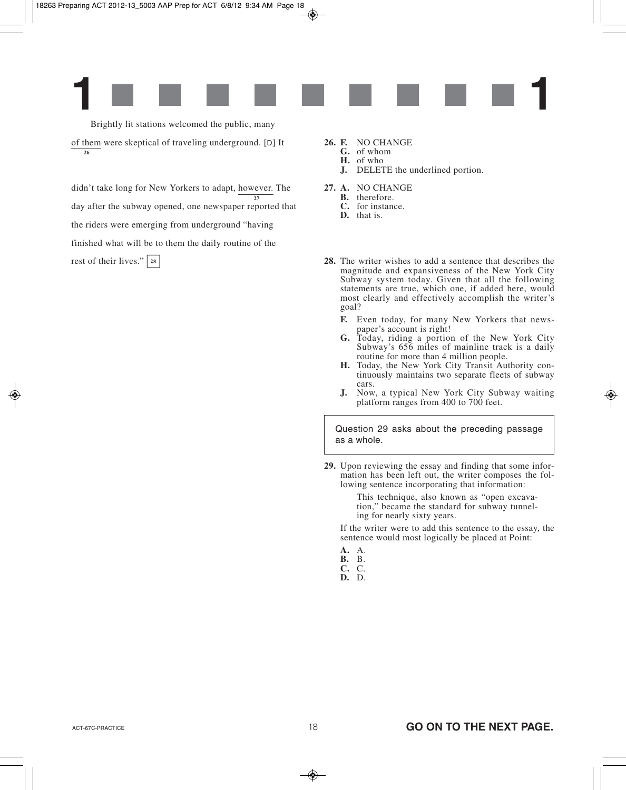

Brightly lit stations welcomed the public, many

of them were skeptical of traveling underground. [D] It **26**

didn't take long for New Yorkers to adapt, however. The day after the subway opened, one newspaper reported that the riders were emerging from underground "having finished what will be to them the daily routine of the rest of their lives." | 28 **27**

#### **26. F.** NO CHANGE

- **G.** of whom
- **H.** of who
- **J.** DELETE the underlined portion.
- **27. A.** NO CHANGE
	- **B.** therefore.
	- **C.** for instance.
	- **D.** that is.
- **28.** The writer wishes to add a sentence that describes the magnitude and expansiveness of the New York City Subway system today. Given that all the following statements are true, which one, if added here, would most clearly and effectively accomplish the writer's goal?
	- F. Even today, for many New Yorkers that newspaper's account is right!
	- **G.** Today, riding a portion of the New York City Subway's 656 miles of mainline track is a daily routine for more than 4 million people.
	- **H.** Today, the New York City Transit Authority continuously maintains two separate fleets of subway cars.
	- **J.** Now, a typical New York City Subway waiting platform ranges from 400 to 700 feet.

Question 29 asks about the preceding passage as a whole.

**29.** Upon reviewing the essay and finding that some information has been left out, the writer composes the following sentence incorporating that information:

> This technique, also known as "open excavation," became the standard for subway tunneling for nearly sixty years.

If the writer were to add this sentence to the essay, the sentence would most logically be placed at Point:

- **A.** A.
- **B.** B.
- **C.** C. **D.** D.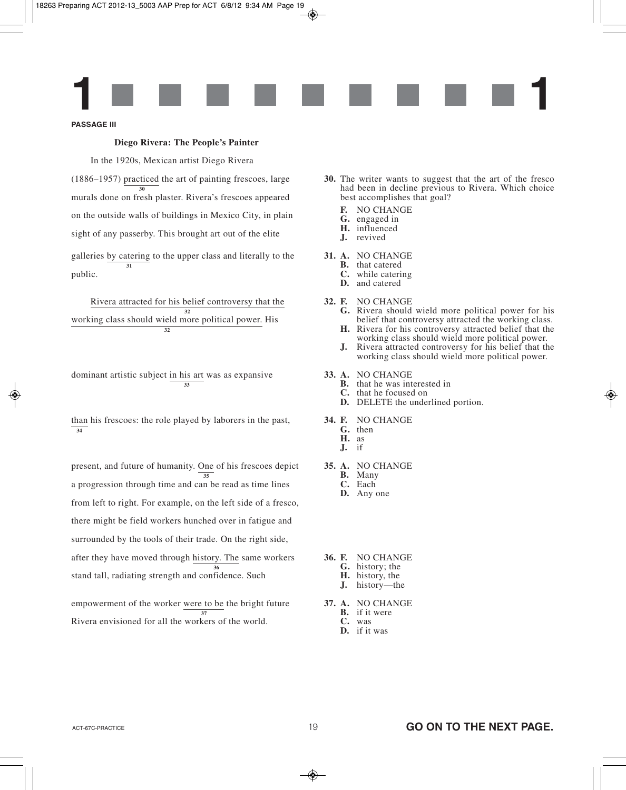

#### **PASSAGE III**

#### **Diego Rivera: The People's Painter**

In the 1920s, Mexican artist Diego Rivera (1886–1957) practiced the art of painting frescoes, large murals done on fresh plaster. Rivera's frescoes appeared on the outside walls of buildings in Mexico City, in plain sight of any passerby. This brought art out of the elite galleries by catering to the upper class and literally to the public. **30 31**

Rivera attracted for his belief controversy that the working class should wield more political power. His **32 32**

dominant artistic subject in his art was as expansive **33**

than his frescoes: the role played by laborers in the past, **34**

present, and future of humanity. One of his frescoes depict a progression through time and can be read as time lines from left to right. For example, on the left side of a fresco, there might be field workers hunched over in fatigue and surrounded by the tools of their trade. On the right side, after they have moved through history. The same workers stand tall, radiating strength and confidence. Such **35 36**

empowerment of the worker were to be the bright future Rivera envisioned for all the workers of the world. **37**

- **30.** The writer wants to suggest that the art of the fresco had been in decline previous to Rivera. Which choice best accomplishes that goal?
	- **F.** NO CHANGE
	- **G.** engaged in
	- **H.** influenced
	- **J.** revived
- **31. A.** NO CHANGE
	- **B.** that catered
	- **C.** while catering
	- **D.** and catered
- **32. F.** NO CHANGE
	- **G.** Rivera should wield more political power for his belief that controversy attracted the working class.
	- **H.** Rivera for his controversy attracted belief that the working class should wield more political power.
	- **J.** Rivera attracted controversy for his belief that the working class should wield more political power.
- **33. A.** NO CHANGE
	- **B.** that he was interested in
	- **C.** that he focused on
	- **D.** DELETE the underlined portion.
- **34. F.** NO CHANGE
	- **G.** then
	- **H.** as
	- **J.** if
- **35. A.** NO CHANGE
	- **B.** Many
	- **C.** Each
	- **D.** Any one
- **36. F.** NO CHANGE
	- **G.** history; the
	- **H.** history, the
	- **J.** history—the
- **37. A.** NO CHANGE
	- **B.** if it were
	- **C.** was
	- **D.** if it was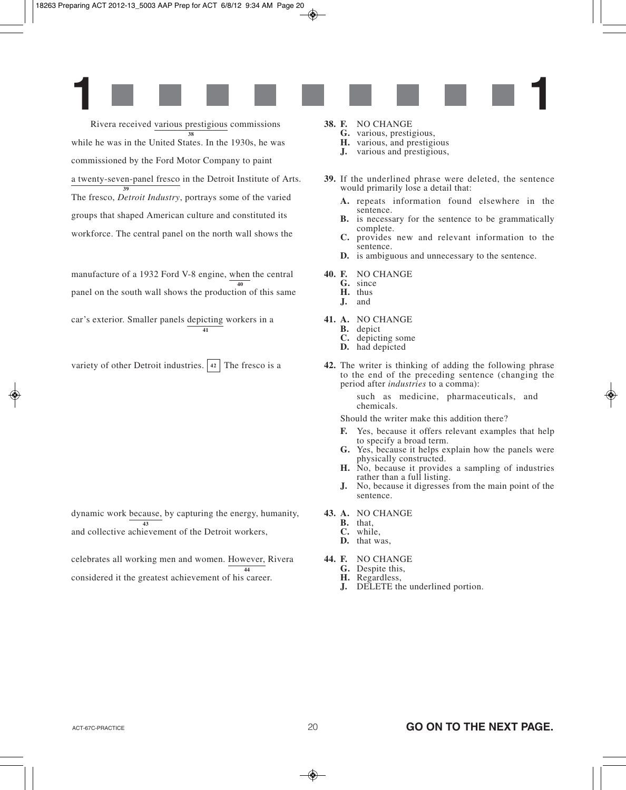

Rivera received various prestigious commissions while he was in the United States. In the 1930s, he was commissioned by the Ford Motor Company to paint a twenty-seven-panel fresco in the Detroit Institute of Arts. The fresco, *Detroit Industry*, portrays some of the varied groups that shaped American culture and constituted its workforce. The central panel on the north wall shows the **38 39**

manufacture of a 1932 Ford V-8 engine, when the central panel on the south wall shows the production of this same car's exterior. Smaller panels depicting workers in a **40**

**41**

variety of other Detroit industries.  $|42|$  The fresco is a

dynamic work because, by capturing the energy, humanity, and collective achievement of the Detroit workers, **43**

celebrates all working men and women. However, Rivera considered it the greatest achievement of his career. **44**

**38. F.** NO CHANGE

- **G.** various, prestigious,
- **H.** various, and prestigious
- **J.** various and prestigious,
- **39.** If the underlined phrase were deleted, the sentence would primarily lose a detail that:
	- **A.** repeats information found elsewhere in the sentence.
	- **B.** is necessary for the sentence to be grammatically complete.
	- **C.** provides new and relevant information to the sentence.
	- **D.** is ambiguous and unnecessary to the sentence.
- **40. F.** NO CHANGE
	- **G.** since
	- **H.** thus **J.** and
	-
- **41. A.** NO CHANGE
	- **B.** depict
	- **C.** depicting some
	- **D.** had depicted
- **42.** The writer is thinking of adding the following phrase to the end of the preceding sentence (changing the period after *industries* to a comma):

such as medicine, pharmaceuticals, and chemicals.

Should the writer make this addition there?

- **F.** Yes, because it offers relevant examples that help to specify a broad term.
- **G.** Yes, because it helps explain how the panels were physically constructed.
- **H.** No, because it provides a sampling of industries rather than a full listing.
- **J.** No, because it digresses from the main point of the sentence.
- **43. A.** NO CHANGE
	- **B.** that,
	- **C.** while,
	- **D.** that was,
- **44. F.** NO CHANGE
	- **G.** Despite this,
	- **H.** Regardless,
	- **J.** DELETE the underlined portion.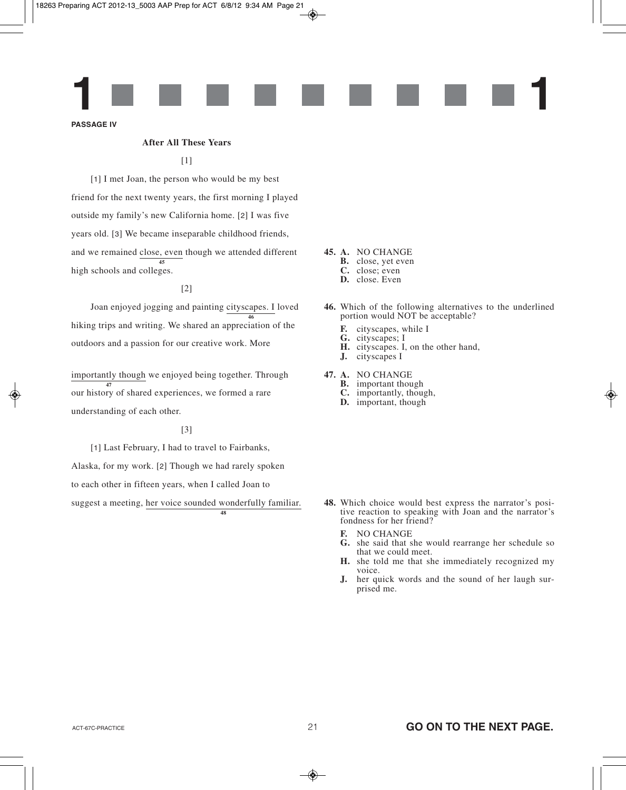

#### **PASSAGE IV**

#### **After All These Years**

#### $[1]$

[1] I met Joan, the person who would be my best friend for the next twenty years, the first morning I played outside my family's new California home. [2] I was five years old. [3] We became inseparable childhood friends, and we remained close, even though we attended different high schools and colleges. **45**

#### [2]

Joan enjoyed jogging and painting cityscapes. I loved hiking trips and writing. We shared an appreciation of the outdoors and a passion for our creative work. More **46**

importantly though we enjoyed being together. Through our history of shared experiences, we formed a rare **47** understanding of each other.

#### [3]

[1] Last February, I had to travel to Fairbanks,

Alaska, for my work. [2] Though we had rarely spoken

to each other in fifteen years, when I called Joan to

suggest a meeting, her voice sounded wonderfully familiar.

**48**

#### **45. A.** NO CHANGE

- **B.** close, yet even
- **C.** close; even
- **D.** close. Even
- **46.** Which of the following alternatives to the underlined portion would NOT be acceptable?
	- **F.** cityscapes, while I
	- **G.** cityscapes; I
	- **H.** cityscapes. I, on the other hand,
	- **J.** cityscapes I
- **47. A.** NO CHANGE
	- **B.** important though
	- **C.** importantly, though,
	- **D.** important, though

- **48.** Which choice would best express the narrator's positive reaction to speaking with Joan and the narrator's fondness for her friend?
	- **F.** NO CHANGE
	- **G.** she said that she would rearrange her schedule so that we could meet.
	- **H.** she told me that she immediately recognized my voice.
	- **J.** her quick words and the sound of her laugh surprised me.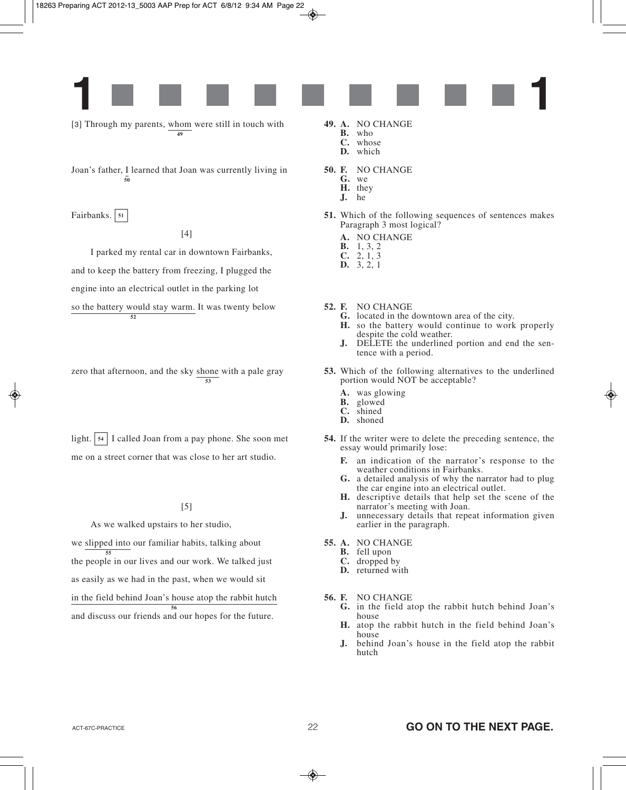

[3] Through my parents, whom were still in touch with **49**

Joan's father, I learned that Joan was currently living in **50**

Fairbanks.  $|51|$ 

[4]

I parked my rental car in downtown Fairbanks, and to keep the battery from freezing, I plugged the engine into an electrical outlet in the parking lot so the battery would stay warm. It was twenty below **52**

zero that afternoon, and the sky shone with a pale gray **53**

light.  $\vert$  54  $\vert$  I called Joan from a pay phone. She soon met me on a street corner that was close to her art studio.

 $[5]$ 

As we walked upstairs to her studio,

we slipped into our familiar habits, talking about the people in our lives and our work. We talked just as easily as we had in the past, when we would sit in the field behind Joan's house atop the rabbit hutch and discuss our friends and our hopes for the future. **55 56**

- **49. A.** NO CHANGE
	- **B.** who **C.** whose
	- **D.** which
- **50. F.** NO CHANGE
	- **G.** we
	- **H.** they **J.** he
		-
- **51.** Which of the following sequences of sentences makes Paragraph 3 most logical?
	- **A.** NO CHANGE
	- **B.** 1, 3, 2
	- **C.** 2, 1, 3
	- **D.** 3, 2, 1
- **52. F.** NO CHANGE
	- **G.** located in the downtown area of the city.
	- **H.** so the battery would continue to work properly despite the cold weather.
	- **J.** DELETE the underlined portion and end the sentence with a period.
- **53.** Which of the following alternatives to the underlined portion would NOT be acceptable?
	- **A.** was glowing
	- **B.** glowed
	- **C.** shined
	- **D.** shoned
- **54.** If the writer were to delete the preceding sentence, the essay would primarily lose:
	- **F.** an indication of the narrator's response to the weather conditions in Fairbanks.
	- **G.** a detailed analysis of why the narrator had to plug the car engine into an electrical outlet.
	- **H.** descriptive details that help set the scene of the narrator's meeting with Joan.
	- **J.** unnecessary details that repeat information given earlier in the paragraph.
- **55. A.** NO CHANGE
	- **B.** fell upon
	- **C.** dropped by
	- **D.** returned with
- **56. F.** NO CHANGE
	- **G.** in the field atop the rabbit hutch behind Joan's house
	- **H.** atop the rabbit hutch in the field behind Joan's house
	- **J.** behind Joan's house in the field atop the rabbit hutch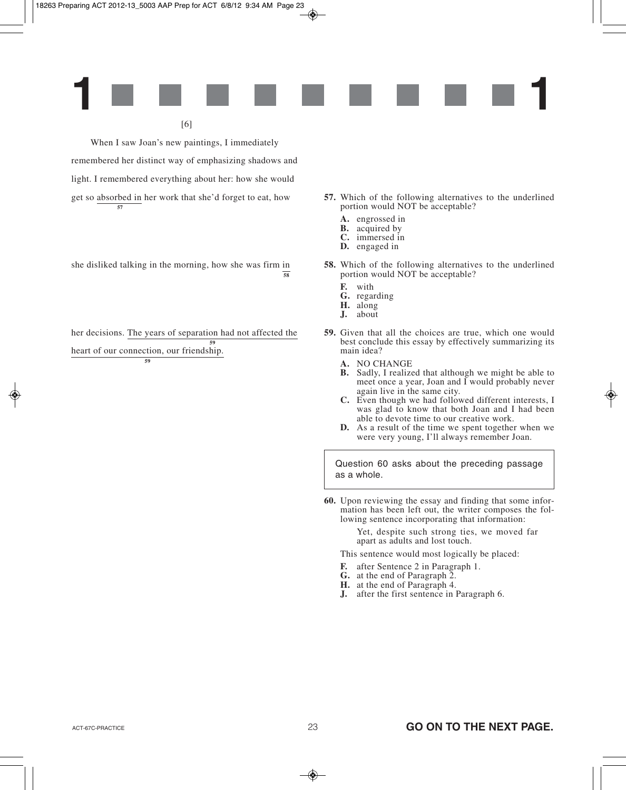

[6]

When I saw Joan's new paintings, I immediately remembered her distinct way of emphasizing shadows and light. I remembered everything about her: how she would get so absorbed in her work that she'd forget to eat, how **57**

she disliked talking in the morning, how she was firm in **58**

| her decisions. The years of separation had not affected the |  |
|-------------------------------------------------------------|--|
|                                                             |  |
| heart of our connection, our friendship.                    |  |
| 59                                                          |  |

- **57.** Which of the following alternatives to the underlined portion would NOT be acceptable?
	- **A.** engrossed in
	- **B.** acquired by
	- **C.** immersed in
	- **D.** engaged in
- **58.** Which of the following alternatives to the underlined portion would NOT be acceptable?
	- **F.** with
	- **G.** regarding
	- **H.** along
	- **J.** about
- **59.** Given that all the choices are true, which one would best conclude this essay by effectively summarizing its main idea?
	- **A.** NO CHANGE
	- **B.** Sadly, I realized that although we might be able to meet once a year, Joan and I would probably never again live in the same city.
	- **C.** Even though we had followed different interests, I was glad to know that both Joan and I had been able to devote time to our creative work.
	- **D.** As a result of the time we spent together when we were very young, I'll always remember Joan.

Question 60 asks about the preceding passage as a whole.

**60.** Upon reviewing the essay and finding that some information has been left out, the writer composes the following sentence incorporating that information:

> Yet, despite such strong ties, we moved far apart as adults and lost touch.

This sentence would most logically be placed:

- **F.** after Sentence 2 in Paragraph 1.
- **G.** at the end of Paragraph 2.
- **H.** at the end of Paragraph 4.
- **J.** after the first sentence in Paragraph 6.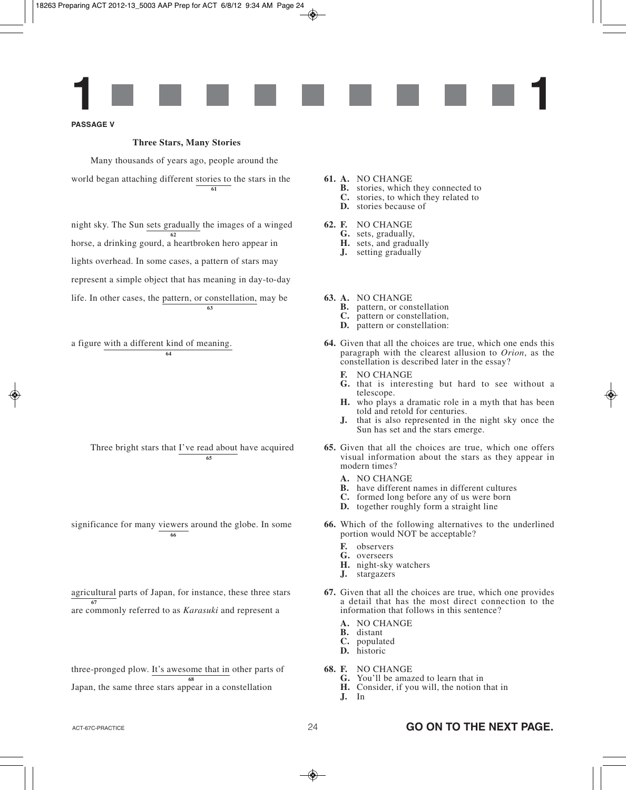

#### **PASSAGE V**

#### **Three Stars, Many Stories**

Many thousands of years ago, people around the world began attaching different stories to the stars in the **61**

night sky. The Sun sets gradually the images of a winged horse, a drinking gourd, a heartbroken hero appear in lights overhead. In some cases, a pattern of stars may represent a simple object that has meaning in day-to-day life. In other cases, the pattern, or constellation, may be **62 63**

#### a figure with a different kind of meaning. **64**

Three bright stars that I've read about have acquired **65**

significance for many viewers around the globe. In some **66**

agricultural parts of Japan, for instance, these three stars are commonly referred to as *Karasuki* and represent a **67**

three-pronged plow. It's awesome that in other parts of Japan, the same three stars appear in a constellation **68**

#### **61. A.** NO CHANGE

- **B.** stories, which they connected to
- **C.** stories, to which they related to
- **D.** stories because of
- **62. F.** NO CHANGE
	- **G.** sets, gradually,
	- **H.** sets, and gradually
	- **J.** setting gradually

#### **63. A.** NO CHANGE

- **B.** pattern, or constellation
- **C.** pattern or constellation,
- **D.** pattern or constellation:
- **64.** Given that all the choices are true, which one ends this paragraph with the clearest allusion to *Orion*, as the constellation is described later in the essay?
	- **F.** NO CHANGE
	- **G.** that is interesting but hard to see without a telescope.
	- **H.** who plays a dramatic role in a myth that has been told and retold for centuries.
	- **J.** that is also represented in the night sky once the Sun has set and the stars emerge.
- **65.** Given that all the choices are true, which one offers visual information about the stars as they appear in modern times?
	- **A.** NO CHANGE
	- **B.** have different names in different cultures
	- **C.** formed long before any of us were born
	- **D.** together roughly form a straight line
- **66.** Which of the following alternatives to the underlined portion would NOT be acceptable?
	- **F.** observers
	- **G.** overseers
	- **H.** night-sky watchers
	- **J.** stargazers
- **67.** Given that all the choices are true, which one provides a detail that has the most direct connection to the information that follows in this sentence?
	- **A.** NO CHANGE
	- **B.** distant
	- **C.** populated
	- **D.** historic
- **68. F.** NO CHANGE
	- **G.** You'll be amazed to learn that in
	- **H.** Consider, if you will, the notion that in
	- **J.** In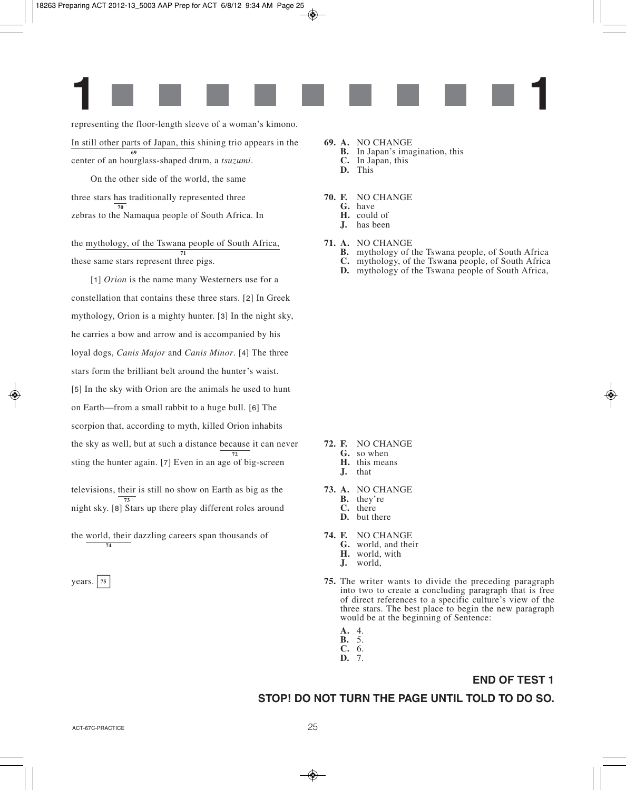

representing the floor-length sleeve of a woman's kimono. In still other parts of Japan, this shining trio appears in the center of an hourglass-shaped drum, a *tsuzumi*. **69**

On the other side of the world, the same three stars has traditionally represented three zebras to the Namaqua people of South Africa. In **70**

the mythology, of the Tswana people of South Africa, these same stars represent three pigs. **71**

[1] *Orion* is the name many Westerners use for a constellation that contains these three stars. [2] In Greek mythology, Orion is a mighty hunter. [3] In the night sky, he carries a bow and arrow and is accompanied by his loyal dogs, *Canis Major* and *Canis Minor*. [4] The three stars form the brilliant belt around the hunter's waist. [5] In the sky with Orion are the animals he used to hunt on Earth—from a small rabbit to a huge bull. [6] The scorpion that, according to myth, killed Orion inhabits the sky as well, but at such a distance because it can never sting the hunter again. [7] Even in an age of big-screen **72**

televisions, their is still no show on Earth as big as the night sky. [8] Stars up there play different roles around **73**

the world, their dazzling careers span thousands of **74**

years.  $75$ 

#### **69. A.** NO CHANGE

- **B.** In Japan's imagination, this
- **C.** In Japan, this
- **D.** This
- **70. F.** NO CHANGE
	- **G.** have
	- **H.** could of
	- **J.** has been
- **71. A.** NO CHANGE
	- **B.** mythology of the Tswana people, of South Africa
	- **C.** mythology, of the Tswana people, of South Africa
	- **D.** mythology of the Tswana people of South Africa,

- **72. F.** NO CHANGE
	- **G.** so when
	- **H.** this means
	- **J.** that
- **73. A.** NO CHANGE
	- **B.** they're **C.** there
	- **D.** but there
- **74. F.** NO CHANGE
	- **G.** world, and their
	- **H.** world, with
	- **J.** world,
- **75.** The writer wants to divide the preceding paragraph into two to create a concluding paragraph that is free of direct references to a specific culture's view of the three stars. The best place to begin the new paragraph would be at the beginning of Sentence:
	- **A.** 4.
	- **B.** 5.
	- **C.** 6. **D.** 7.

#### **END OF TEST 1**

#### **STOP! DO NOT TURN THE PAGE UNTIL TOLD TO DO SO.**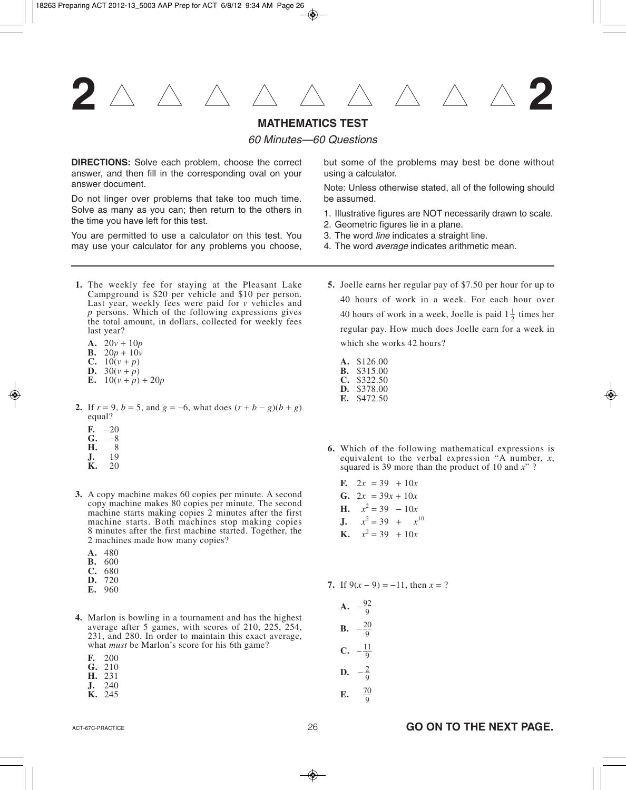

#### **MATHEMATICS TEST**

60 Minutes—60 Questions

**DIRECTIONS:** Solve each problem, choose the correct answer, and then fill in the corresponding oval on your answer document.

Do not linger over problems that take too much time. Solve as many as you can; then return to the others in the time you have left for this test.

You are permitted to use a calculator on this test. You may use your calculator for any problems you choose,

- **1.** The weekly fee for staying at the Pleasant Lake Campground is \$20 per vehicle and \$10 per person. Last year, weekly fees were paid for *v* vehicles and *p* persons. Which of the following expressions gives the total amount, in dollars, collected for weekly fees last year?
	- A.  $20v + 10p$
	- **B.**  $20p + 10v$
	- **C.**  $10(v + p)$
	- **D.**  $30(v + p)$
	- **E.**  $10(v + p) + 20p$
- **2.** If  $r = 9$ ,  $b = 5$ , and  $g = -6$ , what does  $(r + b g)(b + g)$ equal?
	-
	- **F.**  $-20$ <br>**G.**  $-8$  $\frac{-8}{8}$
	- **H.**<br>**J.**
	- **J.** 19<br>**K.** 20
	- **K.** 20
- **3.** A copy machine makes 60 copies per minute. A second copy machine makes 80 copies per minute. The second machine starts making copies 2 minutes after the first machine starts. Both machines stop making copies 8 minutes after the first machine started. Together, the 2 machines made how many copies?
	- **A.** 480
	- **B.** 600
	- **C.** 680 **D.** 720
	- **E.** 960
	-
- **4.** Marlon is bowling in a tournament and has the highest average after 5 games, with scores of 210, 225, 254, 231, and 280. In order to maintain this exact average, what *must* be Marlon's score for his 6th game?
	- **F.** 200
	- **G.** 210
	- **H.** 231<br>**J.** 240
	- **J.**
	- **K.** 245

but some of the problems may best be done without using a calculator.

Note: Unless otherwise stated, all of the following should be assumed.

- 1. Illustrative figures are NOT necessarily drawn to scale.
- 2. Geometric figures lie in a plane.
- 3. The word *line* indicates a straight line.
- 4. The word average indicates arithmetic mean.
- **5.** Joelle earns her regular pay of \$7.50 per hour for up to 40 hours of work in a week. For each hour over 40 hours of work in a week, Joelle is paid  $1\frac{1}{2}$  times her regular pay. How much does Joelle earn for a week in which she works 42 hours? 2
	- **A.** \$126.00 **B.** \$315.00
	- **C.** \$322.50 **D.** \$378.00
	- **E.** \$472.50
- **6.** Which of the following mathematical expressions is equivalent to the verbal expression "A number, *x*, squared is 39 more than the product of 10 and *x*" ?
	- **F.**  $2x = 39 + 10x$ **G.**  $2x = 39x + 10x$ **H.**  $x^2 = 39 - 10x$ **J.**  $x^2 = 39 + x^{10}$ **K.**  $x^2 = 39 + 10x$
- 7. If  $9(x-9) = -11$ , then  $x = ?$ 
	- **A.**  $-\frac{92}{9}$ **B.**  $-\frac{20}{0}$ **C.**  $-\frac{11}{0}$ **D.**  $-\frac{2}{9}$ **E.**  $\frac{70}{9}$ 9 9 9 9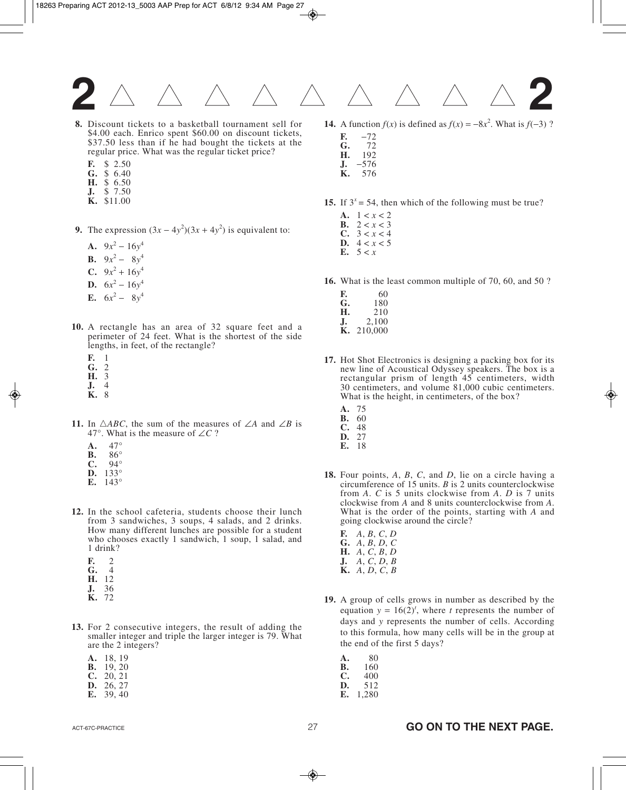**2 2**

- **8.** Discount tickets to a basketball tournament sell for \$4.00 each. Enrico spent \$60.00 on discount tickets, \$37.50 less than if he had bought the tickets at the regular price. What was the regular ticket price?
	- **F.** \$02.50
	- G. \$6.40
	- **H.** \$6.50
	- **J.**  $$7.50$ **K.** \$11.00
- **9.** The expression  $(3x 4y^2)(3x + 4y^2)$  is equivalent to:
	- **A.**  $9x^2 16y^4$
	- **B.**  $9x^2 8y^4$
	- **C.**  $9x^2 + 16y^4$
	- **D.**  $6x^2 16y^4$
	- **E.**  $6x^2 8y^4$
- **10.** A rectangle has an area of 32 square feet and a perimeter of 24 feet. What is the shortest of the side lengths, in feet, of the rectangle?
	- **F.** 1
	- **G.** 2
	- **H.** 3 **J.** 4
	- **K.** 8
- **11.** In  $\triangle ABC$ , the sum of the measures of ∠*A* and ∠*B* is 47°. What is the measure of ∠*C* ?
	- **A.**  $47^{\circ}$
	- $B. 86°$
	- $C. 94°$
	- **D.** 133° **E.** 143°
- **12.** In the school cafeteria, students choose their lunch from 3 sandwiches, 3 soups, 4 salads, and 2 drinks. How many different lunches are possible for a student who chooses exactly 1 sandwich, 1 soup, 1 salad, and 1 drink?
	- **F.** 2
	- G. 4
	- **H.** 12
	- **J.** 36
	- **K.** 72
- **13.** For 2 consecutive integers, the result of adding the smaller integer and triple the larger integer is 79. What are the 2 integers?

| $\sim$ |  |
|--------|--|
|        |  |

- **B.** 19, 20
- **C.** 20, 21
- **D.** 26, 27 **E.** 39, 40
- **14.** A function  $f(x)$  is defined as  $f(x) = -8x^2$ . What is  $f(-3)$ ?
	- **F.**  $-72$ <br>**G.** 72 **G.** 72<br>**H.** 192 **H.** 0192
	- **J.**  $-576$ <br>**K.** 576 **K.** 0576
- **15.** If  $3^x = 54$ , then which of the following must be true?
	- A.  $1 < x < 2$ **B.**  $2 < x < 3$
	- **C.** 3 < *x* < 4
	- **D.**  $4 < x < 5$
	- **E.**  $5 < x$
- **16.** What is the least common multiple of 70, 60, and 50 ?
	- **F.** 60<br>**G.** 180 180 **H.** 210
	- $J. 2,100$
	- **K.** 210,000
- **17.** Hot Shot Electronics is designing a packing box for its new line of Acoustical Odyssey speakers. The box is a rectangular prism of length 45 centimeters, width 30 centimeters, and volume 81,000 cubic centimeters. What is the height, in centimeters, of the box?
	- **A.** 75
	- **B.** 60
	- **C.** 48 **D.** 27
	- **E.** 18
- **18.** Four points, *A*, *B*, *C*, and *D*, lie on a circle having a circumference of 15 units. *B* is 2 units counterclockwise from *A*. *C* is 5 units clockwise from *A*. *D* is 7 units clockwise from *A* and 8 units counterclockwise from *A*. What is the order of the points, starting with *A* and going clockwise around the circle?
	- **F.** *A*, *B*, *C*, *D* **G.** *A*, *B*, *D*, *C* **H.** *A*, *C*, *B*, *D* **J.** *A*, *C*, *D*, *B* **K.** *A*, *D*, *C*, *B*
- **19.** A group of cells grows in number as described by the equation  $y = 16(2)^t$ , where *t* represents the number of days and *y* represents the number of cells. According to this formula, how many cells will be in the group at the end of the first 5 days?
	- **A.** 80<br>**B.** 160 **B.** 160<br>**C.** 400 **C.** 400<br>**D.** 512 **D.** 0,512 **E.** 1,280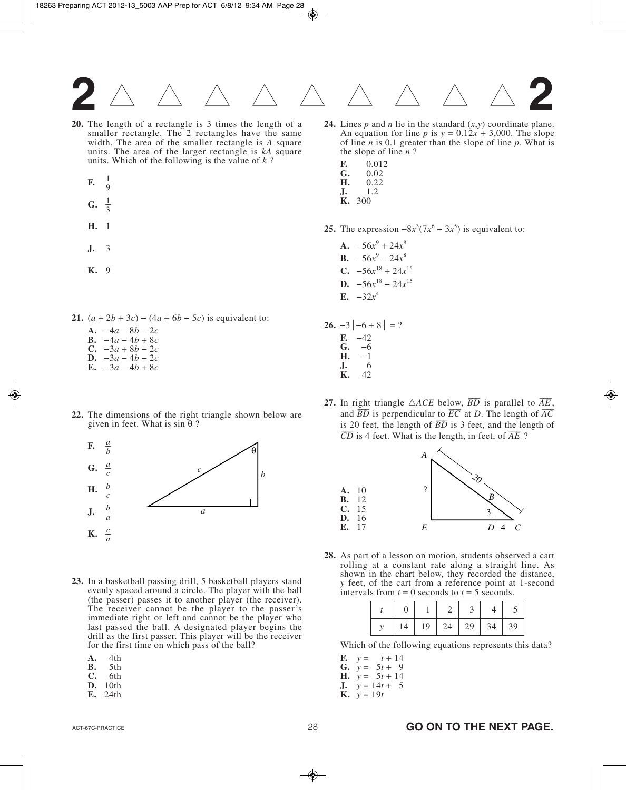**2 2**

- **20.** The length of a rectangle is 3 times the length of a smaller rectangle. The 2 rectangles have the same width. The area of the smaller rectangle is *A* square units. The area of the larger rectangle is *kA* square units. Which of the following is the value of *k* ?
	- **F.**  $\overline{1}$ 9
	- **G.**  $\overline{1}$
	- 3
	- **H.** 1
	- **J.** 3
	- **K.** 9
- **21.**  $(a + 2b + 3c) (4a + 6b 5c)$  is equivalent to:
	- **A.** −4*a* − 8*b* − 2*c* **B.**  $-4a - 4b + 8c$
	- **C.** −3*a* + 8*b* − 2*c*
	- **D.** −3*a* − 4*b* − 2*c*
	- **E.** −3*a* − 4*b* + 8*c*
- **22.** The dimensions of the right triangle shown below are given in feet. What is  $sin \theta$ ?



**23.** In a basketball passing drill, 5 basketball players stand evenly spaced around a circle. The player with the ball (the passer) passes it to another player (the receiver). The receiver cannot be the player to the passer's immediate right or left and cannot be the player who last passed the ball. A designated player begins the drill as the first passer. This player will be the receiver for the first time on which pass of the ball?

| А. | 4th |
|----|-----|
|    |     |

- **B.** 5th<br>**C.** 6th
- **C.** 6th<br>**D.** 10th
- **D.** 10th
- **E.** 24th
- **24.** Lines  $p$  and  $n$  lie in the standard  $(x, y)$  coordinate plane. An equation for line *p* is  $y = 0.12x + 3,000$ . The slope of line *n* is 0.1 greater than the slope of line *p*. What is the slope of line *n* ?
	- **F.**  $0.012$ <br>**G.**  $0.02$
	- **G.** 0.02<br>**H.** 0.22  $0.22$
	- $J. 1.2$ **K.** 300
	-

**25.** The expression  $-8x^3(7x^6 - 3x^5)$  is equivalent to:

- **A.**  $-56x^9 + 24x^8$ **B.**  $-56x^9 - 24x^8$ **C.**  $-56x^{18} + 24x^{15}$ **D.**  $-56x^{18} - 24x^{15}$ **E.**  $-32x^4$
- **26.**  $-3|-6+8|=?$ **F.**  $-42$ <br>**G.**  $-6$ **G.**  $-6$ <br>**H.**  $-1$  $\frac{-1}{6}$ 
	- $J<sub>1</sub>$ **K.** 42
- **27.** In right triangle  $\triangle ACE$  below,  $\overline{BD}$  is parallel to  $\overline{AE}$ , In right triangle  $\triangle$ *ACE* below, *BD* is parallel to *AE*, and  $\overline{BD}$  is perpendicular to  $\overline{EC}$  at *D*. The length of  $\overline{AC}$ and *BD* is perpendicular to *EC* at *D*. The length of *AC* is 20 feet, the length of  $\overline{BD}$  is 3 feet, and the length of is 20 feet, the length of *BD* is 3 feet, and the length  $\overline{CD}$  is 4 feet. What is the length, in feet, of  $\overline{AE}$  ?



**28.** As part of a lesson on motion, students observed a cart rolling at a constant rate along a straight line. As shown in the chart below, they recorded the distance, *y* feet, of the cart from a reference point at 1-second intervals from  $t = 0$  seconds to  $t = 5$  seconds.

| 14 |  | $19 \mid 24 \mid 29 \mid 34$ | 39 |
|----|--|------------------------------|----|

Which of the following equations represents this data?

**F.**  $y = t + 14$ **G.**  $y = 5t + 9$ **H.**  $y = 5t + 14$ **J.**  $y = 14t + 5$ **K.**  $y = 19t$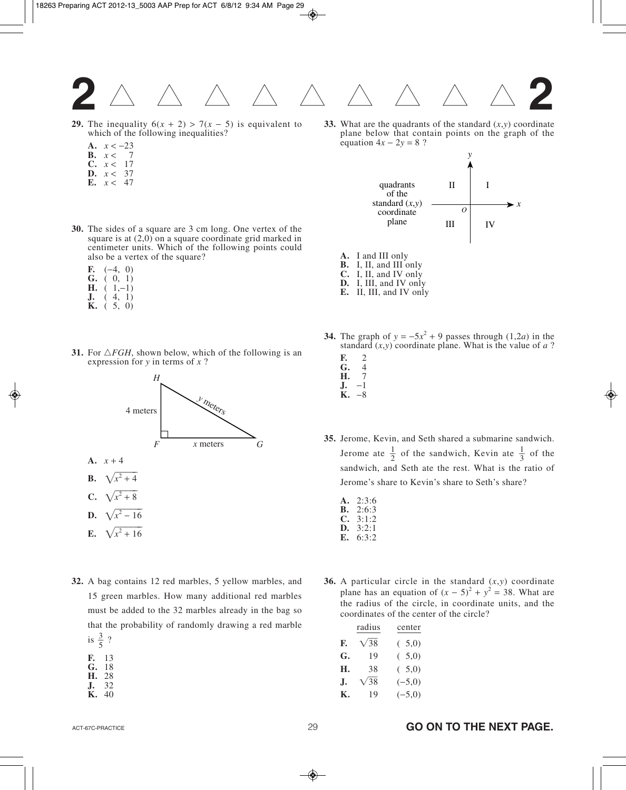

- **29.** The inequality  $6(x + 2) > 7(x 5)$  is equivalent to which of the following inequalities?
	- **A.**  $x < -23$ <br>**B.**  $x < -7$
	- **B.**  $x <$
	- **C.** *x* < 17
	- **D.** *x* < 37
	- **E.**  $x < 47$
- **30.** The sides of a square are 3 cm long. One vertex of the square is at  $(2,0)$  on a square coordinate grid marked in centimeter units. Which of the following points could also be a vertex of the square?
	- **F.**  $(-4, 0)$
	- **G.** ( 0, 1)
	- **H.** ( 1,−1)
	- **J.** ( 4, 1)
	- **K.** ( 5, 0)
- **31.** For  $\triangle FGH$ , shown below, which of the following is an expression for *y* in terms of *x* ?



- **32.** A bag contains 12 red marbles, 5 yellow marbles, and 15 green marbles. How many additional red marbles must be added to the 32 marbles already in the bag so that the probability of randomly drawing a red marble
	- is  $\frac{3}{5}$  ? 5
	- **F.** 13
	- **G.** 18
	- **H.** 28 **J.** 32
	- **K.** 40

**33.** What are the quadrants of the standard  $(x, y)$  coordinate plane below that contain points on the graph of the equation  $4x - 2y = 8$  ?



- **A.** I and III only
- **B.** I, II, and III only **C.** I, II, and IV only
- **D.** I, III, and IV only
- **E.** II, III, and IV only
- **34.** The graph of  $y = -5x^2 + 9$  passes through (1,2*a*) in the standard  $(x, y)$  coordinate plane. What is the value of *a* ?
	- **F.** 2<br>**G.** 4
	- G.<br>H. **H.** 7
	- **J.** −1
	- **K.** −8
- **35.** Jerome, Kevin, and Seth shared a submarine sandwich. Jerome ate  $\frac{1}{2}$  of the sandwich, Kevin ate  $\frac{1}{2}$  of the sandwich, and Seth ate the rest. What is the ratio of Jerome's share to Kevin's share to Seth's share? 2  $\overline{1}$ 3
	- **A.** 2:3:6 **B.** 2:6:3 **C.** 3:1:2 **D.** 3:2:1
	- **E.** 6:3:2
- **36.** A particular circle in the standard (*x*,*y*) coordinate plane has an equation of  $(x - 5)^2 + y^2 = 38$ . What are the radius of the circle, in coordinate units, and the coordinates of the center of the circle?

|    | radius      | center   |
|----|-------------|----------|
| F. | $\sqrt{38}$ | (5,0)    |
| G. | 19          | (5,0)    |
| Н. | 38          | (5,0)    |
| Л. | $\sqrt{38}$ | $(-5,0)$ |
| К. | 19          | $(-5,0)$ |
|    |             |          |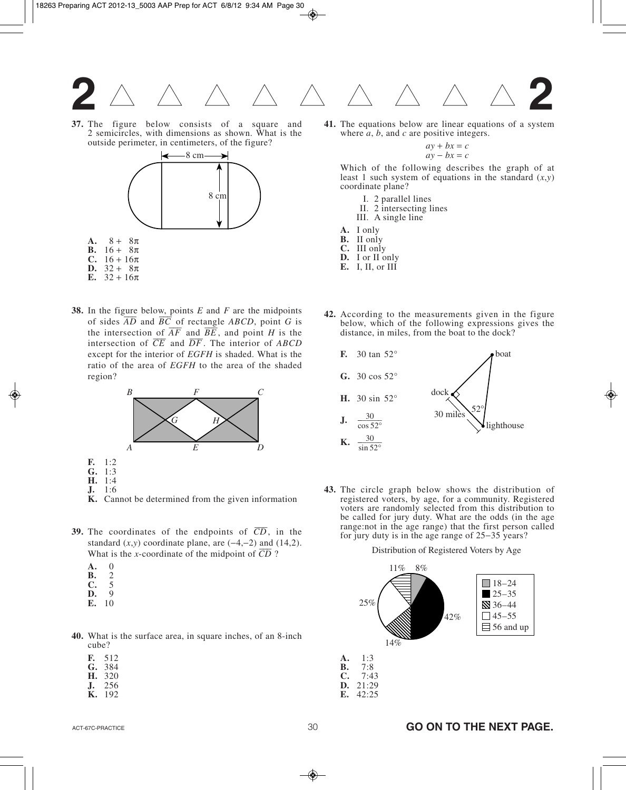

**37.** The figure below consists of a square and 2 semicircles, with dimensions as shown. What is the outside perimeter, in centimeters, of the figure?



**38.** In the figure below, points *E* and *F* are the midpoints In the figure below, points *E* and *F* are the midpoints<br>of sides  $\overline{AD}$  and  $\overline{BC}$  of rectangle *ABCD*, point *G* is of sides  $AD$  and  $BC$  of rectangle  $ABCD$ , point *G* is the intersection of  $\overline{AF}$  and  $\overline{BE}$ , and point *H* is the the intersection of  $AF$  and  $BE$ , and point *H* is the intersection of  $\overline{CE}$  and  $\overline{DF}$ . The interior of *ABCD* except for the interior of *EGFH* is shaded. What is the ratio of the area of *EGFH* to the area of the shaded region?



- **K.** Cannot be determined from the given information
- **39.** The coordinates of the endpoints of  $\overline{CD}$ , in the standard  $(x, y)$  coordinate plane, are  $(-4, -2)$  and  $(14, 2)$ . standard  $(x, y)$  coordinate plane, are  $(-4, -2)$  and  $(y)$ <br>What is the *x*-coordinate of the midpoint of  $\overline{CD}$  ?
	- **A.** 0<br>**B.** 2
	- **B.**  $2 \overline{C}$ . 5
	- **C.**  $\frac{5}{9}$
	- **D.**<br>**E. E.** 10
- **40.** What is the surface area, in square inches, of an 8-inch cube?

| F. | 512 |
|----|-----|
| G. | 384 |
| н. | 320 |

- **J.** 256<br>**K.** 192
- **K.** 192

**41.** The equations below are linear equations of a system where *a*, *b*, and *c* are positive integers.

$$
ay + bx = c
$$
  
 
$$
ay - bx = c
$$

Which of the following describes the graph of at least 1 such system of equations in the standard (*x*,*y*) coordinate plane?

- I. 2 parallel lines
- II. 2 intersecting lines
- III. A single line
- **A.** I only
- **B.** II only
- **C.** III only
- **D.** I or II only
- **E.** I, II, or III
- **42.** According to the measurements given in the figure below, which of the following expressions gives the distance, in miles, from the boat to the dock?



**43.** The circle graph below shows the distribution of registered voters, by age, for a community. Registered voters are randomly selected from this distribution to be called for jury duty. What are the odds (in the age range:not in the age range) that the first person called for jury duty is in the age range of 25−35 years?

Distribution of Registered Voters by Age



#### ACT-67C-PRACTICE **GO ON TO THE NEXT PAGE.**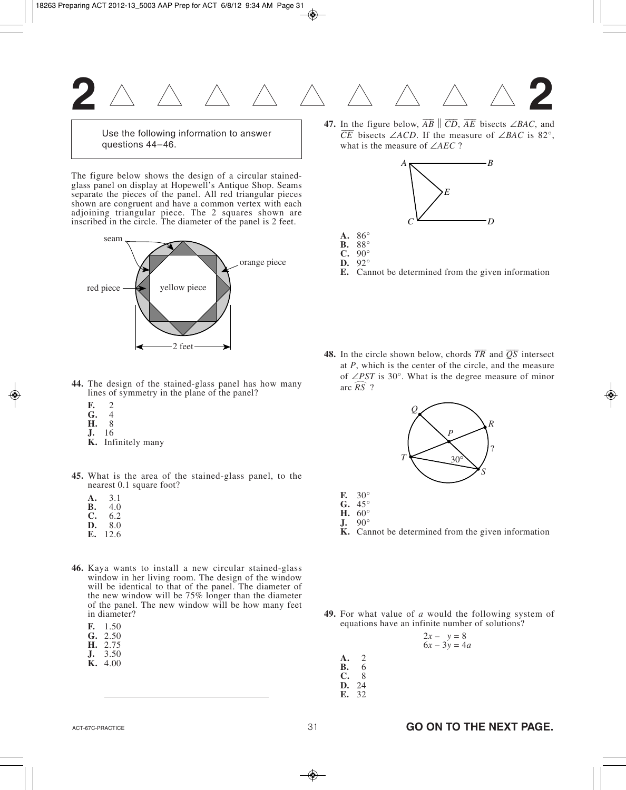

Use the following information to answer questions 44–46.

The figure below shows the design of a circular stainedglass panel on display at Hopewell's Antique Shop. Seams separate the pieces of the panel. All red triangular pieces shown are congruent and have a common vertex with each adjoining triangular piece. The 2 squares shown are inscribed in the circle. The diameter of the panel is 2 feet.



- **44.** The design of the stained-glass panel has how many lines of symmetry in the plane of the panel?
	- **F.**  $2\text{ }6.4$
	- **G.** 4<br>**H.** 8
	- **H.** 08
	- **J.** 16
	- **K.** Infinitely many
- **45.** What is the area of the stained-glass panel, to the nearest 0.1 square foot?
	- **A.**  $3.1$ <br>**B.**  $4.0$
	- **B.**  $4.0$ <br>**C.**  $6.2$
	- **C.**  $6.2$ <br>**D.**  $8.0$
	- **D.** 08.0
	- **E.** 12.6
- **46.** Kaya wants to install a new circular stained-glass window in her living room. The design of the window will be identical to that of the panel. The diameter of the new window will be 75% longer than the diameter of the panel. The new window will be how many feet in diameter?
	- **F.** 1.50
	- **G.** 2.50
	- **H.** 2.75
	- **J.** 3.50 **K.** 4.00

**47.** In the figure below,  $\overline{AB} \parallel \overline{CD}$ ,  $\overline{AE}$  bisects ∠*BAC*, and *CE* bisects ∠*ACD*. If the measure of ∠*BAC* is 82°, what is the measure of ∠*AEC* ?









- **E.** Cannot be determined from the given information
- **48.** In the circle shown below, chords  $\overline{TR}$  and  $\overline{QS}$  intersect at *P*, which is the center of the circle, and the measure of ∠*PST* is 30°. What is the degree measure of minor  $\overline{RS}$  ?



- **F.** 30°
- **G.** 45°
- **H.** 60°
- **J.** 90°
- **K.** Cannot be determined from the given information
- **49.** For what value of *a* would the following system of equations have an infinite number of solutions?

$$
2x - y = 8
$$
  
6x - 3y = 4a

**A.** 2<br>**B.** 6 **B.** 6<br>**C.** 8 **C. D. D.** 24<br>**E.** 32 **E.** 32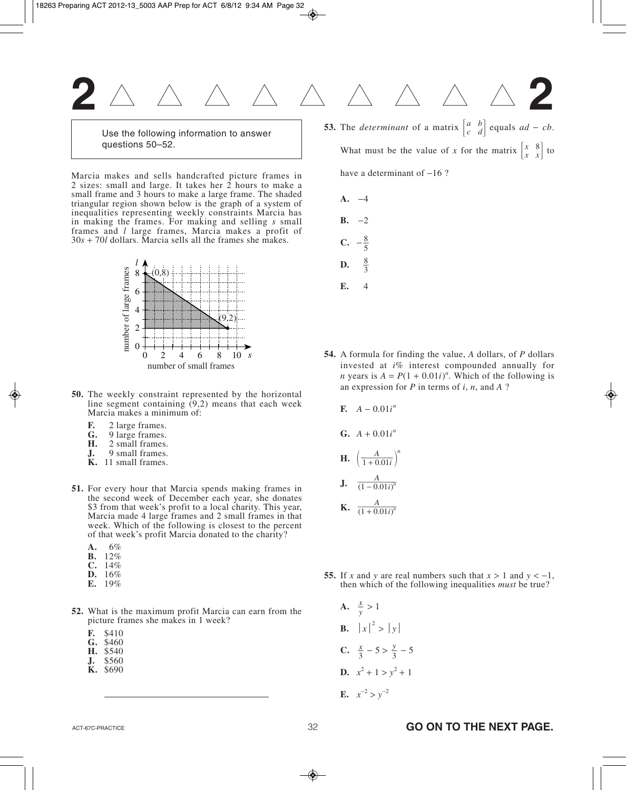# **2 2**

Use the following information to answer questions 50–52.

Marcia makes and sells handcrafted picture frames in 2 sizes: small and large. It takes her  $\overline{2}$  hours to make a small frame and 3 hours to make a large frame. The shaded triangular region shown below is the graph of a system of inequalities representing weekly constraints Marcia has in making the frames. For making and selling *s* small frames and *l* large frames, Marcia makes a profit of 30*s* + 70*l* dollars. Marcia sells all the frames she makes.



- **50.** The weekly constraint represented by the horizontal line segment containing (9,2) means that each week Marcia makes a minimum of:
	- **F.** 2 large frames.<br>**G.** 9 large frames.
	- **G.** 9 large frames.<br>**H.** 2 small frames.
	-
	- **H.** 2 small frames.<br>**J.** 9 small frames. **J.** 09 small frames.
	- **K.** 11 small frames.
- **51.** For every hour that Marcia spends making frames in the second week of December each year, she donates \$3 from that week's profit to a local charity. This year, Marcia made 4 large frames and 2 small frames in that week. Which of the following is closest to the percent of that week's profit Marcia donated to the charity?
	- **A.** 6%
	- **B.** 12%
	- **C.** 14% **D.** 16%
	- **E.** 19%
	-
- **52.** What is the maximum profit Marcia can earn from the picture frames she makes in 1 week?
	- **F.** \$410
	- **G.** \$460
	- **H.** \$540
	- **J.** \$560 **K.** \$690
- **53.** The *determinant* of a matrix  $\begin{vmatrix} a & b \\ c & d \end{vmatrix}$  equals  $ad cb$ . What must be the value of *x* for the matrix  $\begin{vmatrix} x & 8 \\ x & x \end{vmatrix}$  to have a determinant of −16 ? *x* 8 *x c b d*
	- $A. -4$
	- $B. -2$
	- **C.**  $-\frac{8}{5}$ 5
	- **D.**  $\frac{8}{5}$ 3
	- **E.** 4
- **54.** A formula for finding the value, *A* dollars, of *P* dollars invested at *i*% interest compounded annually for *n* years is  $A = P(1 + 0.01i)^n$ . Which of the following is an expression for *P* in terms of *i*, *n*, and *A* ?
	- **F.**  $A 0.01i^n$
	- **G.**  $A + 0.01i^n$
	- **H.**  $\left(\frac{A}{1+0.01i}\right)^n$ 1 + 0.01*i*
	- **J.**  $\frac{A}{(1 0.01i)^n}$  $\overline{(1 - 0.01i)^n}$
	- **K.**  $\frac{A}{(1 + 0.01i)^n}$
- **55.** If *x* and *y* are real numbers such that  $x > 1$  and  $y < -1$ , then which of the following inequalities *must* be true?
	- A.  $\frac{x}{y} > 1$ **B.**  $|x|^2 > |y|$ **C.**  $\frac{x}{2} - 5 > \frac{y}{2} - 5$ **D.**  $x^2 + 1 > y^2 + 1$ **E.**  $x^{-2} > y^{-2}$ 3 \_*y* \_ 3 *y*

#### ACT-67C-PRACTICE **GO ON TO THE NEXT PAGE.**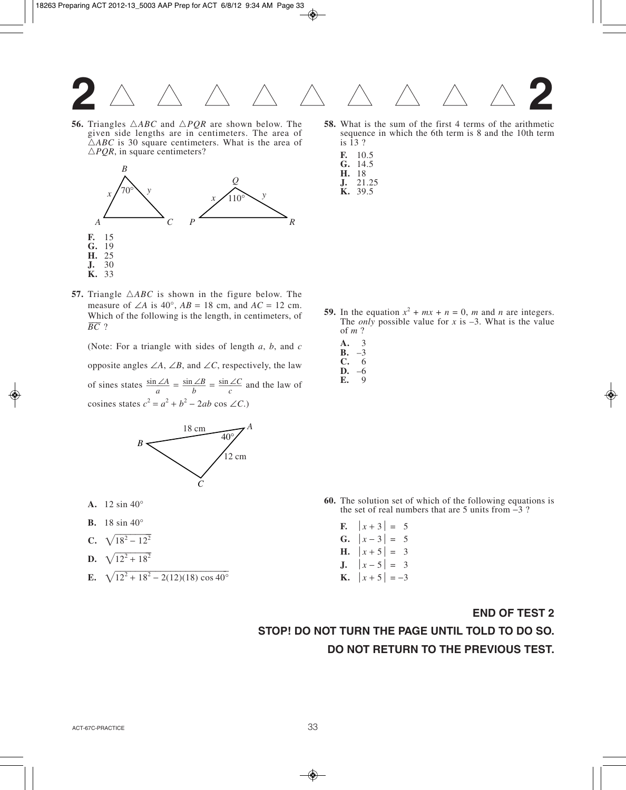

**56.** Triangles  $\triangle ABC$  and  $\triangle PQR$  are shown below. The given side lengths are in centimeters. The area of  $\triangle ABC$  is 30 square centimeters. What is the area of  $\triangle PQR$ , in square centimeters?



**57.** Triangle  $\triangle ABC$  is shown in the figure below. The measure of ∠*A* is 40°,  $AB = 18$  cm, and  $AC = 12$  cm. Which of the following is the length, in centimeters, of *BC* ?

(Note: For a triangle with sides of length *a*, *b*, and *c*

opposite angles ∠*A*, ∠*B*, and ∠*C*, respectively, the law

of sines states  $\frac{\sin 2A}{\sin 2A} = \frac{\sin 2B}{\sin 2C}$  and the law of cosines states  $c^2 = a^2 + b^2 - 2ab \cos \angle C$ .) *a*  $\sin \angle B$ *b*  $\sin \angle C$ *c*



- **A.** 12 sin  $40^{\circ}$
- **B.** 18 sin  $40^{\circ}$
- **C.**  $\sqrt{18^2 12^2}$
- **D.**  $\sqrt{12^2 + 18^2}$
- **E.**  $\sqrt{12^2 + 18^2 2(12)(18) \cos 40^\circ}$

sequence in which the 6th term is 8 and the 10th term is 13 ? **F.** 10.5

**58.** What is the sum of the first 4 terms of the arithmetic

- **G.** 14.5 **H.** 18
- **J.** 21.25
- **K.** 39.5

- **59.** In the equation  $x^2 + mx + n = 0$ , *m* and *n* are integers. The *only* possible value for  $x$  is  $-3$ . What is the value of *m* ?
	- **A.** 3 **B.**  $-3$ <br>**C.** 6 **C.** 6
	- **D.**  $-6$ <br>**E.** 9
	- **E.** 9

- **60.** The solution set of which of the following equations is the set of real numbers that are 5 units from −3 ?
	- **F.**  $|x+3| = 5$ **G.**  $|x-3| = 5$ **H.**  $|x+5| = 3$ **J.**  $|x-5| = 3$ **K.**  $|x+5| = -3$
- **END OF TEST 2 STOP! DO NOT TURN THE PAGE UNTIL TOLD TO DO SO. DO NOT RETURN TO THE PREVIOUS TEST.**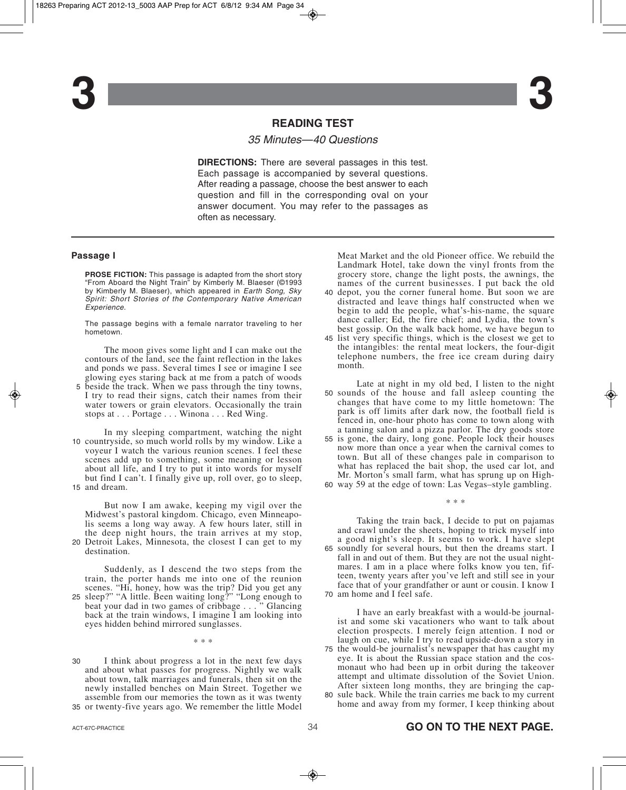#### **READING TEST**

#### 35 Minutes—40 Questions

**DIRECTIONS:** There are several passages in this test. Each passage is accompanied by several questions. After reading a passage, choose the best answer to each question and fill in the corresponding oval on your answer document. You may refer to the passages as often as necessary.

#### **Passage I**

**PROSE FICTION:** This passage is adapted from the short story "From Aboard the Night Train" by Kimberly M. Blaeser (©1993 by Kimberly M. Blaeser), which appeared in Earth Song, Sky Spirit: Short Stories of the Contemporary Native American Experience.

The passage begins with a female narrator traveling to her hometown.

The moon gives some light and I can make out the contours of the land, see the faint reflection in the lakes and ponds we pass. Several times I see or imagine I see glowing eyes staring back at me from a patch of woods

5 beside the track. When we pass through the tiny towns, I try to read their signs, catch their names from their water towers or grain elevators. Occasionally the train stops at . . . Portage . . . Winona . . . Red Wing.

In my sleeping compartment, watching the night 10 countryside, so much world rolls by my window. Like a voyeur I watch the various reunion scenes. I feel these scenes add up to something, some meaning or lesson about all life, and I try to put it into words for myself but find I can't. I finally give up, roll over, go to sleep, and dream. 15

But now I am awake, keeping my vigil over the Midwest's pastoral kingdom. Chicago, even Minneapolis seems a long way away. A few hours later, still in the deep night hours, the train arrives at my stop,

Detroit Lakes, Minnesota, the closest I can get to my 20 destination.

Suddenly, as I descend the two steps from the train, the porter hands me into one of the reunion scenes. "Hi, honey, how was the trip? Did you get any sleep?" "A little. Been waiting long?" "Long enough to beat your dad in two games of cribbage . . . " Glancing back at the train windows, I imagine I am looking into eyes hidden behind mirrored sunglasses. 25

\* \* \*

I think about progress a lot in the next few days and about what passes for progress. Nightly we walk about town, talk marriages and funerals, then sit on the newly installed benches on Main Street. Together we assemble from our memories the town as it was twenty 30

35 or twenty-five years ago. We remember the little Model

Meat Market and the old Pioneer office. We rebuild the Landmark Hotel, take down the vinyl fronts from the grocery store, change the light posts, the awnings, the names of the current businesses. I put back the old

- 40 depot, you the corner funeral home. But soon we are distracted and leave things half constructed when we begin to add the people, what's-his-name, the square dance caller; Ed, the fire chief; and Lydia, the town's best gossip. On the walk back home, we have begun to
- 45 list very specific things, which is the closest we get to the intangibles: the rental meat lockers, the four-digit telephone numbers, the free ice cream during dairy month.

Late at night in my old bed, I listen to the night 50 sounds of the house and fall asleep counting the changes that have come to my little hometown: The park is off limits after dark now, the football field is fenced in, one-hour photo has come to town along with a tanning salon and a pizza parlor. The dry goods store

- 55 is gone, the dairy, long gone. People lock their houses now more than once a year when the carnival comes to town. But all of these changes pale in comparison to what has replaced the bait shop, the used car lot, and Mr. Morton's small farm, what has sprung up on High-
- way 59 at the edge of town: Las Vegas–style gambling. 60

\* \* \*

Taking the train back, I decide to put on pajamas and crawl under the sheets, hoping to trick myself into a good night's sleep. It seems to work. I have slept 65 soundly for several hours, but then the dreams start. I fall in and out of them. But they are not the usual nightmares. I am in a place where folks know you ten, fifteen, twenty years after you've left and still see in your face that of your grandfather or aunt or cousin. I know I 70 am home and I feel safe.

I have an early breakfast with a would-be journalist and some ski vacationers who want to talk about election prospects. I merely feign attention. I nod or laugh on cue, while I try to read upside-down a story in

- 75 the would-be journalist's newspaper that has caught my eye. It is about the Russian space station and the cosmonaut who had been up in orbit during the takeover attempt and ultimate dissolution of the Soviet Union. After sixteen long months, they are bringing the capsule back. While the train carries me back to my current 80
- home and away from my former, I keep thinking about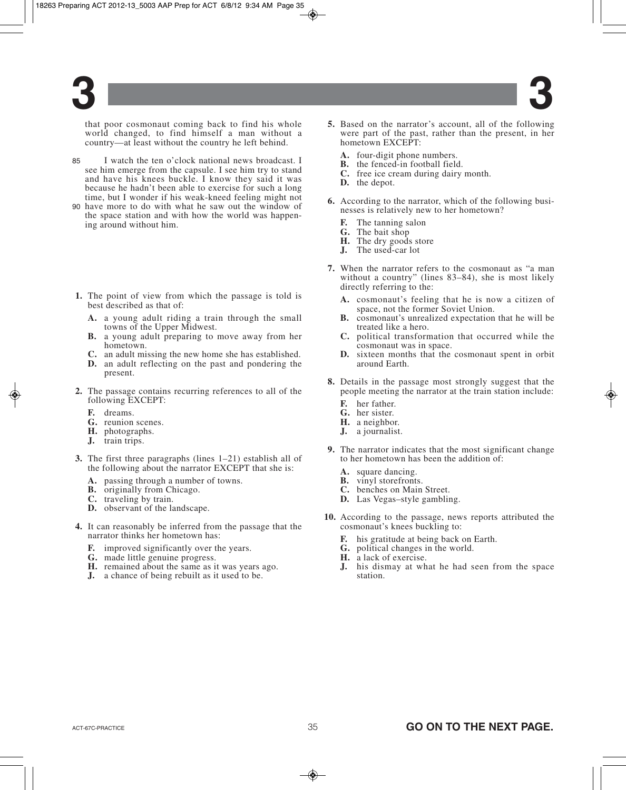that poor cosmonaut coming back to find his whole world changed, to find himself a man without a country—at least without the country he left behind.

- I watch the ten o'clock national news broadcast. I see him emerge from the capsule. I see him try to stand and have his knees buckle. I know they said it was because he hadn't been able to exercise for such a long time, but I wonder if his weak-kneed feeling might not 85
- 90 have more to do with what he saw out the window of the space station and with how the world was happening around without him.
- **1.** The point of view from which the passage is told is best described as that of:
	- **A.** a young adult riding a train through the small towns of the Upper Midwest.
	- **B.** a young adult preparing to move away from her hometown.
	- **C.** an adult missing the new home she has established.
	- **D.** an adult reflecting on the past and pondering the present.
- **2.** The passage contains recurring references to all of the following EXCEPT:
	- **F.** dreams.
	- **G.** reunion scenes.
	- **H.** photographs.
	- **J.** train trips.
- **3.** The first three paragraphs (lines 1–21) establish all of the following about the narrator EXCEPT that she is:
	- **A.** passing through a number of towns.
	- **B.** originally from Chicago.
	- **C.** traveling by train.
	- **D.** observant of the landscape.
- **4.** It can reasonably be inferred from the passage that the narrator thinks her hometown has:
	- **F.** improved significantly over the years.
	- **G.** made little genuine progress.
	- **H.** remained about the same as it was years ago.
	- **J.** a chance of being rebuilt as it used to be.
- **5.** Based on the narrator's account, all of the following were part of the past, rather than the present, in her hometown EXCEPT:
	- **A.** four-digit phone numbers.
	- **B.** the fenced-in football field.
	- **C.** free ice cream during dairy month.
	- **D.** the depot.
- **6.** According to the narrator, which of the following businesses is relatively new to her hometown?
	- **F.** The tanning salon
	- **G.** The bait shop
	- **H.** The dry goods store
	- **J.** The used-car lot
- **7.** When the narrator refers to the cosmonaut as "a man without a country" (lines 83–84), she is most likely directly referring to the:
	- **A.** cosmonaut's feeling that he is now a citizen of space, not the former Soviet Union.
	- **B.** cosmonaut's unrealized expectation that he will be treated like a hero.
	- **C.** political transformation that occurred while the cosmonaut was in space.
	- **D.** sixteen months that the cosmonaut spent in orbit around Earth.
- **8.** Details in the passage most strongly suggest that the people meeting the narrator at the train station include:
	- **F.** her father.
	- **G.** her sister.
	- **H.** a neighbor.
	- **J.** a journalist.
- **9.** The narrator indicates that the most significant change to her hometown has been the addition of:
	- **A.** square dancing.
	- **B.** vinyl storefronts.
	- **C.** benches on Main Street.
	- **D.** Las Vegas–style gambling.
- **10.** According to the passage, news reports attributed the cosmonaut's knees buckling to:
	- **F.** his gratitude at being back on Earth.
	- **G.** political changes in the world.
	- **H.** a lack of exercise.
	- **J.** his dismay at what he had seen from the space station.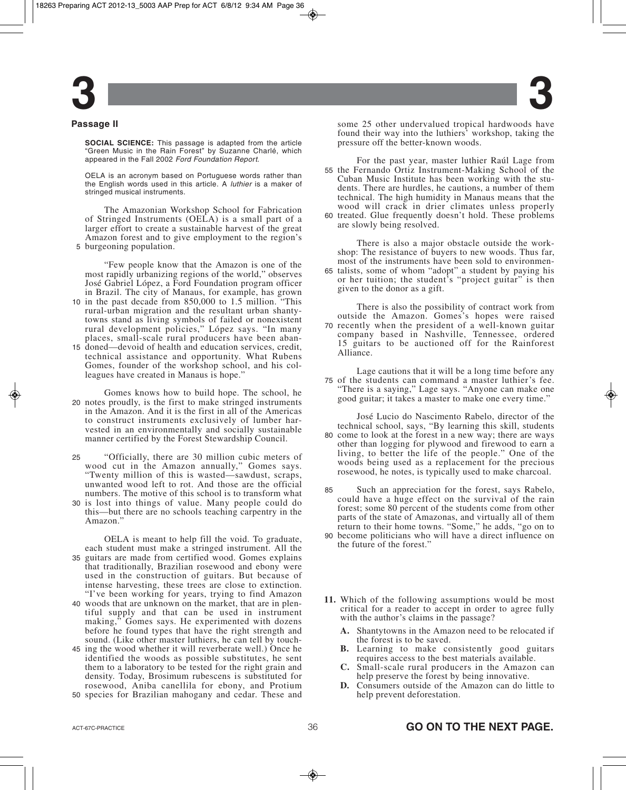#### **Passage II**

**SOCIAL SCIENCE:** This passage is adapted from the article "Green Music in the Rain Forest" by Suzanne Charlé, which appeared in the Fall 2002 Ford Foundation Report.

OELA is an acronym based on Portuguese words rather than the English words used in this article. A *luthier* is a maker of stringed musical instruments.

The Amazonian Workshop School for Fabrication of Stringed Instruments (OELA) is a small part of a larger effort to create a sustainable harvest of the great Amazon forest and to give employment to the region's 5 burgeoning population.

"Few people know that the Amazon is one of the most rapidly urbanizing regions of the world," observes José Gabriel López, a Ford Foundation program officer in Brazil. The city of Manaus, for example, has grown

- 10 in the past decade from 850,000 to 1.5 million. "This rural-urban migration and the resultant urban shantytowns stand as living symbols of failed or nonexistent rural development policies," López says. "In many places, small-scale rural producers have been aban-
- 15 doned—devoid of health and education services, credit, technical assistance and opportunity. What Rubens Gomes, founder of the workshop school, and his colleagues have created in Manaus is hope."

Gomes knows how to build hope. The school, he notes proudly, is the first to make stringed instruments 20 in the Amazon. And it is the first in all of the Americas to construct instruments exclusively of lumber harvested in an environmentally and socially sustainable manner certified by the Forest Stewardship Council.

- "Officially, there are 30 million cubic meters of wood cut in the Amazon annually," Gomes says. "Twenty million of this is wasted—sawdust, scraps, unwanted wood left to rot. And those are the official numbers. The motive of this school is to transform what 25
- 30 is lost into things of value. Many people could do this—but there are no schools teaching carpentry in the Amazon."

OELA is meant to help fill the void. To graduate, each student must make a stringed instrument. All the 35 guitars are made from certified wood. Gomes explains that traditionally, Brazilian rosewood and ebony were used in the construction of guitars. But because of intense harvesting, these trees are close to extinction. "I've been working for years, trying to find Amazon

- woods that are unknown on the market, that are in plen-40 tiful supply and that can be used in instrument making," Gomes says. He experimented with dozens before he found types that have the right strength and sound. (Like other master luthiers, he can tell by touch-
- 45 ing the wood whether it will reverberate well.) Once he identified the woods as possible substitutes, he sent them to a laboratory to be tested for the right grain and density. Today, Brosimum rubescens is substituted for rosewood, Aniba canellila for ebony, and Protium
- 50 species for Brazilian mahogany and cedar. These and

some 25 other undervalued tropical hardwoods have found their way into the luthiers' workshop, taking the pressure off the better-known woods.

For the past year, master luthier Raúl Lage from 55 the Fernando Ortiz Instrument-Making School of the Cuban Music Institute has been working with the students. There are hurdles, he cautions, a number of them technical. The high humidity in Manaus means that the wood will crack in drier climates unless properly treated. Glue frequently doesn't hold. These problems 60

are slowly being resolved.

There is also a major obstacle outside the workshop: The resistance of buyers to new woods. Thus far, most of the instruments have been sold to environmen-

65 talists, some of whom "adopt" a student by paying his or her tuition; the student's "project guitar" is then given to the donor as a gift.

There is also the possibility of contract work from outside the Amazon. Gomes's hopes were raised

70 recently when the president of a well-known guitar company based in Nashville, Tennessee, ordered 15 guitars to be auctioned off for the Rainforest Alliance.

Lage cautions that it will be a long time before any 75 of the students can command a master luthier's fee. "There is a saying," Lage says. "Anyone can make one good guitar; it takes a master to make one every time."

José Lucio do Nascimento Rabelo, director of the technical school, says, "By learning this skill, students 80 come to look at the forest in a new way; there are ways other than logging for plywood and firewood to earn a living, to better the life of the people." One of the woods being used as a replacement for the precious rosewood, he notes, is typically used to make charcoal.

- Such an appreciation for the forest, says Rabelo, could have a huge effect on the survival of the rain forest; some 80 percent of the students come from other parts of the state of Amazonas, and virtually all of them return to their home towns. "Some," he adds, "go on to 85
- become politicians who will have a direct influence on 90 the future of the forest."
- **11.** Which of the following assumptions would be most critical for a reader to accept in order to agree fully with the author's claims in the passage?
	- **A.** Shantytowns in the Amazon need to be relocated if the forest is to be saved.
	- **B.** Learning to make consistently good guitars requires access to the best materials available.
	- **C.** Small-scale rural producers in the Amazon can help preserve the forest by being innovative.
	- **D.** Consumers outside of the Amazon can do little to help prevent deforestation.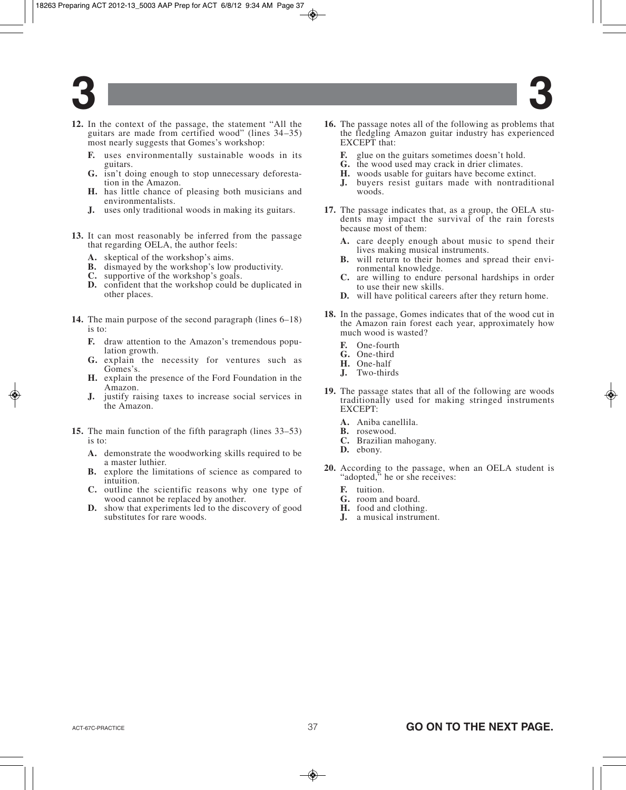

- **12.** In the context of the passage, the statement "All the guitars are made from certified wood" (lines 34–35) most nearly suggests that Gomes's workshop:
	- **F.** uses environmentally sustainable woods in its guitars.
	- **G.** isn't doing enough to stop unnecessary deforestation in the Amazon.
	- **H.** has little chance of pleasing both musicians and environmentalists.
	- **J.** uses only traditional woods in making its guitars.
- **13.** It can most reasonably be inferred from the passage that regarding OELA, the author feels:
	- **A.** skeptical of the workshop's aims.
	- **B.** dismayed by the workshop's low productivity.
	- **C.** supportive of the workshop's goals.
	- **D.** confident that the workshop could be duplicated in other places.
- **14.** The main purpose of the second paragraph (lines 6–18) is to:
	- **F.** draw attention to the Amazon's tremendous population growth.
	- **G.** explain the necessity for ventures such as Gomes's.
	- **H.** explain the presence of the Ford Foundation in the Amazon.
	- **J.** justify raising taxes to increase social services in the Amazon.
- **15.** The main function of the fifth paragraph (lines 33–53) is to:
	- **A.** demonstrate the woodworking skills required to be a master luthier.
	- **B.** explore the limitations of science as compared to intuition.
	- **C.** outline the scientific reasons why one type of wood cannot be replaced by another.
	- **D.** show that experiments led to the discovery of good substitutes for rare woods.
- **16.** The passage notes all of the following as problems that the fledgling Amazon guitar industry has experienced EXCEPT that:
	- **F.** glue on the guitars sometimes doesn't hold.
	- **G.** the wood used may crack in drier climates.
	- **H.** woods usable for guitars have become extinct.
	- **J.** buyers resist guitars made with nontraditional woods.
- **17.** The passage indicates that, as a group, the OELA students may impact the survival of the rain forests because most of them:
	- **A.** care deeply enough about music to spend their lives making musical instruments.
	- **B.** will return to their homes and spread their environmental knowledge.
	- **C.** are willing to endure personal hardships in order to use their new skills.
	- **D.** will have political careers after they return home.
- **18.** In the passage, Gomes indicates that of the wood cut in the Amazon rain forest each year, approximately how much wood is wasted?
	- **F.** One-fourth
	- **G.** One-third
	- **H.** One-half
	- **J.** Two-thirds
- **19.** The passage states that all of the following are woods traditionally used for making stringed instruments EXCEPT:
	- **A.** Aniba canellila.
	- **B.** rosewood.
	- **C.** Brazilian mahogany.
	- **D.** ebony.
- **20.** According to the passage, when an OELA student is "adopted," he or she receives:
	- **F.** tuition.
	- **G.** room and board.
	- **H.** food and clothing.
	- **J.** a musical instrument.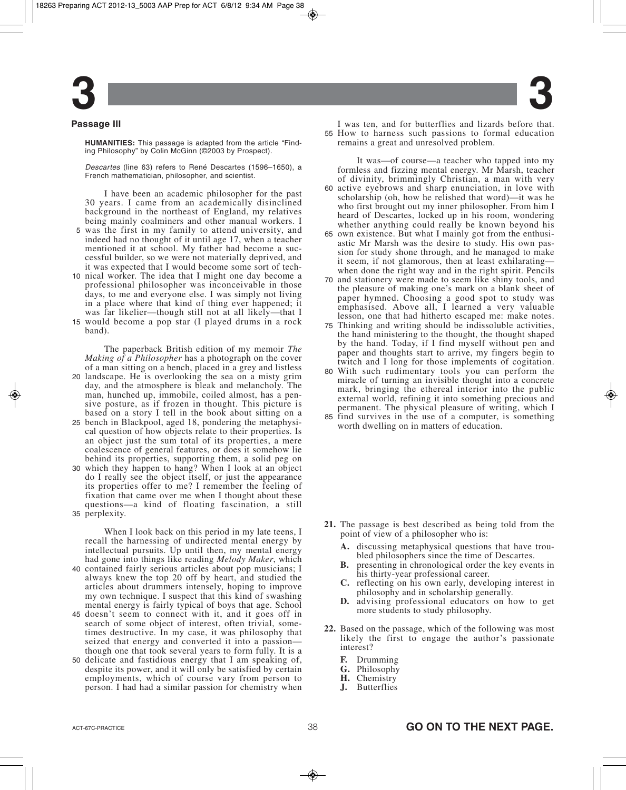### **Passage III**

**HUMANITIES:** This passage is adapted from the article "Finding Philosophy" by Colin McGinn (©2003 by Prospect).

Descartes (line 63) refers to René Descartes (1596–1650), a French mathematician, philosopher, and scientist.

I have been an academic philosopher for the past 30 years. I came from an academically disinclined background in the northeast of England, my relatives being mainly coalminers and other manual workers. I

- 5 was the first in my family to attend university, and indeed had no thought of it until age 17, when a teacher mentioned it at school. My father had become a successful builder, so we were not materially deprived, and it was expected that I would become some sort of tech-
- 10 nical worker. The idea that I might one day become a professional philosopher was inconceivable in those days, to me and everyone else. I was simply not living in a place where that kind of thing ever happened; it was far likelier—though still not at all likely—that I 15 would become a pop star (I played drums in a rock
- band).

The paperback British edition of my memoir *The Making of a Philosopher* has a photograph on the cover of a man sitting on a bench, placed in a grey and listless

- 20 landscape. He is overlooking the sea on a misty grim day, and the atmosphere is bleak and melancholy. The man, hunched up, immobile, coiled almost, has a pensive posture, as if frozen in thought. This picture is based on a story I tell in the book about sitting on a
- 25 bench in Blackpool, aged 18, pondering the metaphysical question of how objects relate to their properties. Is an object just the sum total of its properties, a mere coalescence of general features, or does it somehow lie behind its properties, supporting them, a solid peg on
- which they happen to hang? When I look at an object 30 do I really see the object itself, or just the appearance its properties offer to me? I remember the feeling of fixation that came over me when I thought about these questions—a kind of floating fascination, a still 35 perplexity.

When I look back on this period in my late teens, I recall the harnessing of undirected mental energy by intellectual pursuits. Up until then, my mental energy had gone into things like reading *Melody Maker*, which

- 40 contained fairly serious articles about pop musicians; I always knew the top 20 off by heart, and studied the articles about drummers intensely, hoping to improve my own technique. I suspect that this kind of swashing mental energy is fairly typical of boys that age. School
- 45 doesn't seem to connect with it, and it goes off in search of some object of interest, often trivial, sometimes destructive. In my case, it was philosophy that seized that energy and converted it into a passion though one that took several years to form fully. It is a
- 50 delicate and fastidious energy that I am speaking of, despite its power, and it will only be satisfied by certain employments, which of course vary from person to person. I had had a similar passion for chemistry when

**3 3**

I was ten, and for butterflies and lizards before that. 55 How to harness such passions to formal education remains a great and unresolved problem.

It was—of course—a teacher who tapped into my formless and fizzing mental energy. Mr Marsh, teacher of divinity, brimmingly Christian, a man with very

- 60 active eyebrows and sharp enunciation, in love with scholarship (oh, how he relished that word)—it was he who first brought out my inner philosopher. From him I heard of Descartes, locked up in his room, wondering whether anything could really be known beyond his
- 65 own existence. But what I mainly got from the enthusiastic Mr Marsh was the desire to study. His own passion for study shone through, and he managed to make it seem, if not glamorous, then at least exhilarating when done the right way and in the right spirit. Pencils
- 70 and stationery were made to seem like shiny tools, and the pleasure of making one's mark on a blank sheet of paper hymned. Choosing a good spot to study was emphasised. Above all, I learned a very valuable lesson, one that had hitherto escaped me: make notes.
- Thinking and writing should be indissoluble activities, 75 the hand ministering to the thought, the thought shaped by the hand. Today, if I find myself without pen and paper and thoughts start to arrive, my fingers begin to twitch and I long for those implements of cogitation.
- With such rudimentary tools you can perform the 80 miracle of turning an invisible thought into a concrete mark, bringing the ethereal interior into the public external world, refining it into something precious and permanent. The physical pleasure of writing, which I
- 85 find survives in the use of a computer, is something worth dwelling on in matters of education.

- **21.** The passage is best described as being told from the point of view of a philosopher who is:
	- **A.** discussing metaphysical questions that have troubled philosophers since the time of Descartes.
	- **B.** presenting in chronological order the key events in his thirty-year professional career.
	- **C.** reflecting on his own early, developing interest in philosophy and in scholarship generally.
	- **D.** advising professional educators on how to get more students to study philosophy.
- **22.** Based on the passage, which of the following was most likely the first to engage the author's passionate interest?
	- **F.** Drumming
	- **G.** Philosophy
	- **H.** Chemistry
	- **J.** Butterflies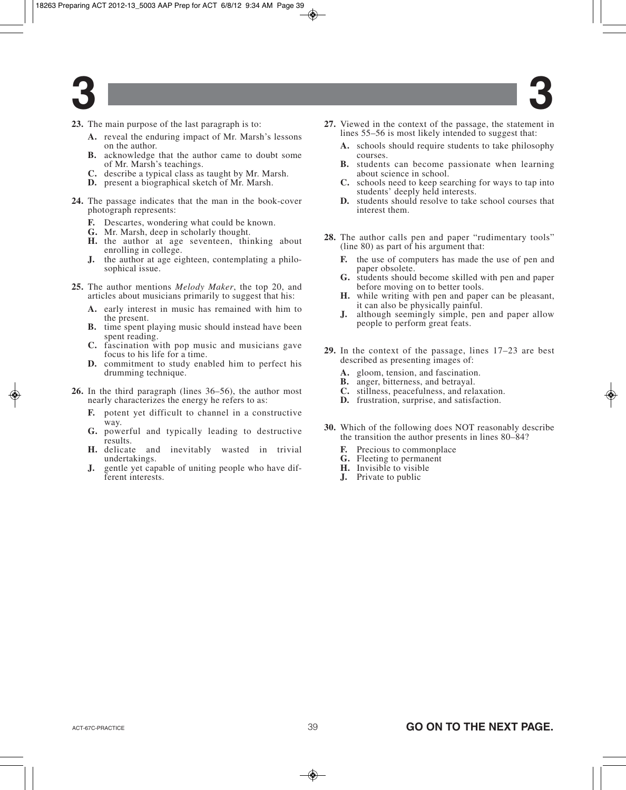

- **23.** The main purpose of the last paragraph is to:
	- **A.** reveal the enduring impact of Mr. Marsh's lessons on the author.
	- **B.** acknowledge that the author came to doubt some of Mr. Marsh's teachings.
	- **C.** describe a typical class as taught by Mr. Marsh.
	- **D.** present a biographical sketch of Mr. Marsh.
- **24.** The passage indicates that the man in the book-cover photograph represents:
	- **F.** Descartes, wondering what could be known.
	- **G.** Mr. Marsh, deep in scholarly thought.
	- **H.** the author at age seventeen, thinking about enrolling in college.
	- **J.** the author at age eighteen, contemplating a philosophical issue.
- **25.** The author mentions *Melody Maker*, the top 20, and articles about musicians primarily to suggest that his:
	- **A.** early interest in music has remained with him to the present.
	- **B.** time spent playing music should instead have been spent reading.
	- **C.** fascination with pop music and musicians gave focus to his life for a time.
	- **D.** commitment to study enabled him to perfect his drumming technique.
- **26.** In the third paragraph (lines 36–56), the author most nearly characterizes the energy he refers to as:
	- **F.** potent yet difficult to channel in a constructive way.
	- **G.** powerful and typically leading to destructive results.
	- **H.** delicate and inevitably wasted in trivial undertakings.
	- **J.** gentle yet capable of uniting people who have different interests.
- **27.** Viewed in the context of the passage, the statement in lines 55–56 is most likely intended to suggest that:
	- **A.** schools should require students to take philosophy courses.
	- **B.** students can become passionate when learning about science in school.
	- **C.** schools need to keep searching for ways to tap into students' deeply held interests.
	- **D.** students should resolve to take school courses that interest them.
- **28.** The author calls pen and paper "rudimentary tools" (line 80) as part of his argument that:
	- **F.** the use of computers has made the use of pen and paper obsolete.
	- **G.** students should become skilled with pen and paper before moving on to better tools.
	- **H.** while writing with pen and paper can be pleasant, it can also be physically painful.
	- **J.** although seemingly simple, pen and paper allow people to perform great feats.
- **29.** In the context of the passage, lines 17–23 are best described as presenting images of:
	- **A.** gloom, tension, and fascination.
	- **B.** anger, bitterness, and betrayal.
	- **C.** stillness, peacefulness, and relaxation.
	- **D.** frustration, surprise, and satisfaction.
- **30.** Which of the following does NOT reasonably describe the transition the author presents in lines 80–84?
	- **F.** Precious to commonplace
	- **G.** Fleeting to permanent
	- **H.** Invisible to visible
	- **J.** Private to public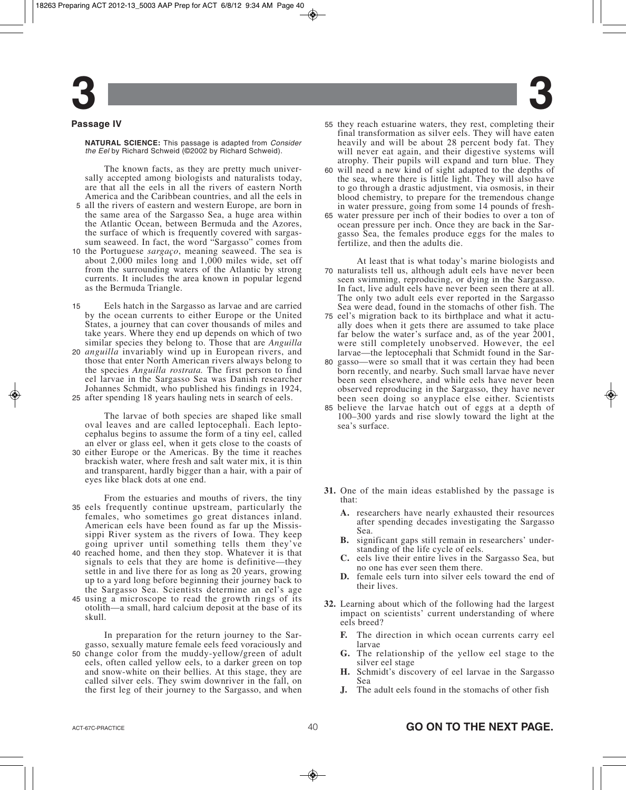### **Passage IV**

**NATURAL SCIENCE:** This passage is adapted from Consider the Eel by Richard Schweid (©2002 by Richard Schweid).

The known facts, as they are pretty much universally accepted among biologists and naturalists today, are that all the eels in all the rivers of eastern North America and the Caribbean countries, and all the eels in

- 5 all the rivers of eastern and western Europe, are born in the same area of the Sargasso Sea, a huge area within the Atlantic Ocean, between Bermuda and the Azores, the surface of which is frequently covered with sargassum seaweed. In fact, the word "Sargasso" comes from
- 10 the Portuguese sargaço, meaning seaweed. The sea is about 2,000 miles long and 1,000 miles wide, set off from the surrounding waters of the Atlantic by strong currents. It includes the area known in popular legend as the Bermuda Triangle.
- Eels hatch in the Sargasso as larvae and are carried by the ocean currents to either Europe or the United States, a journey that can cover thousands of miles and take years. Where they end up depends on which of two similar species they belong to. Those that are *Anguilla* 15
- *anguilla* invariably wind up in European rivers, and 20 those that enter North American rivers always belong to the species *Anguilla rostrata.* The first person to find eel larvae in the Sargasso Sea was Danish researcher Johannes Schmidt, who published his findings in 1924,
- after spending 18 years hauling nets in search of eels. 25

The larvae of both species are shaped like small oval leaves and are called leptocephali. Each leptocephalus begins to assume the form of a tiny eel, called an elver or glass eel, when it gets close to the coasts of

30 either Europe or the Americas. By the time it reaches brackish water, where fresh and salt water mix, it is thin and transparent, hardly bigger than a hair, with a pair of eyes like black dots at one end.

From the estuaries and mouths of rivers, the tiny 35 eels frequently continue upstream, particularly the females, who sometimes go great distances inland. American eels have been found as far up the Mississippi River system as the rivers of Iowa. They keep going upriver until something tells them they've

- 40 reached home, and then they stop. Whatever it is that signals to eels that they are home is definitive—they settle in and live there for as long as 20 years, growing up to a yard long before beginning their journey back to the Sargasso Sea. Scientists determine an eel's age
- 45 using a microscope to read the growth rings of its otolith—a small, hard calcium deposit at the base of its skull.

In preparation for the return journey to the Sargasso, sexually mature female eels feed voraciously and 50 change color from the muddy-yellow/green of adult eels, often called yellow eels, to a darker green on top and snow-white on their bellies. At this stage, they are called silver eels. They swim downriver in the fall, on the first leg of their journey to the Sargasso, and when

- 55 they reach estuarine waters, they rest, completing their final transformation as silver eels. They will have eaten heavily and will be about 28 percent body fat. They will never eat again, and their digestive systems will atrophy. Their pupils will expand and turn blue. They
- 60 will need a new kind of sight adapted to the depths of the sea, where there is little light. They will also have to go through a drastic adjustment, via osmosis, in their blood chemistry, to prepare for the tremendous change in water pressure, going from some 14 pounds of fresh-
- 65 water pressure per inch of their bodies to over a ton of ocean pressure per inch. Once they are back in the Sargasso Sea, the females produce eggs for the males to fertilize, and then the adults die.

At least that is what today's marine biologists and naturalists tell us, although adult eels have never been 70 seen swimming, reproducing, or dying in the Sargasso. In fact, live adult eels have never been seen there at all. The only two adult eels ever reported in the Sargasso Sea were dead, found in the stomachs of other fish. The

- 75 eel's migration back to its birthplace and what it actually does when it gets there are assumed to take place far below the water's surface and, as of the year 2001, were still completely unobserved. However, the eel larvae—the leptocephali that Schmidt found in the Sar-
- 80 gasso—were so small that it was certain they had been born recently, and nearby. Such small larvae have never been seen elsewhere, and while eels have never been observed reproducing in the Sargasso, they have never been seen doing so anyplace else either. Scientists
- 85 believe the larvae hatch out of eggs at a depth of 100–300 yards and rise slowly toward the light at the sea's surface.
- **31.** One of the main ideas established by the passage is that:
	- **A.** researchers have nearly exhausted their resources after spending decades investigating the Sargasso Sea.
	- **B.** significant gaps still remain in researchers' understanding of the life cycle of eels.
	- **C.** eels live their entire lives in the Sargasso Sea, but no one has ever seen them there.
	- **D.** female eels turn into silver eels toward the end of their lives.
- **32.** Learning about which of the following had the largest impact on scientists' current understanding of where eels breed?
	- **F.** The direction in which ocean currents carry eel larvae
	- **G.** The relationship of the yellow eel stage to the silver eel stage
	- **H.** Schmidt's discovery of eel larvae in the Sargasso Sea
	- **J.** The adult eels found in the stomachs of other fish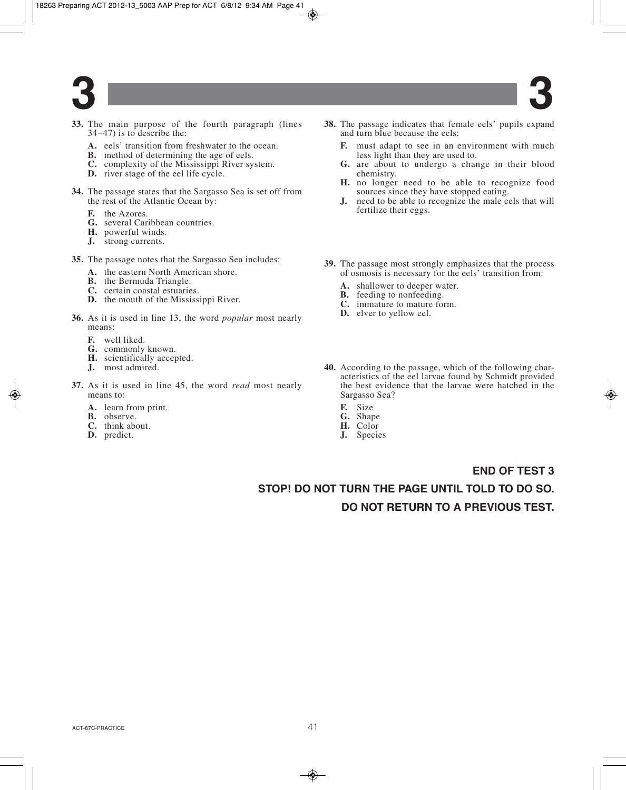- **33.** The main purpose of the fourth paragraph (lines 34–47) is to describe the:
	- **A.** eels' transition from freshwater to the ocean.
	- **B.** method of determining the age of eels.
	- **C.** complexity of the Mississippi River system.
	- **D.** river stage of the eel life cycle.
- **34.** The passage states that the Sargasso Sea is set off from the rest of the Atlantic Ocean by:
	- **F.** the Azores.
	- **G.** several Caribbean countries.
	- **H.** powerful winds.
	- **J.** strong currents.
- **35.** The passage notes that the Sargasso Sea includes:
	- **A.** the eastern North American shore.
	- **B.** the Bermuda Triangle.
	- **C.** certain coastal estuaries.
	- **D.** the mouth of the Mississippi River.
- **36.** As it is used in line 13, the word *popular* most nearly means:
	- **F.** well liked.
	- **G.** commonly known.
	- **H.** scientifically accepted.
	- **J.** most admired.
- **37.** As it is used in line 45, the word *read* most nearly means to:
	- **A.** learn from print.
	- **B.** observe.
	- **C.** think about.
	- **D.** predict.
- **38.** The passage indicates that female eels' pupils expand and turn blue because the eels:
	- **F.** must adapt to see in an environment with much less light than they are used to.
	- **G.** are about to undergo a change in their blood chemistry.
	- **H.** no longer need to be able to recognize food sources since they have stopped eating.
	- **J.** need to be able to recognize the male eels that will fertilize their eggs.
- **39.** The passage most strongly emphasizes that the process of osmosis is necessary for the eels' transition from:
	- **A.** shallower to deeper water.
	- **B.** feeding to nonfeeding.
	- **C.** immature to mature form.
	- **D.** elver to yellow eel.
- **40.** According to the passage, which of the following characteristics of the eel larvae found by Schmidt provided the best evidence that the larvae were hatched in the Sargasso Sea?
	- **F.** Size
	- **G.** Shape
	- **H.** Color
	- **J.** Species

## **END OF TEST 3**

## **STOP! DO NOT TURN THE PAGE UNTIL TOLD TO DO SO. DO NOT RETURN TO A PREVIOUS TEST.**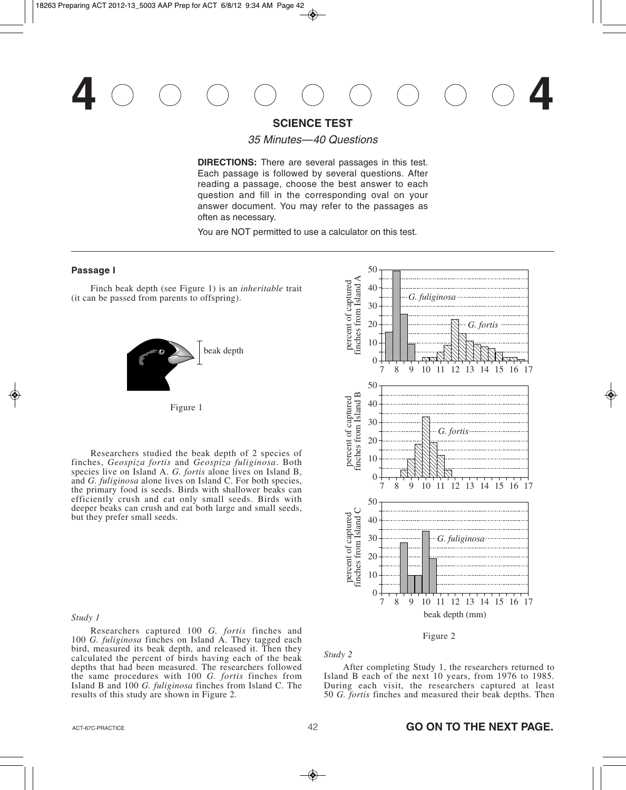## 4 0 0 0 0 0 0 0 0 0 4

## **SCIENCE TEST**

35 Minutes—40 Questions

**DIRECTIONS:** There are several passages in this test. Each passage is followed by several questions. After reading a passage, choose the best answer to each question and fill in the corresponding oval on your answer document. You may refer to the passages as often as necessary.

You are NOT permitted to use a calculator on this test.

## **Passage I**

Finch beak depth (see Figure 1) is an *inheritable* trait (it can be passed from parents to offspring).





Researchers studied the beak depth of 2 species of finches, *Geospiza fortis* and *Geospiza fuliginosa*. Both species live on Island A. *G. fortis* alone lives on Island B, and *G. fuliginosa* alone lives on Island C. For both species, the primary food is seeds. Birds with shallower beaks can efficiently crush and eat only small seeds. Birds with deeper beaks can crush and eat both large and small seeds, but they prefer small seeds.



Researchers captured 100 *G. fortis* finches and 100 *G. fuliginosa* finches on Island A. They tagged each bird, measured its beak depth, and released it. Then they calculated the percent of birds having each of the beak depths that had been measured. The researchers followed the same procedures with 100 *G. fortis* finches from Island B and 100 *G. fuliginosa* finches from Island C. The results of this study are shown in Figure 2.



Figure 2

*Study 2*

After completing Study 1, the researchers returned to Island B each of the next 10 years, from 1976 to 1985. During each visit, the researchers captured at least 50 G. fortis finches and measured their beak depths. Then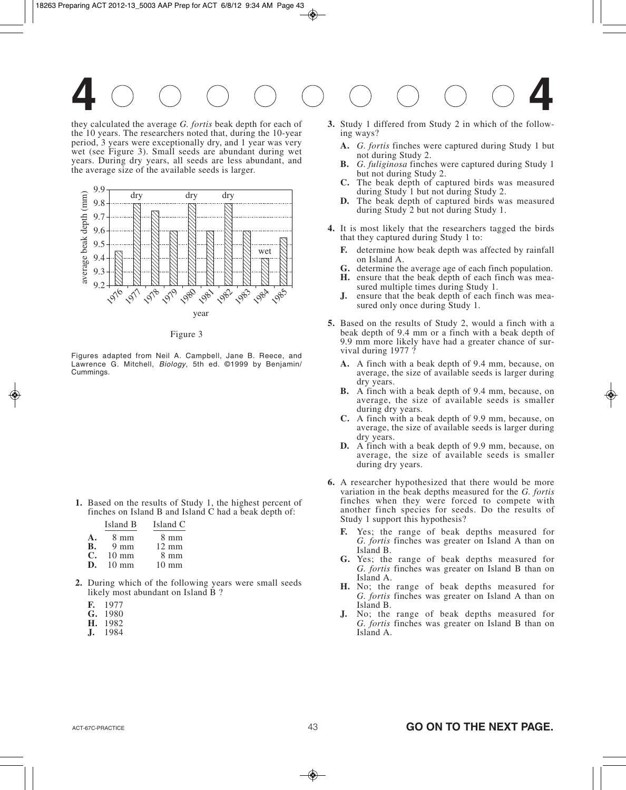they calculated the average *G. fortis* beak depth for each of the 10 years. The researchers noted that, during the 10-year period, 3 years were exceptionally dry, and 1 year was very wet (see Figure 3). Small seeds are abundant during wet years. During dry years, all seeds are less abundant, and the average size of the available seeds is larger.





Figures adapted from Neil A. Campbell, Jane B. Reece, and Lawrence G. Mitchell, Biology, 5th ed. ©1999 by Benjamin/ Cummings.

**1.** Based on the results of Study 1, the highest percent of finches on Island B and Island C had a beak depth of:

|                     | Island B        | Island C        |
|---------------------|-----------------|-----------------|
| А.                  | 8 mm            | $8 \text{ mm}$  |
| B.                  | $9 \text{ mm}$  | $12 \text{ mm}$ |
| $\mathsf{\Gamma}$ . | $10 \text{ mm}$ | $8 \text{ mm}$  |
| D.                  | $10 \text{ mm}$ | $10 \text{ mm}$ |

- **2.** During which of the following years were small seeds likely most abundant on Island B ?
	- **F.** 1977
	- **G.** 1980
	- **H.** 1982
	- **J.** 1984
- **3.** Study 1 differed from Study 2 in which of the following ways?
	- **A.** *G. fortis* finches were captured during Study 1 but not during Study 2.
	- **B.** *G. fuliginosa* finches were captured during Study 1 but not during Study 2.
	- **C.** The beak depth of captured birds was measured during Study 1 but not during Study 2.
	- **D.** The beak depth of captured birds was measured during Study 2 but not during Study 1.
- **4.** It is most likely that the researchers tagged the birds that they captured during Study 1 to:
	- **F.** determine how beak depth was affected by rainfall on Island A.
	- **G.** determine the average age of each finch population.
	- **H.** ensure that the beak depth of each finch was measured multiple times during Study 1.
	- **J.** ensure that the beak depth of each finch was measured only once during Study 1.
- **5.** Based on the results of Study 2, would a finch with a beak depth of 9.4 mm or a finch with a beak depth of 9.9 mm more likely have had a greater chance of survival during 1977 ?
	- **A.** A finch with a beak depth of 9.4 mm, because, on average, the size of available seeds is larger during dry years.
	- **B.** A finch with a beak depth of 9.4 mm, because, on average, the size of available seeds is smaller during dry years.
	- **C.** A finch with a beak depth of 9.9 mm, because, on average, the size of available seeds is larger during dry years.
	- **D.** A finch with a beak depth of 9.9 mm, because, on average, the size of available seeds is smaller during dry years.
- **6.** A researcher hypothesized that there would be more variation in the beak depths measured for the *G. fortis* finches when they were forced to compete with another finch species for seeds. Do the results of Study 1 support this hypothesis?
	- **F.** Yes; the range of beak depths measured for *G. fortis* finches was greater on Island A than on Island B.
	- **G.** Yes; the range of beak depths measured for *G. fortis* finches was greater on Island B than on Island A.
	- **H.** No; the range of beak depths measured for *G. fortis* finches was greater on Island A than on Island B.
	- **J.** No; the range of beak depths measured for *G. fortis* finches was greater on Island B than on Island A.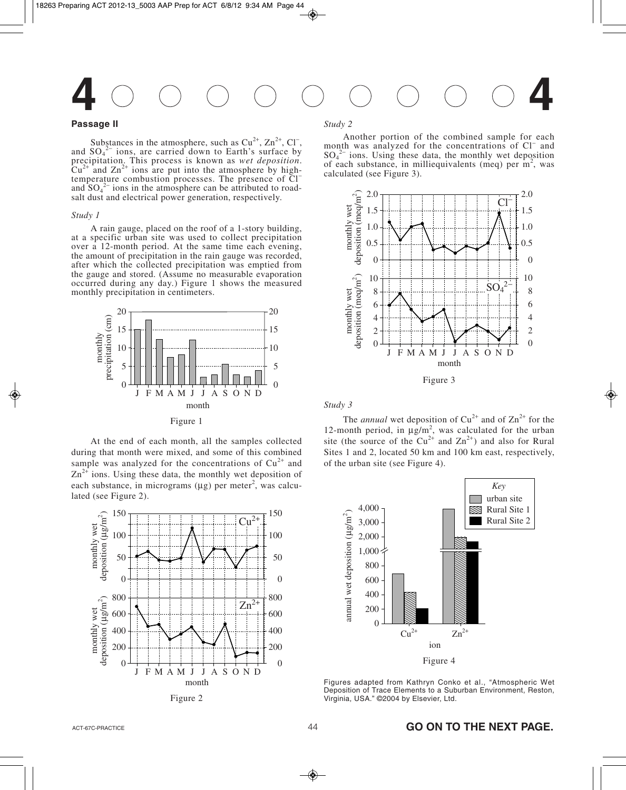

#### **Passage II**

Substances in the atmosphere, such as  $Cu^{2+}$ ,  $Zn^{2+}$ ,  $Cl^-$ , and  $SO_4^2$  ions, are carried down to Earth's surface by precipitation. This process is known as *wet deposition*.  $Cu^{2+}$  and  $Zn^{2+}$  ions are put into the atmosphere by hightemperature combustion processes. The presence of Cl<sup>−</sup> and  $SO_4^2$  ions in the atmosphere can be attributed to roadsalt dust and electrical power generation, respectively.

#### *Study 1*

A rain gauge, placed on the roof of a 1-story building, at a specific urban site was used to collect precipitation over a 12-month period. At the same time each evening, the amount of precipitation in the rain gauge was recorded, after which the collected precipitation was emptied from the gauge and stored. (Assume no measurable evaporation occurred during any day.) Figure 1 shows the measured monthly precipitation in centimeters.





At the end of each month, all the samples collected during that month were mixed, and some of this combined sample was analyzed for the concentrations of  $Cu<sup>2+</sup>$  and  $\text{Zn}^{2+}$  ions. Using these data, the monthly wet deposition of each substance, in micrograms ( $\mu$ g) per meter<sup>2</sup>, was calculated (see Figure 2).



#### *Study 2*

Another portion of the combined sample for each month was analyzed for the concentrations of Cl<sup>−</sup> and  $SO_4^2$  ions. Using these data, the monthly wet deposition of each substance, in milliequivalents (meq) per  $m^2$ , was calculated (see Figure 3).





The *annual* wet deposition of  $Cu^{2+}$  and of  $Zn^{2+}$  for the 12-month period, in  $\mu$ g/m<sup>2</sup>, was calculated for the urban site (the source of the  $Cu^{2+}$  and  $Zn^{2+}$ ) and also for Rural Sites 1 and 2, located 50 km and 100 km east, respectively, of the urban site (see Figure 4).



Figures adapted from Kathryn Conko et al., "Atmospheric Wet Deposition of Trace Elements to a Suburban Environment, Reston, Virginia, USA." ©2004 by Elsevier, Ltd.

44

## ACT-67C-PRACTICE **GO ON TO THE NEXT PAGE.**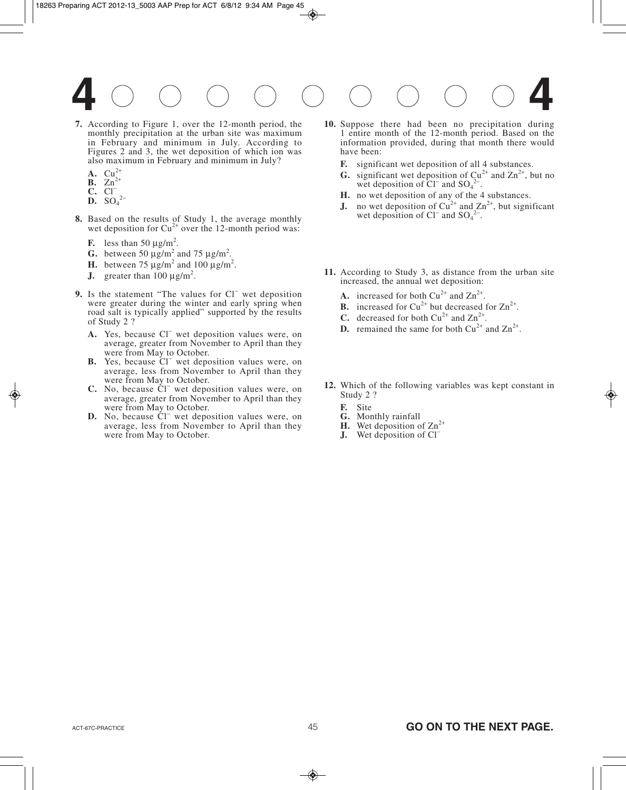- **7.** According to Figure 1, over the 12-month period, the monthly precipitation at the urban site was maximum in February and minimum in July. According to Figures 2 and 3, the wet deposition of which ion was also maximum in February and minimum in July?
	- **A.**  $Cu^{2+}$
	- **B.**  $Zn^{2+}$
	- **C.** Cl<sup>−</sup>
	- **D.**  $SO_4^2$ <sup>-</sup>
- **8.** Based on the results of Study 1, the average monthly wet deposition for  $Cu^{2+}$  over the 12-month period was:
	- **F.** less than 50  $\mu$ g/m<sup>2</sup>.
	- **G.** between 50  $\mu$ g/m<sup>2</sup> and 75  $\mu$ g/m<sup>2</sup>.
	- **H.** between 75  $\mu$ g/m<sup>2</sup> and 100  $\mu$ g/m<sup>2</sup>.
	- **J.** greater than  $100 \mu g/m^2$ .
- 9. Is the statement "The values for Cl<sup>−</sup> wet deposition were greater during the winter and early spring when road salt is typically applied" supported by the results of Study 2 ?
	- **A.** Yes, because Cl<sup>−</sup> wet deposition values were, on average, greater from November to April than they were from May to October.
	- **B.** Yes, because Cl<sup>−</sup> wet deposition values were, on average, less from November to April than they were from May to October.
	- **C.** No, because Cl<sup>−</sup> wet deposition values were, on average, greater from November to April than they were from May to October.
	- D. No, because Cl<sup>−</sup> wet deposition values were, on average, less from November to April than they were from May to October.
- **10.** Suppose there had been no precipitation during 1 entire month of the 12-month period. Based on the information provided, during that month there would have been:
	- **F.** significant wet deposition of all 4 substances.
	- **G.** significant wet deposition of  $Cu^{2+}$  and  $Zn^{2+}$ , but no wet deposition of  $CI^-$  and  $SO_4^2^-$ .
	- **H.** no wet deposition of any of the 4 substances.
	- **J.** no wet deposition of  $Cu^{2+}$  and  $Zn^{2+}$ , but significant wet deposition of Cl<sup>−</sup> and SO<sub>4</sub><sup>2-</sup>.
- **11.** According to Study 3, as distance from the urban site increased, the annual wet deposition:
	- **A.** increased for both  $Cu^{2+}$  and  $Zn^{2+}$ .
	- **B.** increased for  $Cu^{2+}$  but decreased for  $Zn^{2+}$ .
	- **C.** decreased for both  $Cu^{2+}$  and  $Zn^{2+}$ .
	- **D.** remained the same for both  $Cu^{2+}$  and  $Zn^{2+}$ .
- **12.** Which of the following variables was kept constant in Study 2 ?
	- **F.** Site
	- **G.** Monthly rainfall
	- **H.** Wet deposition of  $\text{Zn}^{2+}$
	- **J.** Wet deposition of Cl<sup>−</sup>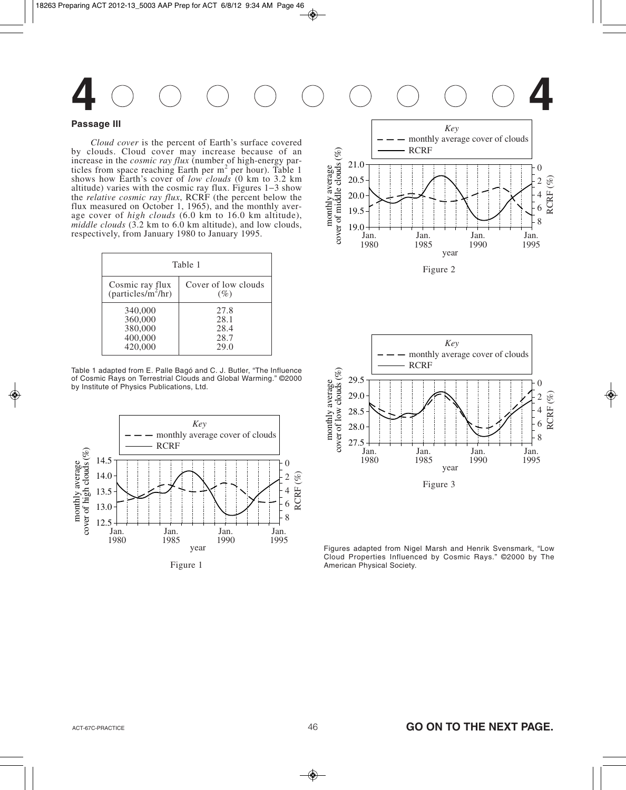4 0 0 0 0 0 0 0 0 4

## **Passage III**

*Cloud cover* is the percent of Earth's surface covered by clouds. Cloud cover may increase because of an increase in the *cosmic ray flux* (number of high-energy particles from space reaching Earth per  $m<sup>2</sup>$  per hour). Table 1 shows how Earth's cover of *low clouds* (0 km to 3.2 km altitude) varies with the cosmic ray flux. Figures 1−3 show the *relative cosmic ray flux*, RCRF (the percent below the flux measured on October 1, 1965), and the monthly average cover of *high clouds* (6.0 km to 16.0 km altitude), *middle clouds* (3.2 km to 6.0 km altitude), and low clouds, respectively, from January 1980 to January 1995.

| Table 1                                             |                                      |  |  |  |  |
|-----------------------------------------------------|--------------------------------------|--|--|--|--|
| Cosmic ray flux<br>(particles/m <sup>2</sup> /hr)   | Cover of low clouds<br>$( \% )$      |  |  |  |  |
| 340,000<br>360,000<br>380,000<br>400,000<br>420,000 | 27.8<br>28.1<br>28.4<br>28.7<br>29.0 |  |  |  |  |

Table 1 adapted from E. Palle Bagó and C. J. Butler, "The Influence of Cosmic Rays on Terrestrial Clouds and Global Warming." ©2000 by Institute of Physics Publications, Ltd.



Figure 1





Figures adapted from Nigel Marsh and Henrik Svensmark, "Low Cloud Properties Influenced by Cosmic Rays." ©2000 by The American Physical Society.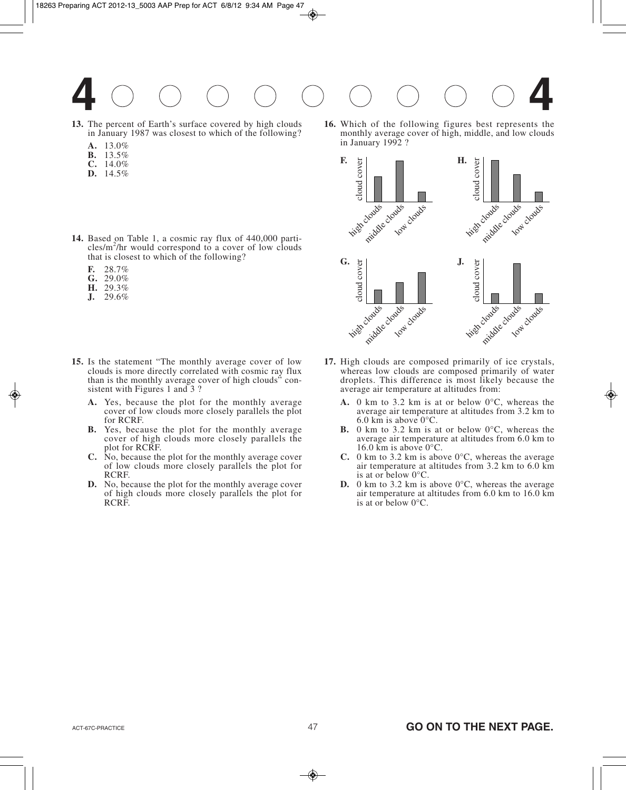

- **13.** The percent of Earth's surface covered by high clouds in January 1987 was closest to which of the following?
	- **A.** 13.0%
	- **B.** 13.5%
	- **C.** 14.0%
	- **D.** 14.5%
- **14.** Based on Table 1, a cosmic ray flux of 440,000 particles/m<sup>2</sup> /hr would correspond to a cover of low clouds that is closest to which of the following?
	- **F.** 28.7%
	- **G.** 29.0%
	- **H.** 29.3%
	- **J.** 29.6%
- **15.** Is the statement "The monthly average cover of low clouds is more directly correlated with cosmic ray flux than is the monthly average cover of high clouds" consistent with Figures 1 and 3 ?
	- **A.** Yes, because the plot for the monthly average cover of low clouds more closely parallels the plot for RCRF.
	- **B.** Yes, because the plot for the monthly average cover of high clouds more closely parallels the plot for RCRF.
	- **C.** No, because the plot for the monthly average cover of low clouds more closely parallels the plot for RCRF.
	- **D.** No, because the plot for the monthly average cover of high clouds more closely parallels the plot for RCRF.

**16.** Which of the following figures best represents the monthly average cover of high, middle, and low clouds in January 1992 ?



- **17.** High clouds are composed primarily of ice crystals, whereas low clouds are composed primarily of water droplets. This difference is most likely because the average air temperature at altitudes from:
	- **A.** 0 km to 3.2 km is at or below 0°C, whereas the average air temperature at altitudes from 3.2 km to 6.0 km is above 0°C.
	- **B.** 0 km to 3.2 km is at or below 0°C, whereas the average air temperature at altitudes from 6.0 km to 16.0 km is above  $0^{\circ}$ C.
	- **C.** 0 km to 3.2 km is above 0°C, whereas the average air temperature at altitudes from 3.2 km to 6.0 km is at or below 0°C.
	- **D.** 0 km to 3.2 km is above 0°C, whereas the average air temperature at altitudes from 6.0 km to 16.0 km is at or below 0°C.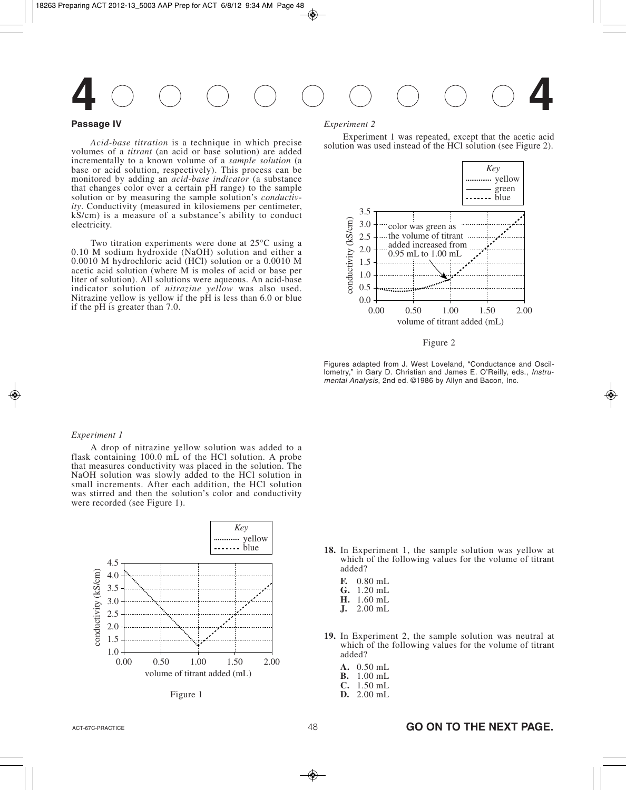## 4 0 0 0 0 0 0 0 0 4

### **Passage IV**

*Acid-base titration* is a technique in which precise volumes of a *titrant* (an acid or base solution) are added incrementally to a known volume of a *sample solution* (a base or acid solution, respectively). This process can be monitored by adding an *acid-base indicator* (a substance that changes color over a certain pH range) to the sample solution or by measuring the sample solution's *conductivity*. Conductivity (measured in kilosiemens per centimeter, kS/cm) is a measure of a substance's ability to conduct electricity.

Two titration experiments were done at 25°C using a 0.10 M sodium hydroxide (NaOH) solution and either a 0.0010 M hydrochloric acid (HCl) solution or a 0.0010 M acetic acid solution (where M is moles of acid or base per liter of solution). All solutions were aqueous. An acid-base indicator solution of *nitrazine yellow* was also used. Nitrazine yellow is yellow if the pH is less than 6.0 or blue if the pH is greater than 7.0.

### *Experiment 2*

Experiment 1 was repeated, except that the acetic acid solution was used instead of the HCl solution (see Figure 2).



Figure 2

Figures adapted from J. West Loveland, "Conductance and Oscillometry," in Gary D. Christian and James E. O'Reilly, eds., Instrumental Analysis, 2nd ed. ©1986 by Allyn and Bacon, Inc.

#### *Experiment 1*

A drop of nitrazine yellow solution was added to a flask containing 100.0 mL of the HCl solution. A probe that measures conductivity was placed in the solution. The NaOH solution was slowly added to the HCl solution in small increments. After each addition, the HCl solution was stirred and then the solution's color and conductivity were recorded (see Figure 1).



Figure 1

- **18.** In Experiment 1, the sample solution was yellow at which of the following values for the volume of titrant added?
	- **F.** 0.80 mL
	- **G.** 1.20 mL
	- **H.** 1.60 mL
	- **J.** 2.00 mL
- **19.** In Experiment 2, the sample solution was neutral at which of the following values for the volume of titrant added?
	- **A.** 0.50 mL
	- **B.** 1.00 mL
	- **C.** 1.50 mL
	- **D.** 2.00 mL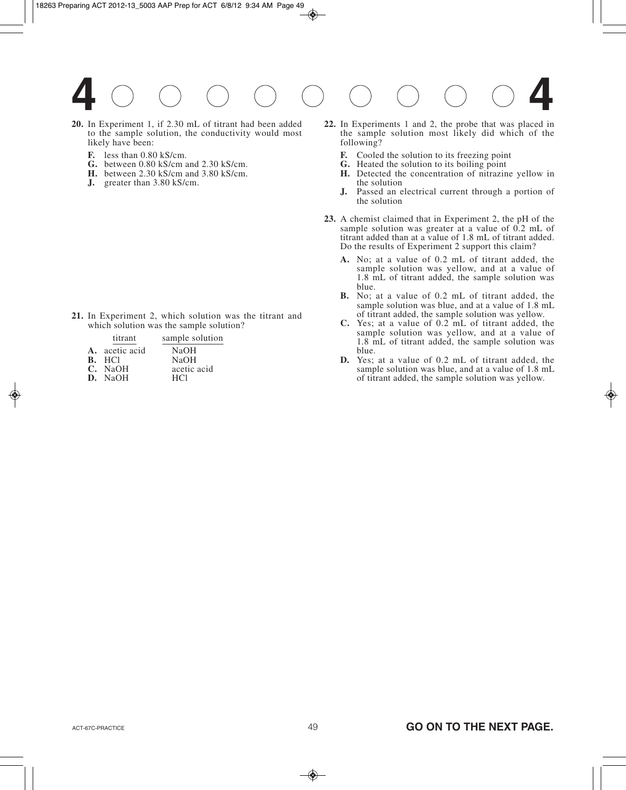- **20.** In Experiment 1, if 2.30 mL of titrant had been added to the sample solution, the conductivity would most likely have been:
	- **F.** less than 0.80 kS/cm.
	- **G.** between 0.80 kS/cm and 2.30 kS/cm.
	- **H.** between 2.30 kS/cm and 3.80 kS/cm.
	- **J.** greater than 3.80 kS/cm.

**21.** In Experiment 2, which solution was the titrant and which solution was the sample solution?

| titrant        | sample solution |
|----------------|-----------------|
| A. acetic acid | <b>NaOH</b>     |
| B. HCl         | <b>NaOH</b>     |
| $C.$ NaOH      | acetic acid     |
| D. NaOH        | HC1             |

- **22.** In Experiments 1 and 2, the probe that was placed in the sample solution most likely did which of the following?
	- **F.** Cooled the solution to its freezing point
	- **G.** Heated the solution to its boiling point
	- **H.** Detected the concentration of nitrazine yellow in the solution
	- **J.** Passed an electrical current through a portion of the solution
- **23.** A chemist claimed that in Experiment 2, the pH of the sample solution was greater at a value of 0.2 mL of titrant added than at a value of 1.8 mL of titrant added. Do the results of Experiment 2 support this claim?
	- **A.** No; at a value of 0.2 mL of titrant added, the sample solution was yellow, and at a value of 1.8 mL of titrant added, the sample solution was blue.
	- **B.** No; at a value of 0.2 mL of titrant added, the sample solution was blue, and at a value of 1.8 mL of titrant added, the sample solution was yellow.
	- **C.** Yes; at a value of 0.2 mL of titrant added, the sample solution was yellow, and at a value of 1.8 mL of titrant added, the sample solution was blue.
	- **D.** Yes; at a value of 0.2 mL of titrant added, the sample solution was blue, and at a value of 1.8 mL of titrant added, the sample solution was yellow.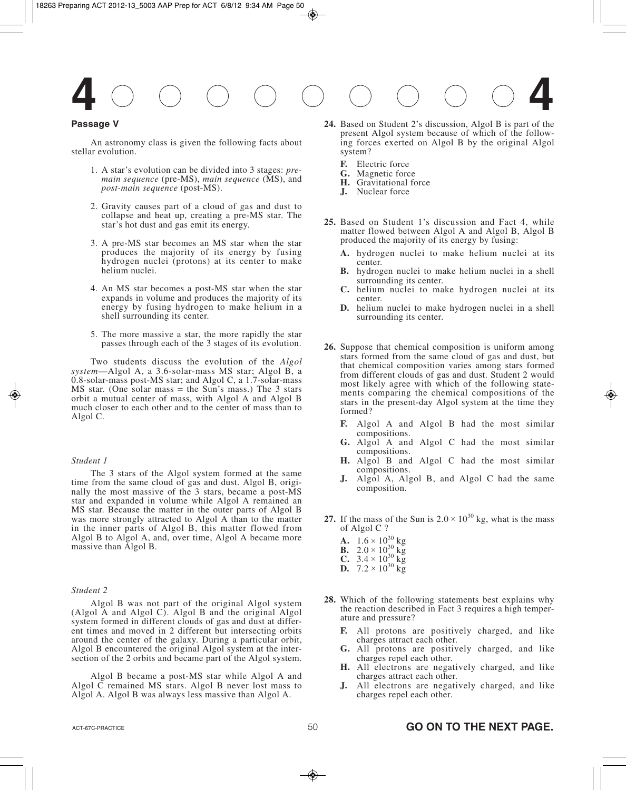## **Passage V**

An astronomy class is given the following facts about stellar evolution.

- 1. A star's evolution can be divided into 3 stages: *premain sequence* (pre-MS), *main sequence* (MS), and *post-main sequence* (post-MS).
- 2. Gravity causes part of a cloud of gas and dust to collapse and heat up, creating a pre-MS star. The star's hot dust and gas emit its energy.
- 3. A pre-MS star becomes an MS star when the star produces the majority of its energy by fusing hydrogen nuclei (protons) at its center to make helium nuclei.
- 4. An MS star becomes a post-MS star when the star expands in volume and produces the majority of its energy by fusing hydrogen to make helium in a shell surrounding its center.
- 5. The more massive a star, the more rapidly the star passes through each of the 3 stages of its evolution.

Two students discuss the evolution of the *Algol system*—Algol A, a 3.6-solar-mass MS star; Algol B, a 0.8-solar-mass post-MS star; and Algol C, a 1.7-solar-mass MS star. (One solar mass  $=$  the Sun's mass.) The 3 stars orbit a mutual center of mass, with Algol A and Algol B much closer to each other and to the center of mass than to Algol C.

#### *Student 1*

The 3 stars of the Algol system formed at the same time from the same cloud of gas and dust. Algol B, originally the most massive of the 3 stars, became a post-MS star and expanded in volume while Algol A remained an MS star. Because the matter in the outer parts of Algol B was more strongly attracted to Algol A than to the matter in the inner parts of Algol B, this matter flowed from Algol B to Algol A, and, over time, Algol A became more massive than Algol B.

#### *Student 2*

Algol B was not part of the original Algol system (Algol A and Algol C). Algol B and the original Algol system formed in different clouds of gas and dust at different times and moved in 2 different but intersecting orbits around the center of the galaxy. During a particular orbit, Algol B encountered the original Algol system at the intersection of the 2 orbits and became part of the Algol system.

Algol B became a post-MS star while Algol A and Algol C remained MS stars. Algol B never lost mass to Algol A. Algol B was always less massive than Algol A.

- **24.** Based on Student 2's discussion, Algol B is part of the present Algol system because of which of the following forces exerted on Algol B by the original Algol system?
	- **F.** Electric force
	- **G.** Magnetic force
	- **H.** Gravitational force
	- **J.** Nuclear force
- **25.** Based on Student 1's discussion and Fact 4, while matter flowed between Algol A and Algol B, Algol B produced the majority of its energy by fusing:
	- **A.** hydrogen nuclei to make helium nuclei at its center.
	- **B.** hydrogen nuclei to make helium nuclei in a shell surrounding its center.
	- **C.** helium nuclei to make hydrogen nuclei at its center.
	- **D.** helium nuclei to make hydrogen nuclei in a shell surrounding its center.
- **26.** Suppose that chemical composition is uniform among stars formed from the same cloud of gas and dust, but that chemical composition varies among stars formed from different clouds of gas and dust. Student 2 would most likely agree with which of the following statements comparing the chemical compositions of the stars in the present-day Algol system at the time they formed?
	- **F.** Algol A and Algol B had the most similar compositions.
	- **G.** Algol A and Algol C had the most similar compositions.
	- **H.** Algol B and Algol C had the most similar compositions.
	- **J.** Algol A, Algol B, and Algol C had the same composition.
- **27.** If the mass of the Sun is  $2.0 \times 10^{30}$  kg, what is the mass of Algol C ?
	- **A.**  $1.6 \times 10^{30}$  kg
	- **B.**  $2.0 \times 10^{30}$  kg
	- **C.**  $3.4 \times 10^{30}$  kg
	- **D.**  $7.2 \times 10^{30}$  kg
- **28.** Which of the following statements best explains why the reaction described in Fact 3 requires a high temperature and pressure?
	- **F.** All protons are positively charged, and like charges attract each other.
	- **G.** All protons are positively charged, and like charges repel each other.
	- **H.** All electrons are negatively charged, and like charges attract each other.
	- **J.** All electrons are negatively charged, and like charges repel each other.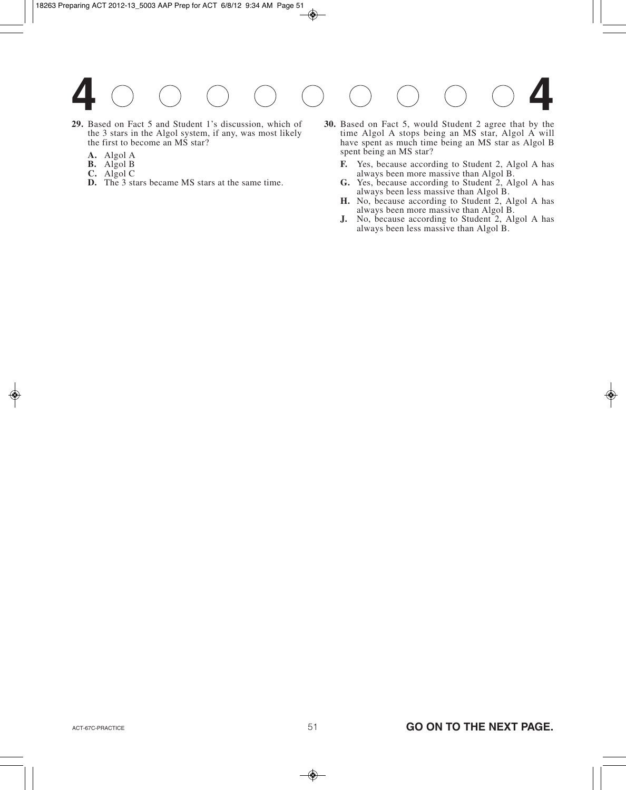- **29.** Based on Fact 5 and Student 1's discussion, which of the 3 stars in the Algol system, if any, was most likely the first to become an MS star?
	- **A.** Algol A
	- **B.** Algol B
	- **C.** Algol C
	- **D.** The 3 stars became MS stars at the same time.
- **30.** Based on Fact 5, would Student 2 agree that by the time Algol A stops being an MS star, Algol A will have spent as much time being an MS star as Algol B spent being an MS star?
	- **F.** Yes, because according to Student 2, Algol A has always been more massive than Algol B.
	- **G.** Yes, because according to Student 2, Algol A has always been less massive than Algol B.
	- **H.** No, because according to Student 2, Algol A has always been more massive than Algol B.
	- **J.** No, because according to Student 2, Algol A has always been less massive than Algol B.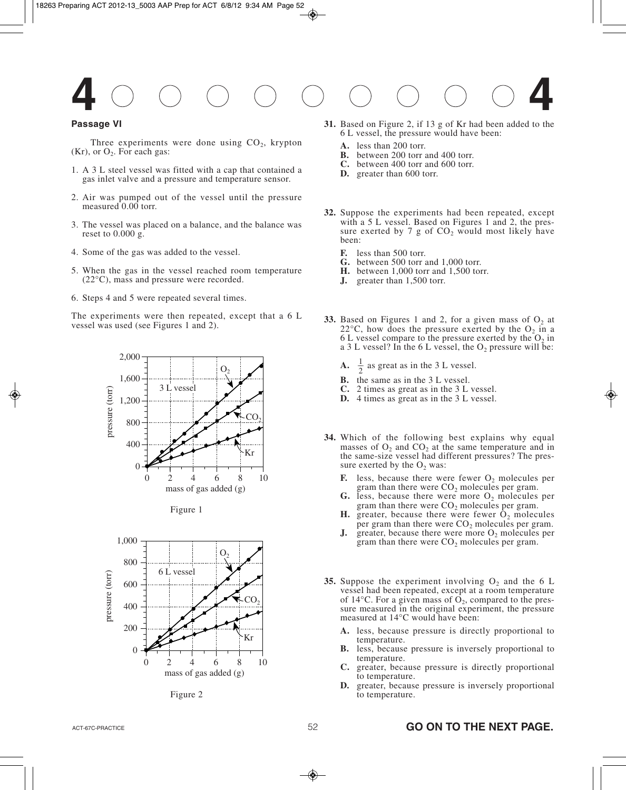## 4 0 0 0 0 0 0 0 0 4

## **Passage VI**

Three experiments were done using  $CO<sub>2</sub>$ , krypton  $(Kr)$ , or  $O<sub>2</sub>$ . For each gas:

- 1. A 3 L steel vessel was fitted with a cap that contained a gas inlet valve and a pressure and temperature sensor.
- 2. Air was pumped out of the vessel until the pressure measured 0.00 torr.
- 3. The vessel was placed on a balance, and the balance was reset to  $0.000 \text{ g.}$
- 4. Some of the gas was added to the vessel.
- 5. When the gas in the vessel reached room temperature (22°C), mass and pressure were recorded.
- 6. Steps 4 and 5 were repeated several times.

The experiments were then repeated, except that a 6 L vessel was used (see Figures 1 and 2).







Figure 2

- **31.** Based on Figure 2, if 13 g of Kr had been added to the 6 L vessel, the pressure would have been:
	- **A.** less than 200 torr.
	- **B.** between 200 torr and 400 torr.
	- **C.** between 400 torr and 600 torr.
	- **D.** greater than 600 torr.
- **32.** Suppose the experiments had been repeated, except with a 5 L vessel. Based on Figures 1 and 2, the pressure exerted by 7 g of  $CO<sub>2</sub>$  would most likely have been:
	- **F.** less than 500 torr.
	- **G.** between 500 torr and 1,000 torr.
	- **H.** between 1,000 torr and 1,500 torr.
	- **J.** greater than 1,500 torr.
- **33.** Based on Figures 1 and 2, for a given mass of  $O_2$  at 22 $\degree$ C, how does the pressure exerted by the O<sub>2</sub> in a 6 L vessel compare to the pressure exerted by the  $O_2$  in a 3 L vessel? In the 6 L vessel, the  $O_2$  pressure will be:
	- **A.**  $\frac{1}{2}$  as great as in the 3 L vessel. 2
	- **B.** the same as in the 3 L vessel.
	- **C.** 2 times as great as in the 3 L vessel.
	- **D.** 4 times as great as in the 3 L vessel.
- **34.** Which of the following best explains why equal masses of  $O_2$  and  $CO_2$  at the same temperature and in the same-size vessel had different pressures? The pressure exerted by the  $O_2$  was:
	- **F.** less, because there were fewer  $O_2$  molecules per gram than there were  $CO<sub>2</sub>$  molecules per gram.
	- **G.** less, because there were more  $O_2$  molecules per gram than there were  $CO<sub>2</sub>$  molecules per gram.
	- **H.** greater, because there were fewer  $O_2$  molecules per gram than there were  $CO<sub>2</sub>$  molecules per gram.
	- **J.** greater, because there were more  $O_2$  molecules per gram than there were  $CO<sub>2</sub>$  molecules per gram.
- **35.** Suppose the experiment involving  $O_2$  and the 6 L vessel had been repeated, except at a room temperature of 14 $\degree$ C. For a given mass of  $\overline{O}_2$ , compared to the pressure measured in the original experiment, the pressure measured at 14°C would have been:
	- **A.** less, because pressure is directly proportional to temperature.
	- **B.** less, because pressure is inversely proportional to temperature.
	- **C.** greater, because pressure is directly proportional to temperature.
	- **D.** greater, because pressure is inversely proportional to temperature.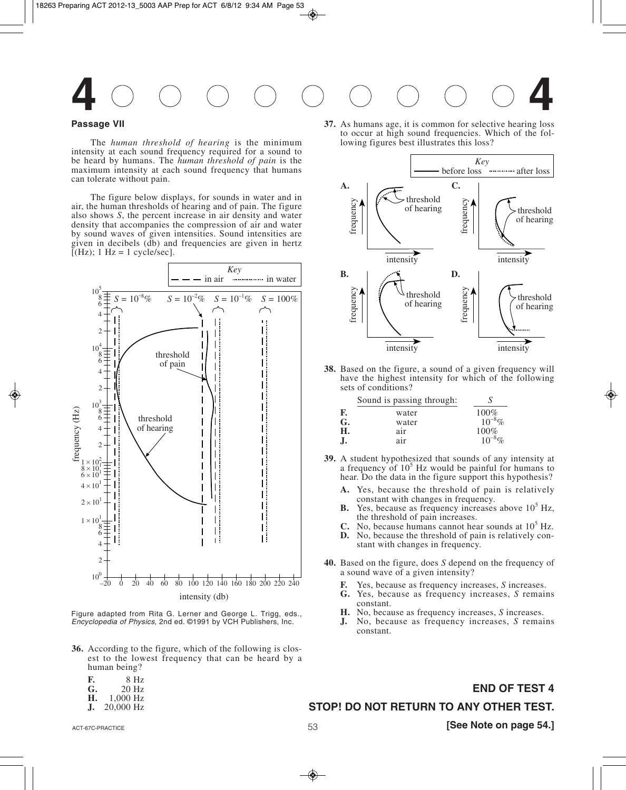#### **Passage VII**

The *human threshold of hearing* is the minimum intensity at each sound frequency required for a sound to be heard by humans. The *human threshold of pain* is the maximum intensity at each sound frequency that humans can tolerate without pain.

The figure below displays, for sounds in water and in air, the human thresholds of hearing and of pain. The figure also shows *S*, the percent increase in air density and water density that accompanies the compression of air and water by sound waves of given intensities. Sound intensities are given in decibels (db) and frequencies are given in hertz  $[(Hz); 1 Hz = 1 cycle/sec].$ 



Figure adapted from Rita G. Lerner and George L. Trigg, eds., Encyclopedia of Physics, 2nd ed. ©1991 by VCH Publishers, Inc.

**36.** According to the figure, which of the following is closest to the lowest frequency that can be heard by a human being?

| F.  | 8 Hz      |
|-----|-----------|
| G.  | 20Hz      |
| Н.  | 1,000 Hz  |
| .J. | 20,000 Hz |

**37.** As humans age, it is common for selective hearing loss to occur at high sound frequencies. Which of the following figures best illustrates this loss?



**38.** Based on the figure, a sound of a given frequency will have the highest intensity for which of the following sets of conditions?

|    | Sound is passing through: |             |
|----|---------------------------|-------------|
| F. | water                     | $100\%$     |
| G. | water                     | $10^{-8}$ % |
| Η. | air                       | $100\%$     |
|    | air                       | $10^{-8}$ % |

- **39.** A student hypothesized that sounds of any intensity at a frequency of  $10<sup>5</sup>$  Hz would be painful for humans to hear. Do the data in the figure support this hypothesis?
	- **A.** Yes, because the threshold of pain is relatively constant with changes in frequency.
	- **B.** Yes, because as frequency increases above 10<sup>5</sup> Hz, the threshold of pain increases.
	- **C.** No, because humans cannot hear sounds at 10<sup>5</sup> Hz.
	- **D.** No, because the threshold of pain is relatively constant with changes in frequency.
- **40.** Based on the figure, does *S* depend on the frequency of a sound wave of a given intensity?
	- **F.** Yes, because as frequency increases, *S* increases.
	- **G.** Yes, because as frequency increases, *S* remains constant.
	- **H.** No, because as frequency increases, *S* increases.
	- **J.** No, because as frequency increases, *S* remains constant.

## **END OF TEST 4 STOP! DO NOT RETURN TO ANY OTHER TEST.**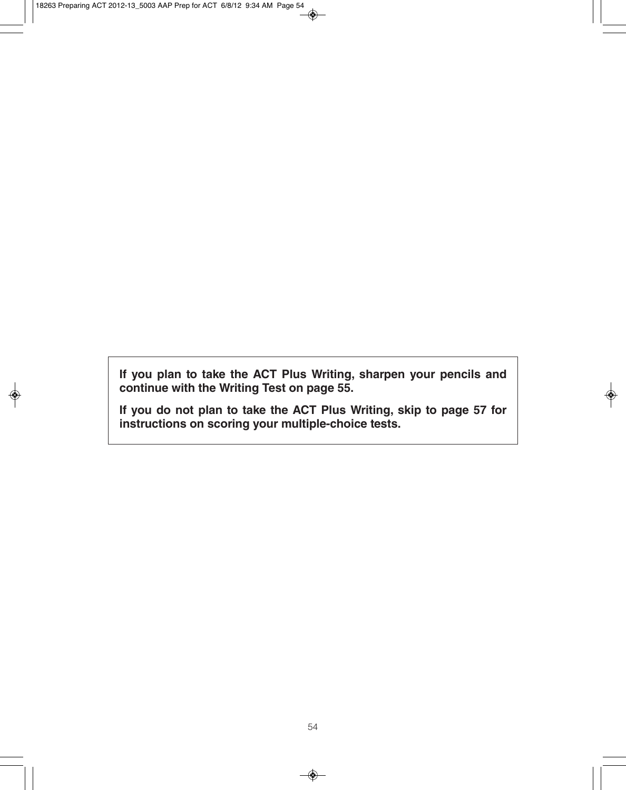**If you plan to take the ACT Plus Writing, sharpen your pencils and continue with the Writing Test on page 55.**

**If you do not plan to take the ACT Plus Writing, skip to page 57 for instructions on scoring your multiple-choice tests.**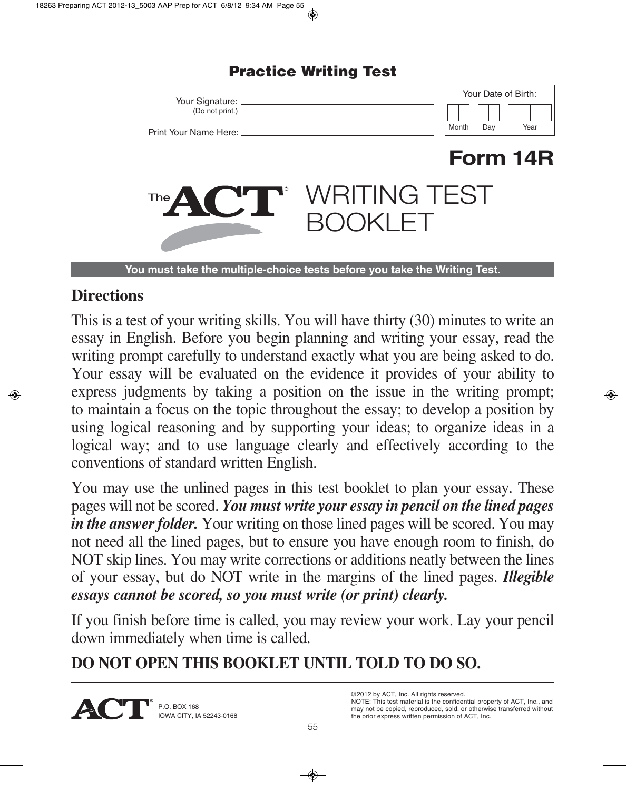## **Practice Writing Test**

Your Signature: (Do not print.) Print Your Name Here:



**Form 14R**



**You must take the multiple-choice tests before you take the Writing Test.**

## **Directions**

This is a test of your writing skills. You will have thirty (30) minutes to write an essay in English. Before you begin planning and writing your essay, read the writing prompt carefully to understand exactly what you are being asked to do. Your essay will be evaluated on the evidence it provides of your ability to express judgments by taking a position on the issue in the writing prompt; to maintain a focus on the topic throughout the essay; to develop a position by using logical reasoning and by supporting your ideas; to organize ideas in a logical way; and to use language clearly and effectively according to the conventions of standard written English.

You may use the unlined pages in this test booklet to plan your essay. These pages will not be scored. *You must write your essay in pencil on the lined pages in the answer folder.* Your writing on those lined pages will be scored. You may not need all the lined pages, but to ensure you have enough room to finish, do NOT skip lines. You may write corrections or additions neatly between the lines of your essay, but do NOT write in the margins of the lined pages. *Illegible essays cannot be scored, so you must write (or print) clearly.*

If you finish before time is called, you may review your work. Lay your pencil down immediately when time is called.

## **DO NOT OPEN THIS BOOKLET UNTIL TOLD TO DO SO.**

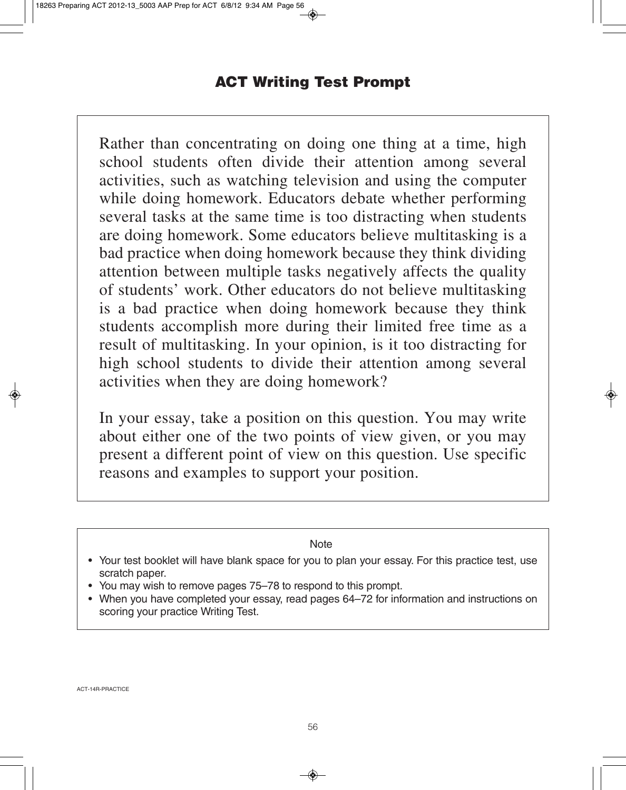Rather than concentrating on doing one thing at a time, high school students often divide their attention among several activities, such as watching television and using the computer while doing homework. Educators debate whether performing several tasks at the same time is too distracting when students are doing homework. Some educators believe multitasking is a bad practice when doing homework because they think dividing attention between multiple tasks negatively affects the quality of students' work. Other educators do not believe multitasking is a bad practice when doing homework because they think students accomplish more during their limited free time as a result of multitasking. In your opinion, is it too distracting for high school students to divide their attention among several activities when they are doing homework?

In your essay, take a position on this question. You may write about either one of the two points of view given, or you may present a different point of view on this question. Use specific reasons and examples to support your position.

**Note** 

- You may wish to remove pages 75–78 to respond to this prompt.
- When you have completed your essay, read pages 64–72 for information and instructions on scoring your practice Writing Test.

<sup>•</sup> Your test booklet will have blank space for you to plan your essay. For this practice test, use scratch paper.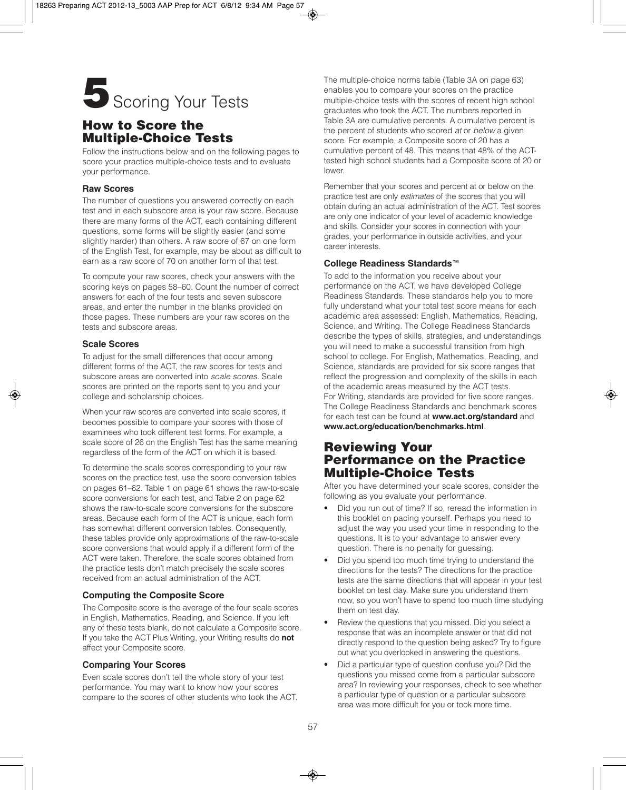

## **How to Score the Multiple-Choice Tests**

Follow the instructions below and on the following pages to score your practice multiple-choice tests and to evaluate your performance.

## **Raw Scores**

The number of questions you answered correctly on each test and in each subscore area is your raw score. Because there are many forms of the ACT, each containing different questions, some forms will be slightly easier (and some slightly harder) than others. A raw score of 67 on one form of the English Test, for example, may be about as difficult to earn as a raw score of 70 on another form of that test.

To compute your raw scores, check your answers with the scoring keys on pages 58–60. Count the number of correct answers for each of the four tests and seven subscore areas, and enter the number in the blanks provided on those pages. These numbers are your raw scores on the tests and subscore areas.

## **Scale Scores**

To adjust for the small differences that occur among different forms of the ACT, the raw scores for tests and subscore areas are converted into scale scores. Scale scores are printed on the reports sent to you and your college and scholarship choices.

When your raw scores are converted into scale scores, it becomes possible to compare your scores with those of examinees who took different test forms. For example, a scale score of 26 on the English Test has the same meaning regardless of the form of the ACT on which it is based.

To determine the scale scores corresponding to your raw scores on the practice test, use the score conversion tables on pages 61–62. Table 1 on page 61 shows the raw-to-scale score conversions for each test, and Table 2 on page 62 shows the raw-to-scale score conversions for the subscore areas. Because each form of the ACT is unique, each form has somewhat different conversion tables. Consequently, these tables provide only approximations of the raw-to-scale score conversions that would apply if a different form of the ACT were taken. Therefore, the scale scores obtained from the practice tests don't match precisely the scale scores received from an actual administration of the ACT.

## **Computing the Composite Score**

The Composite score is the average of the four scale scores in English, Mathematics, Reading, and Science. If you left any of these tests blank, do not calculate a Composite score. If you take the ACT Plus Writing, your Writing results do **not** affect your Composite score.

## **Comparing Your Scores**

Even scale scores don't tell the whole story of your test performance. You may want to know how your scores compare to the scores of other students who took the ACT.

The multiple-choice norms table (Table 3A on page 63) enables you to compare your scores on the practice multiple-choice tests with the scores of recent high school graduates who took the ACT. The numbers reported in Table 3A are cumulative percents. A cumulative percent is the percent of students who scored at or below a given score. For example, a Composite score of 20 has a cumulative percent of 48. This means that 48% of the ACTtested high school students had a Composite score of 20 or lower.

Remember that your scores and percent at or below on the practice test are only estimates of the scores that you will obtain during an actual administration of the ACT. Test scores are only one indicator of your level of academic knowledge and skills. Consider your scores in connection with your grades, your performance in outside activities, and your career interests.

## **College Readiness Standards**™

To add to the information you receive about your performance on the ACT, we have developed College Readiness Standards. These standards help you to more fully understand what your total test score means for each academic area assessed: English, Mathematics, Reading, Science, and Writing. The College Readiness Standards describe the types of skills, strategies, and understandings you will need to make a successful transition from high school to college. For English, Mathematics, Reading, and Science, standards are provided for six score ranges that reflect the progression and complexity of the skills in each of the academic areas measured by the ACT tests. For Writing, standards are provided for five score ranges. The College Readiness Standards and benchmark scores for each test can be found at **www.act.org/standard** and **www.act.org/education/benchmarks.html**.

## **Reviewing Your Performance on the Practice Multiple-Choice Tests**

After you have determined your scale scores, consider the following as you evaluate your performance.

- Did you run out of time? If so, reread the information in this booklet on pacing yourself. Perhaps you need to adjust the way you used your time in responding to the questions. It is to your advantage to answer every question. There is no penalty for guessing.
- Did you spend too much time trying to understand the directions for the tests? The directions for the practice tests are the same directions that will appear in your test booklet on test day. Make sure you understand them now, so you won't have to spend too much time studying them on test day.
- Review the questions that you missed. Did you select a response that was an incomplete answer or that did not directly respond to the question being asked? Try to figure out what you overlooked in answering the questions.
- Did a particular type of question confuse you? Did the questions you missed come from a particular subscore area? In reviewing your responses, check to see whether a particular type of question or a particular subscore area was more difficult for you or took more time.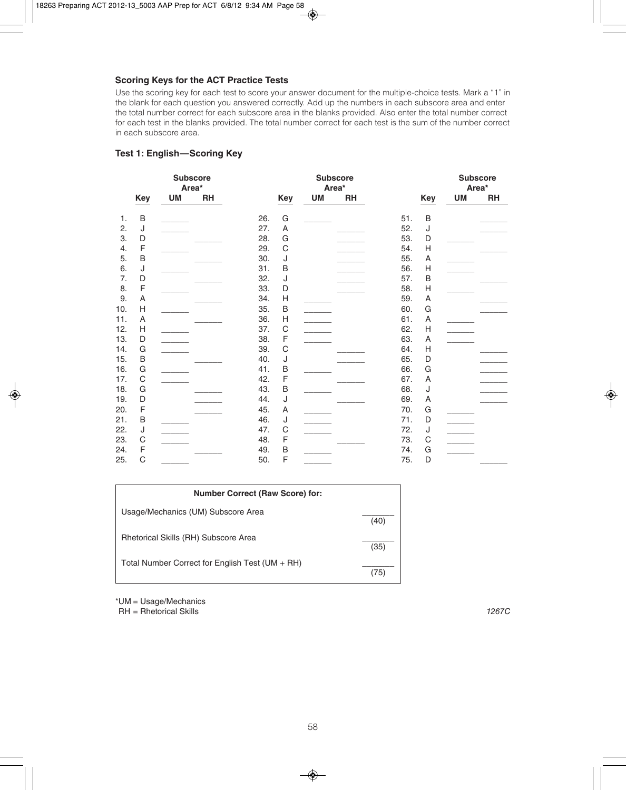## **Scoring Keys for the ACT Practice Tests**

Use the scoring key for each test to score your answer document for the multiple-choice tests. Mark a "1" in the blank for each question you answered correctly. Add up the numbers in each subscore area and enter the total number correct for each subscore area in the blanks provided. Also enter the total number correct for each test in the blanks provided. The total number correct for each test is the sum of the number correct in each subscore area.

## **Test 1: English—Scoring Key**

|     |                |    | <b>Subscore</b><br>Area* |     |             |    | <b>Subscore</b><br>Area* |     |              | <b>Subscore</b><br>Area* |           |
|-----|----------------|----|--------------------------|-----|-------------|----|--------------------------|-----|--------------|--------------------------|-----------|
|     | Key            | UM | <b>RH</b>                |     | <b>Key</b>  | UM | <b>RH</b>                |     | <b>Key</b>   | <b>UM</b>                | <b>RH</b> |
| 1.  | $\sf B$        |    |                          | 26. | G           |    |                          | 51. | B            |                          |           |
| 2.  | J              |    |                          | 27. | Α           |    |                          | 52. | J            |                          |           |
| 3.  | D              |    |                          | 28. | G           |    |                          | 53. | D            |                          |           |
| 4.  | $\mathsf F$    |    |                          | 29. | $\mathsf C$ |    |                          | 54. | $\mathsf{H}$ |                          |           |
| 5.  | B              |    |                          | 30. | J           |    |                          | 55. | Α            |                          |           |
| 6.  | J              |    |                          | 31. | B           |    |                          | 56. | Н            |                          |           |
| 7.  | D              |    |                          | 32. | J           |    |                          | 57. | B            |                          |           |
| 8.  | F              |    |                          | 33. | D           |    |                          | 58. | $\mathsf{H}$ |                          |           |
| 9.  | Α              |    |                          | 34. | Η           |    |                          | 59. | A            |                          |           |
| 10. | H              |    |                          | 35. | B           |    |                          | 60. | G            |                          |           |
| 11. | A              |    |                          | 36. | H           |    |                          | 61. | A            |                          |           |
| 12. | Н              |    |                          | 37. | C           |    |                          | 62. | H            |                          |           |
| 13. | D              |    |                          | 38. | F           |    |                          | 63. | A            |                          |           |
| 14. | G              |    |                          | 39. | C           |    |                          | 64. | $\mathsf{H}$ |                          |           |
| 15. | $\sf B$        |    |                          | 40. | J           |    |                          | 65. | D            |                          |           |
| 16. | G              |    |                          | 41. | B           |    |                          | 66. | G            |                          |           |
| 17. | $\mathsf C$    |    |                          | 42. | F           |    |                          | 67. | Α            |                          |           |
| 18. | G              |    |                          | 43. | B           |    |                          | 68. | J            |                          |           |
| 19. | D              |    |                          | 44. | J           |    |                          | 69. | A            |                          |           |
| 20. | $\overline{F}$ |    |                          | 45. | Α           |    |                          | 70. | G            |                          |           |
| 21. | B              |    |                          | 46. | J           |    |                          | 71. | D            |                          |           |
| 22. | J              |    |                          | 47. | C           |    |                          | 72. | J            |                          |           |
| 23. | $\mathsf C$    |    |                          | 48. | $\mathsf F$ |    |                          | 73. | $\mathsf C$  |                          |           |
| 24. | $\overline{F}$ |    |                          | 49. | B           |    |                          | 74. | G            |                          |           |
| 25. | $\mathsf C$    |    |                          | 50. | F           |    |                          | 75. | D            |                          |           |

| <b>Number Correct (Raw Score) for:</b>          |      |
|-------------------------------------------------|------|
| Usage/Mechanics (UM) Subscore Area              | (40  |
| Rhetorical Skills (RH) Subscore Area            | (35) |
| Total Number Correct for English Test (UM + RH) | (75  |

\*UM = Usage/Mechanics

RH = Rhetorical Skills *1267C*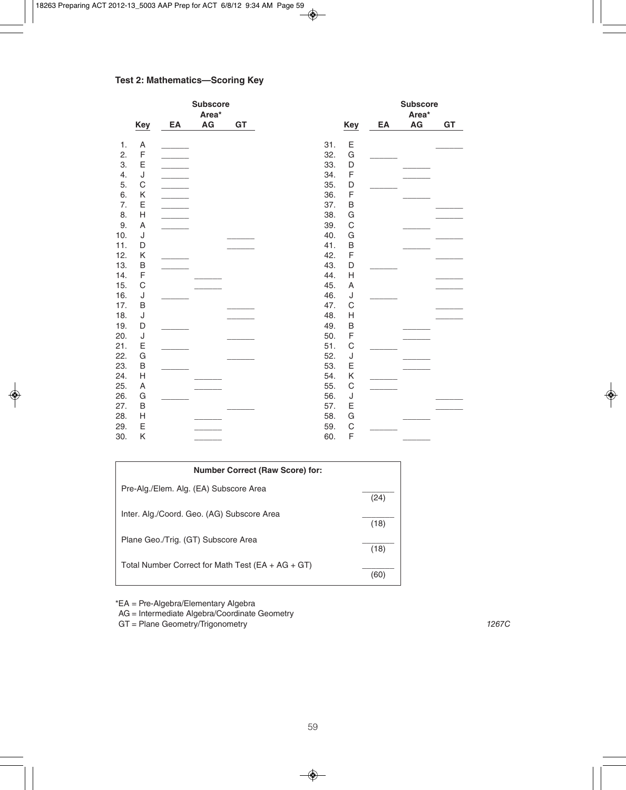## **Test 2: Mathematics—Scoring Key**

|     |                |    | <b>Subscore</b> |    |     |             |       | <b>Subscore</b> |    |
|-----|----------------|----|-----------------|----|-----|-------------|-------|-----------------|----|
|     | Area*          |    |                 |    |     |             | Area* |                 |    |
|     | Key            | EA | AG              | GT |     | Key         | EA    | AG              | GT |
| 1.  | Α              |    |                 |    | 31. | Ε           |       |                 |    |
| 2.  | $\mathsf F$    |    |                 |    | 32. | G           |       |                 |    |
| 3.  | E              |    |                 |    | 33. | D           |       |                 |    |
| 4.  | J              |    |                 |    | 34. | $\mathsf F$ |       |                 |    |
| 5.  | $\mathsf C$    |    |                 |    | 35. | D           |       |                 |    |
| 6.  | K              |    |                 |    | 36. | $\mathsf F$ |       |                 |    |
| 7.  | E              |    |                 |    | 37. | B           |       |                 |    |
| 8.  | $\mathsf{H}$   |    |                 |    | 38. | G           |       |                 |    |
| 9.  | A              |    |                 |    | 39. | C           |       |                 |    |
| 10. | J              |    |                 |    | 40. | G           |       |                 |    |
| 11. | D              |    |                 |    | 41. | $\sf B$     |       |                 |    |
| 12. | Κ              |    |                 |    | 42. | $\mathsf F$ |       |                 |    |
| 13. | $\sf B$        |    |                 |    | 43. | D           |       |                 |    |
| 14. | F              |    |                 |    | 44. | H           |       |                 |    |
| 15. | $\mathsf C$    |    |                 |    | 45. | Α           |       |                 |    |
| 16. | J              |    |                 |    | 46. | J           |       |                 |    |
| 17. | $\sf B$        |    |                 |    | 47. | C           |       |                 |    |
| 18. | J              |    |                 |    | 48. | Н           |       |                 |    |
| 19. | D              |    |                 |    | 49. | B           |       |                 |    |
| 20. | J              |    |                 |    | 50. | $\mathsf F$ |       |                 |    |
| 21. | E              |    |                 |    | 51. | C           |       |                 |    |
| 22. | G              |    |                 |    | 52. | J           |       |                 |    |
| 23. | $\mathsf B$    |    |                 |    | 53. | Ε           |       |                 |    |
| 24. | $\mathsf{H}$   |    |                 |    | 54. | Κ           |       |                 |    |
| 25. | A              |    |                 |    | 55. | $\mathsf C$ |       |                 |    |
| 26. | G              |    |                 |    | 56. | J           |       |                 |    |
| 27. | B              |    |                 |    | 57. | E           |       |                 |    |
| 28. | $\overline{H}$ |    |                 |    | 58. | G           |       |                 |    |
| 29. | E              |    |                 |    | 59. | $\mathsf C$ |       |                 |    |
| 30. | Κ              |    |                 |    | 60. | F           |       |                 |    |

| <b>Number Correct (Raw Score) for:</b>                |      |
|-------------------------------------------------------|------|
| Pre-Alg./Elem. Alg. (EA) Subscore Area                | (24  |
| Inter. Alg./Coord. Geo. (AG) Subscore Area            | (18) |
| Plane Geo./Trig. (GT) Subscore Area                   | (18) |
| Total Number Correct for Math Test ( $EA + AG + GT$ ) | (60  |

\*EA = Pre-Algebra/Elementary Algebra

AG = Intermediate Algebra/Coordinate Geometry

GT = Plane Geometry/Trigonometry *1267C*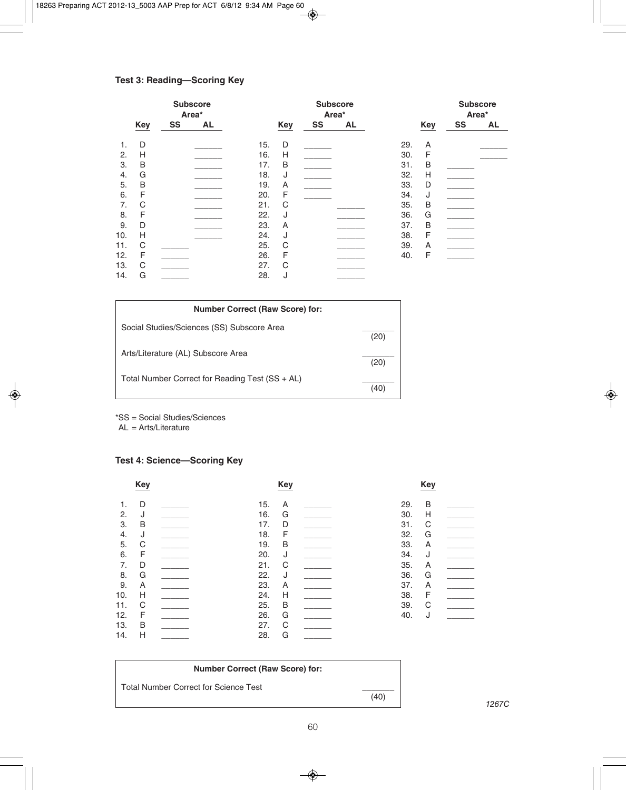## **Test 3: Reading—Scoring Key**

| <b>Subscore</b><br>Area* |            |    |           |     | <b>Subscore</b><br>Area* |    |           |     |     | <b>Subscore</b><br>Area* |           |  |
|--------------------------|------------|----|-----------|-----|--------------------------|----|-----------|-----|-----|--------------------------|-----------|--|
|                          | <b>Key</b> | SS | <b>AL</b> |     | <b>Key</b>               | SS | <b>AL</b> |     | Key | <b>SS</b>                | <b>AL</b> |  |
| 1.                       | D          |    |           | 15. | D                        |    |           | 29. | Α   |                          |           |  |
| $\mathbf{2}$ .           | Н          |    |           | 16. | Η                        |    |           | 30. | F   |                          |           |  |
| 3.                       | B          |    |           | 17. | B                        |    |           | 31. | B   |                          |           |  |
| 4.                       | G          |    |           | 18. | J                        |    |           | 32. | Н   |                          |           |  |
| 5.                       | B          |    |           | 19. | Α                        |    |           | 33. | D   |                          |           |  |
| 6.                       | F          |    |           | 20. | F                        |    |           | 34. | J   |                          |           |  |
| 7.                       | C          |    |           | 21. | С                        |    |           | 35. | B   |                          |           |  |
| 8.                       | F          |    |           | 22. | J                        |    |           | 36. | G   |                          |           |  |
| 9.                       | D          |    |           | 23. | A                        |    |           | 37. | B   |                          |           |  |
| 10.                      | Н          |    |           | 24. | J                        |    |           | 38. | F   |                          |           |  |
| 11.                      | C          |    |           | 25. | C                        |    |           | 39. | A   |                          |           |  |
| 12.                      | F          |    |           | 26. | F                        |    |           | 40. | F   |                          |           |  |
| 13.                      | C          |    |           | 27. | C                        |    |           |     |     |                          |           |  |
| 14.                      | G          |    |           | 28. | J                        |    |           |     |     |                          |           |  |

| <b>Number Correct (Raw Score) for:</b>            |    |
|---------------------------------------------------|----|
| Social Studies/Sciences (SS) Subscore Area        |    |
| Arts/Literature (AL) Subscore Area                | 20 |
| Total Number Correct for Reading Test $(SS + AL)$ |    |

\*SS = Social Studies/Sciences

AL = Arts/Literature

## **Test 4: Science—Scoring Key**

|     | <b>Key</b> |     | <b>Key</b> |     | <b>Key</b> |
|-----|------------|-----|------------|-----|------------|
| 1.  | D          | 15. | A          | 29. | B          |
| 2.  | J          | 16. | G          | 30. | Η          |
| 3.  | B          | 17. | D          | 31. | C          |
| 4.  | J          | 18. | F          | 32. | G          |
| 5.  | С          | 19. | B          | 33. | Α          |
| 6.  | F          | 20. | J          | 34. | J          |
| 7.  | D          | 21. | С          | 35. | Α          |
| 8.  | G          | 22. | J          | 36. | G          |
| 9.  | A          | 23. | Α          | 37. | Α          |
| 10. | Н          | 24. | Н          | 38. | F          |
| 11. | C          | 25. | B          | 39. | C          |
| 12. | F          | 26. | G          | 40. | J          |
| 13. | B          | 27. | С          |     |            |
| 14. | Н          | 28. | G          |     |            |

| <b>Number Correct (Raw Score) for:</b> |    |
|----------------------------------------|----|
| Total Number Correct for Science Test  | 40 |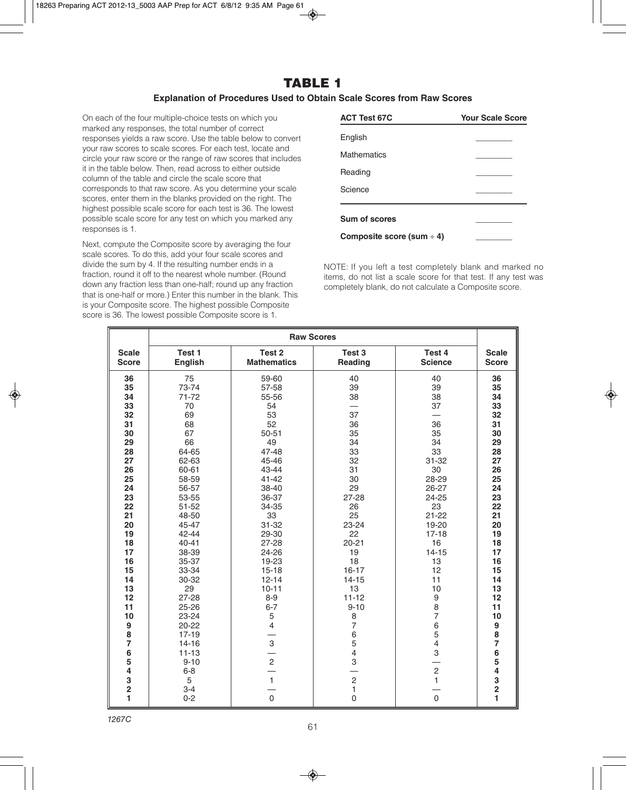## **TABLE 1**

## **Explanation of Procedures Used to Obtain Scale Scores from Raw Scores**

On each of the four multiple-choice tests on which you marked any responses, the total number of correct responses yields a raw score. Use the table below to convert your raw scores to scale scores. For each test, locate and circle your raw score or the range of raw scores that includes it in the table below. Then, read across to either outside column of the table and circle the scale score that corresponds to that raw score. As you determine your scale scores, enter them in the blanks provided on the right. The highest possible scale score for each test is 36. The lowest possible scale score for any test on which you marked any responses is 1.

Next, compute the Composite score by averaging the four scale scores. To do this, add your four scale scores and divide the sum by 4. If the resulting number ends in a fraction, round it off to the nearest whole number. (Round down any fraction less than one-half; round up any fraction that is one-half or more.) Enter this number in the blank. This is your Composite score. The highest possible Composite score is 36. The lowest possible Composite score is 1.

| <b>ACT Test 67C</b>            | <b>Your Scale Score</b> |
|--------------------------------|-------------------------|
| English                        |                         |
| <b>Mathematics</b>             |                         |
| Reading                        |                         |
| Science                        |                         |
|                                |                         |
| Sum of scores                  |                         |
| Composite score (sum $\div$ 4) |                         |

NOTE: If you left a test completely blank and marked no items, do not list a scale score for that test. If any test was completely blank, do not calculate a Composite score.

|                                            | <b>Raw Scores</b>        |                              |                          |                                       |                              |  |  |  |  |  |
|--------------------------------------------|--------------------------|------------------------------|--------------------------|---------------------------------------|------------------------------|--|--|--|--|--|
| <b>Scale</b><br><b>Score</b>               | Test 1<br><b>English</b> | Test 2<br><b>Mathematics</b> | Test 3<br><b>Reading</b> | Test 4<br><b>Science</b>              | <b>Scale</b><br><b>Score</b> |  |  |  |  |  |
| 36                                         | 75                       | 59-60                        | 40                       | 40                                    | 36                           |  |  |  |  |  |
| 35                                         | 73-74                    | 57-58                        | 39                       | 39                                    | 35                           |  |  |  |  |  |
| 34                                         | 71-72                    | 55-56                        | 38                       | 38                                    | 34                           |  |  |  |  |  |
| 33                                         | 70                       | 54                           |                          | 37                                    | 33                           |  |  |  |  |  |
| 32                                         | 69                       | 53                           | 37                       |                                       | 32                           |  |  |  |  |  |
| 31                                         | 68                       | 52                           | 36                       | 36                                    | 31                           |  |  |  |  |  |
| 30                                         | 67                       | $50 - 51$                    | 35                       | 35                                    | 30                           |  |  |  |  |  |
| 29                                         | 66                       | 49                           | 34                       | 34                                    | 29                           |  |  |  |  |  |
| 28                                         | 64-65                    | 47-48                        | 33                       | 33                                    | 28                           |  |  |  |  |  |
| 27                                         | 62-63                    | 45-46                        | 32                       | $31 - 32$                             | 27                           |  |  |  |  |  |
| 26                                         | 60-61                    | 43-44                        | 31                       | 30                                    | 26                           |  |  |  |  |  |
| 25<br>24                                   | 58-59<br>56-57           | $41 - 42$<br>38-40           | 30<br>29                 | 28-29<br>26-27                        | 25<br>24                     |  |  |  |  |  |
| 23                                         | 53-55                    | 36-37                        | 27-28                    | 24-25                                 | 23                           |  |  |  |  |  |
| 22                                         | $51 - 52$                | 34-35                        | 26                       | 23                                    | 22                           |  |  |  |  |  |
| 21                                         | 48-50                    | 33                           | 25                       | $21 - 22$                             | 21                           |  |  |  |  |  |
| 20                                         | 45-47                    | $31 - 32$                    | 23-24                    | 19-20                                 | 20                           |  |  |  |  |  |
| 19                                         | $42 - 44$                | 29-30                        | 22                       | $17 - 18$                             | 19                           |  |  |  |  |  |
| 18                                         | $40 - 41$                | 27-28                        | $20 - 21$                | 16                                    | 18                           |  |  |  |  |  |
| 17                                         | 38-39                    | 24-26                        | 19                       | $14 - 15$                             | 17                           |  |  |  |  |  |
| 16                                         | 35-37                    | 19-23                        | 18                       | 13                                    | 16                           |  |  |  |  |  |
| 15                                         | 33-34                    | $15 - 18$                    | $16 - 17$                | 12                                    | 15                           |  |  |  |  |  |
| 14                                         | 30-32                    | $12 - 14$                    | $14 - 15$                | 11                                    | 14                           |  |  |  |  |  |
| 13                                         | 29                       | $10 - 11$                    | 13                       | 10                                    | 13                           |  |  |  |  |  |
| 12                                         | 27-28                    | $8-9$                        | $11 - 12$                | $\boldsymbol{9}$                      | 12                           |  |  |  |  |  |
| 11                                         | 25-26                    | $6 - 7$                      | $9 - 10$                 | 8                                     | 11                           |  |  |  |  |  |
| 10                                         | 23-24                    | 5                            | 8                        | 7                                     | 10                           |  |  |  |  |  |
| 9                                          | $20 - 22$                | $\overline{4}$               | $\overline{7}$           | 6<br>5                                | 9                            |  |  |  |  |  |
| $\overline{\mathbf{8}}$                    | $17 - 19$                |                              | 6                        |                                       | $\overline{\mathbf{8}}$      |  |  |  |  |  |
| $\overline{7}$                             | $14 - 16$                | $\frac{3}{2}$                | 5                        | $\overline{\mathcal{L}}$              | $\overline{7}$               |  |  |  |  |  |
| $\begin{array}{c} 6 \\ 5 \\ 4 \end{array}$ | $11 - 13$                |                              | $\overline{4}$           | 3                                     | 6                            |  |  |  |  |  |
|                                            | $9 - 10$                 |                              | 3                        |                                       | $\frac{5}{4}$                |  |  |  |  |  |
|                                            | $6 - 8$                  | $\frac{1}{1}$                |                          | $\begin{array}{c} 2 \\ 1 \end{array}$ |                              |  |  |  |  |  |
| 3                                          | 5                        |                              | $\overline{c}$           |                                       | 3                            |  |  |  |  |  |
| $\overline{2}$                             | $3 - 4$                  |                              | $\mathbf{1}$             |                                       | $\overline{\mathbf{c}}$      |  |  |  |  |  |
| 1                                          | $0 - 2$                  | $\mathbf 0$                  | $\mathbf 0$              | $\Omega$                              | 1                            |  |  |  |  |  |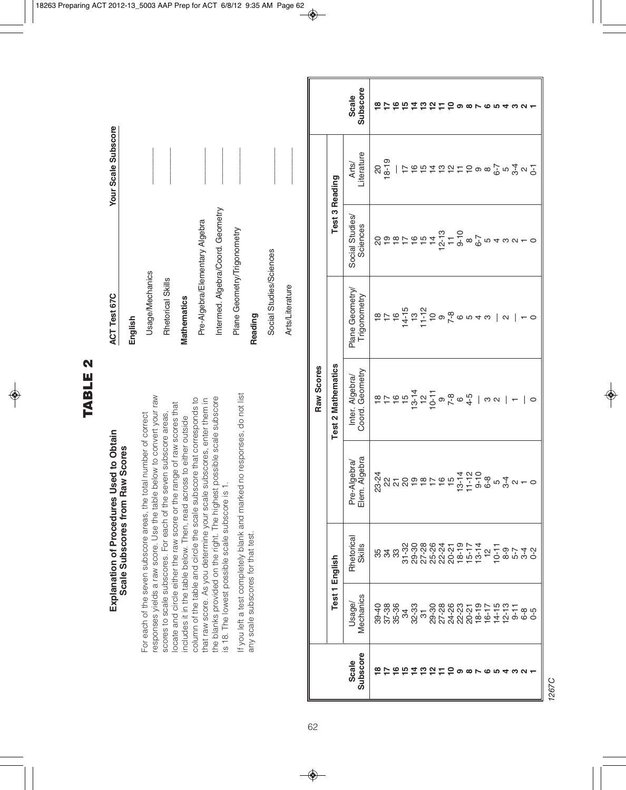| Explanation of Procedures Used to Obtain | Scale Subscores from Raw Scores |  |
|------------------------------------------|---------------------------------|--|

**TABLE 2**

**TABLE 2** 

responses yields a raw score. Use the table below to convert your raw the blanks provided on the right. The highest possible scale subscore responses yields a raw score. Use the table below to convert your raw column of the table and circle the scale subscore that corresponds to that raw score. As you determine your scale subscores, enter them in the blanks provided on the right. The highest possible scale subscore column of the table and circle the scale subscore that corresponds to that raw score. As you determine your scale subscores, enter them in locate and circle either the raw score or the range of raw scores that locate and circle either the raw score or the range of raw scores that scores to scale subscores. For each of the seven subscore areas, For each of the seven subscore areas, the total number of correct scores to scale subscores. For each of the seven subscore areas, includes it in the table below. Then, read across to either outside For each of the seven subscore areas, the total number of correct includes it in the table below. Then, read across to either outside is 18. The lowest possible scale subscore is 1. is 18. The lowest possible scale subscore is 1.

If you left a test completely blank and marked no responses, do not list If you left a test completely blank and marked no responses, do not list any scale subscores for that test. any scale subscores for that test.

| <b>ACT Test 67C</b>               | Your Scale Subscore |
|-----------------------------------|---------------------|
| English                           |                     |
| Usage/Mechanics                   |                     |
| Rhetorical Skills                 |                     |
| <b>Mathematics</b>                |                     |
| Pre-Algebra/Elementary Algebra    |                     |
| Intermed. Algebra/Coord. Geometry |                     |
| Plane Geometry/Trigonometry       |                     |
| Reading                           |                     |
| Social Studies/Sciences           |                     |
| Arts/Literature                   |                     |
|                                   |                     |

|                       |                           | Subscore<br>Scale                  |                                                                                                                                                                                                                                                                                                                                                                                                                                                                                                                                               |                      |                | 2729                 |                 | $\infty$ |  |               |  |  |  |  |  |  |
|-----------------------|---------------------------|------------------------------------|-----------------------------------------------------------------------------------------------------------------------------------------------------------------------------------------------------------------------------------------------------------------------------------------------------------------------------------------------------------------------------------------------------------------------------------------------------------------------------------------------------------------------------------------------|----------------------|----------------|----------------------|-----------------|----------|--|---------------|--|--|--|--|--|--|
|                       |                           | Arts/<br>Literature                | $20$<br>$18-19$                                                                                                                                                                                                                                                                                                                                                                                                                                                                                                                               | 一 がっちゃいかけいのる。 いっぱってい |                |                      |                 |          |  |               |  |  |  |  |  |  |
| <b>Test 3 Reading</b> |                           | Social Studies/<br>Sciences        | 89876577677866548870                                                                                                                                                                                                                                                                                                                                                                                                                                                                                                                          |                      |                |                      |                 |          |  |               |  |  |  |  |  |  |
|                       |                           | Plane Geometry/<br>Trigonometry    | $\frac{\infty}{\infty} \frac{1}{\infty} \frac{\infty}{\infty} \frac{1}{\infty} \frac{1}{\infty} \frac{1}{\infty} \frac{1}{\infty} \frac{1}{\infty} \frac{1}{\infty} \frac{1}{\infty} \frac{1}{\infty} \frac{1}{\infty} \frac{1}{\infty} \frac{1}{\infty} \frac{1}{\infty} \frac{1}{\infty} \frac{1}{\infty} \frac{1}{\infty} \frac{1}{\infty} \frac{1}{\infty} \frac{1}{\infty} \frac{1}{\infty} \frac{1}{\infty} \frac{1}{\infty} \frac$                                                                                                     |                      |                |                      |                 |          |  | $\sim$        |  |  |  |  |  |  |
| Raw Scores            | <b>Test 2 Mathematics</b> | Coord. Geometry<br>Inter. Algebra/ | $\begin{array}{l} \mathfrak{B} \uparrow \uparrow \mathfrak{S} \uparrow \mathfrak{S} \uparrow \mathfrak{S} \downarrow \mathfrak{S} \downarrow \mathfrak{S} \downarrow \mathfrak{S} \downarrow \mathfrak{S} \downarrow \mathfrak{S} \downarrow \mathfrak{S} \downarrow \mathfrak{S} \downarrow \mathfrak{S} \downarrow \mathfrak{S} \downarrow \mathfrak{S} \downarrow \mathfrak{S} \downarrow \mathfrak{S} \downarrow \mathfrak{S} \downarrow \mathfrak{S} \downarrow \mathfrak{S} \downarrow \mathfrak{S} \downarrow \mathfrak{S} \downarrow$ |                      |                |                      |                 |          |  | $  -   \circ$ |  |  |  |  |  |  |
|                       |                           |                                    | Aigebra<br>Pre-Algebra/<br>Elem. Algebra                                                                                                                                                                                                                                                                                                                                                                                                                                                                                                      |                      |                |                      |                 |          |  |               |  |  |  |  |  |  |
|                       |                           |                                    |                                                                                                                                                                                                                                                                                                                                                                                                                                                                                                                                               |                      | Test 1 English | Rhetorical<br>Skills |                 |          |  |               |  |  |  |  |  |  |
|                       |                           | Usage/<br>Mechanics                | 888 - 888875255555<br>956750 - 9675565555556<br>9567                                                                                                                                                                                                                                                                                                                                                                                                                                                                                          |                      |                |                      |                 |          |  |               |  |  |  |  |  |  |
|                       |                           | <b>Subscore</b><br>Scale           |                                                                                                                                                                                                                                                                                                                                                                                                                                                                                                                                               |                      |                |                      | $\subseteq$ ග ග |          |  |               |  |  |  |  |  |  |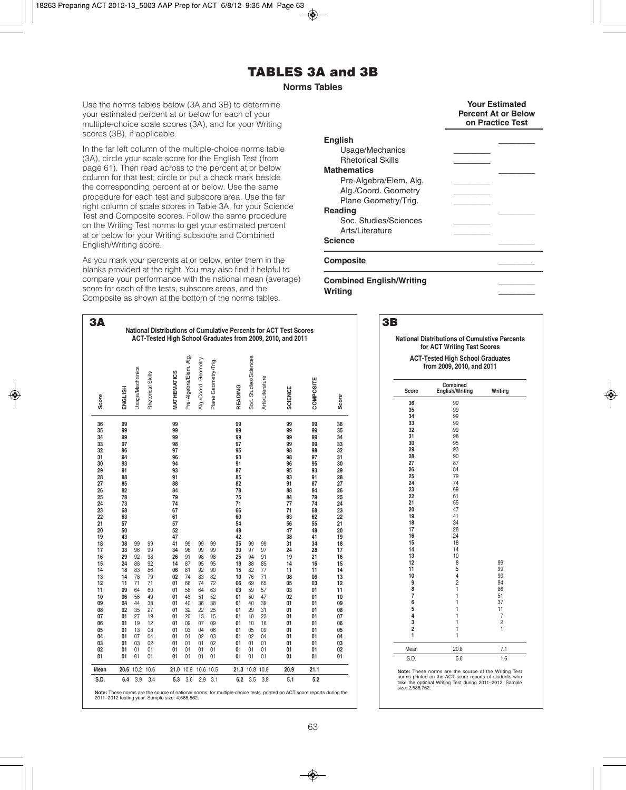## **TABLES 3A and 3B**

## **Norms Tables**

Use the norms tables below (3A and 3B) to determine your estimated percent at or below for each of your multiple-choice scale scores (3A), and for your Writing scores (3B), if applicable.

In the far left column of the multiple-choice norms table (3A), circle your scale score for the English Test (from page 61). Then read across to the percent at or below column for that test; circle or put a check mark beside the corresponding percent at or below. Use the same procedure for each test and subscore area. Use the far right column of scale scores in Table 3A, for your Science Test and Composite scores. Follow the same procedure on the Writing Test norms to get your estimated percent at or below for your Writing subscore and Combined English/Writing score.

As you mark your percents at or below, enter them in the blanks provided at the right. You may also find it helpful to compare your performance with the national mean (average) score for each of the tests, subscore areas, and the Composite as shown at the bottom of the norms tables.

|                          | <b>Percent At or Below</b><br>on Practice Test |  |  |  |  |  |
|--------------------------|------------------------------------------------|--|--|--|--|--|
| <b>English</b>           |                                                |  |  |  |  |  |
| Usage/Mechanics          |                                                |  |  |  |  |  |
| <b>Rhetorical Skills</b> |                                                |  |  |  |  |  |
| <b>Mathematics</b>       |                                                |  |  |  |  |  |
| Pre-Algebra/Elem. Alg.   |                                                |  |  |  |  |  |
| Alg./Coord. Geometry     |                                                |  |  |  |  |  |
| Plane Geometry/Trig.     |                                                |  |  |  |  |  |
| <b>Reading</b>           |                                                |  |  |  |  |  |
| Soc. Studies/Sciences    |                                                |  |  |  |  |  |
| Arts/Literature          |                                                |  |  |  |  |  |
| <b>Science</b>           |                                                |  |  |  |  |  |

**Your Estimated**

**Combined English/Writing** \_\_\_\_\_\_\_\_ **Writing** \_\_\_\_\_\_\_\_

| ЗА                                                                                                                                                                                                                   | <b>National Distributions of Cumulative Percents for ACT Test Scores</b><br>ACT-Tested High School Graduates from 2009, 2010, and 2011                                                                               |                                                                                                          |                                                                                                          |                                                                                                                                                                                                                      |                                                                                                          |                                                                                                          |                                                                                                          |                                                                                                                                                                                                                      |                                                                                                          |                                                                                                          |                                                                                                                                                                                                                      |                                                                                                                                                                                                                      | 3В                                                                                                                                                                                                                   |  |
|----------------------------------------------------------------------------------------------------------------------------------------------------------------------------------------------------------------------|----------------------------------------------------------------------------------------------------------------------------------------------------------------------------------------------------------------------|----------------------------------------------------------------------------------------------------------|----------------------------------------------------------------------------------------------------------|----------------------------------------------------------------------------------------------------------------------------------------------------------------------------------------------------------------------|----------------------------------------------------------------------------------------------------------|----------------------------------------------------------------------------------------------------------|----------------------------------------------------------------------------------------------------------|----------------------------------------------------------------------------------------------------------------------------------------------------------------------------------------------------------------------|----------------------------------------------------------------------------------------------------------|----------------------------------------------------------------------------------------------------------|----------------------------------------------------------------------------------------------------------------------------------------------------------------------------------------------------------------------|----------------------------------------------------------------------------------------------------------------------------------------------------------------------------------------------------------------------|----------------------------------------------------------------------------------------------------------------------------------------------------------------------------------------------------------------------|--|
| Score                                                                                                                                                                                                                | ENGLISH                                                                                                                                                                                                              | Usage/Mechanics                                                                                          | Rhetorical Skills                                                                                        | MATHEMATICS                                                                                                                                                                                                          | Pre-Algebra/Elem. Alg.                                                                                   | Alg./Coord. Geometry                                                                                     | Plane Geometry/Trig.                                                                                     | READING                                                                                                                                                                                                              | Soc. Studies/Sciences                                                                                    | Arts/Literature                                                                                          | SCIENCE                                                                                                                                                                                                              | COMPOSITE                                                                                                                                                                                                            | Score                                                                                                                                                                                                                |  |
| 36<br>35<br>34<br>33<br>32<br>31<br>30<br>29<br>28<br>27<br>26<br>25<br>24<br>23<br>22<br>21<br>20<br>19<br>18<br>17<br>16<br>15<br>14<br>13<br>12<br>11<br>10<br>09<br>08<br>07<br>06<br>05<br>04<br>03<br>02<br>01 | 99<br>99<br>99<br>97<br>96<br>94<br>93<br>91<br>88<br>85<br>82<br>78<br>73<br>68<br>63<br>57<br>50<br>43<br>38<br>33<br>29<br>24<br>18<br>14<br>11<br>09<br>06<br>04<br>02<br>01<br>01<br>01<br>01<br>01<br>01<br>01 | 99<br>96<br>92<br>88<br>83<br>78<br>71<br>64<br>56<br>44<br>35<br>27<br>19<br>13<br>07<br>03<br>01<br>01 | 99<br>99<br>98<br>92<br>86<br>79<br>71<br>60<br>49<br>38<br>27<br>19<br>12<br>08<br>04<br>02<br>01<br>01 | 99<br>99<br>99<br>98<br>97<br>96<br>94<br>93<br>91<br>88<br>84<br>79<br>74<br>67<br>61<br>57<br>52<br>47<br>41<br>34<br>26<br>14<br>06<br>02<br>01<br>01<br>01<br>01<br>01<br>01<br>01<br>01<br>01<br>01<br>01<br>01 | 99<br>96<br>91<br>87<br>81<br>74<br>66<br>58<br>48<br>40<br>32<br>20<br>09<br>03<br>01<br>01<br>01<br>01 | 99<br>99<br>98<br>95<br>92<br>83<br>74<br>64<br>51<br>36<br>22<br>13<br>07<br>04<br>02<br>01<br>01<br>01 | 99<br>99<br>98<br>95<br>90<br>82<br>72<br>63<br>52<br>38<br>25<br>15<br>09<br>06<br>03<br>02<br>01<br>01 | 99<br>99<br>99<br>97<br>95<br>93<br>91<br>87<br>85<br>82<br>78<br>75<br>71<br>66<br>60<br>54<br>48<br>42<br>35<br>30<br>25<br>19<br>15<br>10<br>06<br>03<br>01<br>01<br>01<br>01<br>01<br>01<br>01<br>01<br>01<br>01 | 99<br>97<br>94<br>88<br>82<br>76<br>69<br>59<br>50<br>40<br>29<br>18<br>10<br>05<br>02<br>01<br>01<br>01 | 99<br>97<br>91<br>85<br>77<br>71<br>65<br>57<br>47<br>39<br>31<br>23<br>16<br>09<br>04<br>01<br>01<br>01 | 99<br>99<br>99<br>99<br>98<br>98<br>96<br>95<br>93<br>91<br>88<br>84<br>77<br>71<br>63<br>56<br>47<br>38<br>31<br>24<br>19<br>14<br>11<br>08<br>05<br>03<br>02<br>01<br>01<br>01<br>01<br>01<br>01<br>01<br>01<br>01 | 99<br>99<br>99<br>99<br>98<br>97<br>95<br>93<br>91<br>87<br>84<br>79<br>74<br>68<br>62<br>55<br>48<br>41<br>34<br>28<br>21<br>16<br>11<br>06<br>03<br>01<br>01<br>01<br>01<br>01<br>01<br>01<br>01<br>01<br>01<br>01 | 36<br>35<br>34<br>33<br>32<br>31<br>30<br>29<br>28<br>27<br>26<br>25<br>24<br>23<br>22<br>21<br>20<br>19<br>18<br>17<br>16<br>15<br>14<br>13<br>12<br>11<br>10<br>09<br>08<br>07<br>06<br>05<br>04<br>03<br>02<br>01 |  |
| Mean                                                                                                                                                                                                                 |                                                                                                                                                                                                                      | 20.6 10.2 10.6                                                                                           |                                                                                                          |                                                                                                                                                                                                                      | 21.0 10.9                                                                                                | 10.6 10.5                                                                                                |                                                                                                          |                                                                                                                                                                                                                      | 21.3 10.8 10.9                                                                                           |                                                                                                          | 20.9                                                                                                                                                                                                                 | 21.1                                                                                                                                                                                                                 |                                                                                                                                                                                                                      |  |
| S.D.                                                                                                                                                                                                                 | 6.4                                                                                                                                                                                                                  | 3.9                                                                                                      | 3.4                                                                                                      | 5.3                                                                                                                                                                                                                  | 3.6                                                                                                      | 2.9                                                                                                      | 3.1                                                                                                      | 6.2                                                                                                                                                                                                                  | 3.5                                                                                                      | 3.9                                                                                                      | 5.1                                                                                                                                                                                                                  | 5.2                                                                                                                                                                                                                  |                                                                                                                                                                                                                      |  |

Note: These norms are the source of national norms, for multiple-choice tests, printed on ACT score reports during the 2011-2012 testing year. Sample size: 4,665,862.

National Distributions of Cumulative Percents for ACT Writing Test Scores **ACT-Tested High School Graduates** from 2009, 2010, and 2011

| Score          | Combined<br><b>English/Writing</b> | Writing        |
|----------------|------------------------------------|----------------|
| 36             | 99                                 |                |
| 35             | 99                                 |                |
| 34             | 99                                 |                |
| 33             | 99                                 |                |
| 32             | 99                                 |                |
| 31             | 98                                 |                |
| 30             | 95                                 |                |
| 29             | 93                                 |                |
| 28             | 90                                 |                |
| 27             | 87                                 |                |
| 26             | 84                                 |                |
| 25             | 79                                 |                |
| 24             | 74                                 |                |
| 23             | 69                                 |                |
| 22             | 61                                 |                |
| 21<br>20       | 55<br>47                           |                |
| 19             | 41                                 |                |
| 18             | 34                                 |                |
| 17             | 28                                 |                |
| 16             | 24                                 |                |
| 15             | 18                                 |                |
| 14             | 14                                 |                |
| 13             | 10                                 |                |
| 12             | 8                                  | 99             |
| 11             | 5                                  | 99             |
| 10             | $\overline{4}$                     | 99             |
| 9              | $\overline{c}$                     | 94             |
| 8              | $\mathbf{1}$                       | 86             |
| $\overline{7}$ | $\mathbf{1}$                       | 51             |
| 6              | $\mathbf{1}$                       | 37             |
| 5              | $\mathbf{1}$                       | 11             |
| 4              | $\mathbf{1}$                       | $\overline{7}$ |
| 3              | $\mathbf{1}$                       | $\overline{c}$ |
| $\overline{2}$ | $\mathbf{1}$                       | $\mathbf{1}$   |
| $\mathbf{1}$   | $\mathbf{1}$                       |                |
| Mean           | 20.8                               | 7.1            |
| S.D.           | 5.6                                | 1.6            |

**Note:** These norms are the source of the Writing Test norms printed on the ACT score reports of students who<br>take the optional Writing Test during 2011–2012. Sample size: 2,588,762.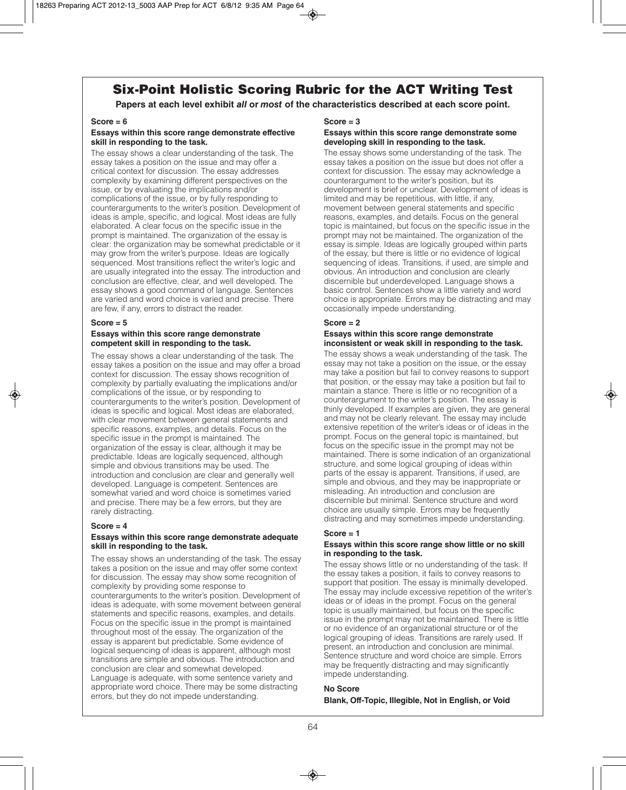## **Six-Point Holistic Scoring Rubric for the ACT Writing Test**

**Papers at each level exhibit** *all* **or** *most* **of the characteristics described at each score point.**

## **Score = 6**

## **Essays within this score range demonstrate effective skill in responding to the task.**

The essay shows a clear understanding of the task. The essay takes a position on the issue and may offer a critical context for discussion. The essay addresses complexity by examining different perspectives on the issue, or by evaluating the implications and/or complications of the issue, or by fully responding to counterarguments to the writer's position. Development of ideas is ample, specific, and logical. Most ideas are fully elaborated. A clear focus on the specific issue in the prompt is maintained. The organization of the essay is clear: the organization may be somewhat predictable or it may grow from the writer's purpose. Ideas are logically sequenced. Most transitions reflect the writer's logic and are usually integrated into the essay. The introduction and conclusion are effective, clear, and well developed. The essay shows a good command of language. Sentences are varied and word choice is varied and precise. There are few, if any, errors to distract the reader.

## **Score = 5**

## **Essays within this score range demonstrate competent skill in responding to the task.**

The essay shows a clear understanding of the task. The essay takes a position on the issue and may offer a broad context for discussion. The essay shows recognition of complexity by partially evaluating the implications and/or complications of the issue, or by responding to counterarguments to the writer's position. Development of ideas is specific and logical. Most ideas are elaborated, with clear movement between general statements and specific reasons, examples, and details. Focus on the specific issue in the prompt is maintained. The organization of the essay is clear, although it may be predictable. Ideas are logically sequenced, although simple and obvious transitions may be used. The introduction and conclusion are clear and generally well developed. Language is competent. Sentences are somewhat varied and word choice is sometimes varied and precise. There may be a few errors, but they are rarely distracting.

## **Score = 4**

## **Essays within this score range demonstrate adequate skill in responding to the task.**

The essay shows an understanding of the task. The essay takes a position on the issue and may offer some context for discussion. The essay may show some recognition of complexity by providing some response to counterarguments to the writer's position. Development of ideas is adequate, with some movement between general statements and specific reasons, examples, and details. Focus on the specific issue in the prompt is maintained throughout most of the essay. The organization of the essay is apparent but predictable. Some evidence of logical sequencing of ideas is apparent, although most transitions are simple and obvious. The introduction and conclusion are clear and somewhat developed. Language is adequate, with some sentence variety and appropriate word choice. There may be some distracting errors, but they do not impede understanding.

## **Score = 3**

## **Essays within this score range demonstrate some developing skill in responding to the task.**

The essay shows some understanding of the task. The essay takes a position on the issue but does not offer a context for discussion. The essay may acknowledge a counterargument to the writer's position, but its development is brief or unclear. Development of ideas is limited and may be repetitious, with little, if any, movement between general statements and specific reasons, examples, and details. Focus on the general topic is maintained, but focus on the specific issue in the prompt may not be maintained. The organization of the essay is simple. Ideas are logically grouped within parts of the essay, but there is little or no evidence of logical sequencing of ideas. Transitions, if used, are simple and obvious. An introduction and conclusion are clearly discernible but underdeveloped. Language shows a basic control. Sentences show a little variety and word choice is appropriate. Errors may be distracting and may occasionally impede understanding.

## **Score = 2**

### **Essays within this score range demonstrate inconsistent or weak skill in responding to the task.**

The essay shows a weak understanding of the task. The essay may not take a position on the issue, or the essay may take a position but fail to convey reasons to support that position, or the essay may take a position but fail to maintain a stance. There is little or no recognition of a counterargument to the writer's position. The essay is thinly developed. If examples are given, they are general and may not be clearly relevant. The essay may include extensive repetition of the writer's ideas or of ideas in the prompt. Focus on the general topic is maintained, but focus on the specific issue in the prompt may not be maintained. There is some indication of an organizational structure, and some logical grouping of ideas within parts of the essay is apparent. Transitions, if used, are simple and obvious, and they may be inappropriate or misleading. An introduction and conclusion are discernible but minimal. Sentence structure and word choice are usually simple. Errors may be frequently distracting and may sometimes impede understanding.

## **Score = 1**

### **Essays within this score range show little or no skill in responding to the task.**

The essay shows little or no understanding of the task. If the essay takes a position, it fails to convey reasons to support that position. The essay is minimally developed. The essay may include excessive repetition of the writer's ideas or of ideas in the prompt. Focus on the general topic is usually maintained, but focus on the specific issue in the prompt may not be maintained. There is little or no evidence of an organizational structure or of the logical grouping of ideas. Transitions are rarely used. If present, an introduction and conclusion are minimal. Sentence structure and word choice are simple. Errors may be frequently distracting and may significantly impede understanding.

## **No Score**

**Blank, Off-Topic, Illegible, Not in English, or Void**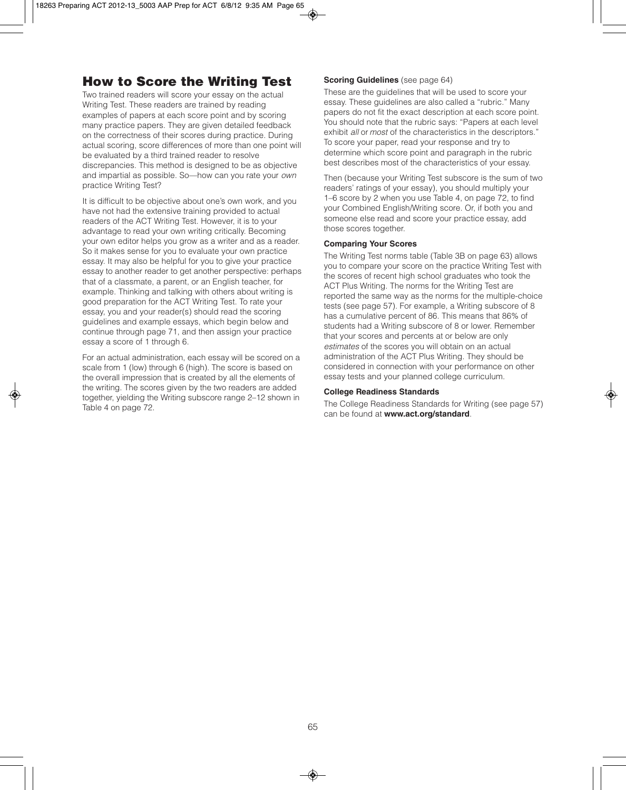## **How to Score the Writing Test**

Two trained readers will score your essay on the actual Writing Test. These readers are trained by reading examples of papers at each score point and by scoring many practice papers. They are given detailed feedback on the correctness of their scores during practice. During actual scoring, score differences of more than one point will be evaluated by a third trained reader to resolve discrepancies. This method is designed to be as objective and impartial as possible. So—how can you rate your own practice Writing Test?

It is difficult to be objective about one's own work, and you have not had the extensive training provided to actual readers of the ACT Writing Test. However, it is to your advantage to read your own writing critically. Becoming your own editor helps you grow as a writer and as a reader. So it makes sense for you to evaluate your own practice essay. It may also be helpful for you to give your practice essay to another reader to get another perspective: perhaps that of a classmate, a parent, or an English teacher, for example. Thinking and talking with others about writing is good preparation for the ACT Writing Test. To rate your essay, you and your reader(s) should read the scoring guidelines and example essays, which begin below and continue through page 71, and then assign your practice essay a score of 1 through 6.

For an actual administration, each essay will be scored on a scale from 1 (low) through 6 (high). The score is based on the overall impression that is created by all the elements of the writing. The scores given by the two readers are added together, yielding the Writing subscore range 2–12 shown in Table 4 on page 72.

## **Scoring Guidelines** (see page 64)

These are the guidelines that will be used to score your essay. These guidelines are also called a "rubric." Many papers do not fit the exact description at each score point. You should note that the rubric says: "Papers at each level exhibit *all* or *most* of the characteristics in the descriptors." To score your paper, read your response and try to determine which score point and paragraph in the rubric best describes most of the characteristics of your essay.

Then (because your Writing Test subscore is the sum of two readers' ratings of your essay), you should multiply your 1–6 score by 2 when you use Table 4, on page 72, to find your Combined English/Writing score. Or, if both you and someone else read and score your practice essay, add those scores together.

## **Comparing Your Scores**

The Writing Test norms table (Table 3B on page 63) allows you to compare your score on the practice Writing Test with the scores of recent high school graduates who took the ACT Plus Writing. The norms for the Writing Test are reported the same way as the norms for the multiple-choice tests (see page 57). For example, a Writing subscore of 8 has a cumulative percent of 86. This means that 86% of students had a Writing subscore of 8 or lower. Remember that your scores and percents at or below are only estimates of the scores you will obtain on an actual administration of the ACT Plus Writing. They should be considered in connection with your performance on other essay tests and your planned college curriculum.

## **College Readiness Standards**

The College Readiness Standards for Writing (see page 57) can be found at **www.act.org/standard**.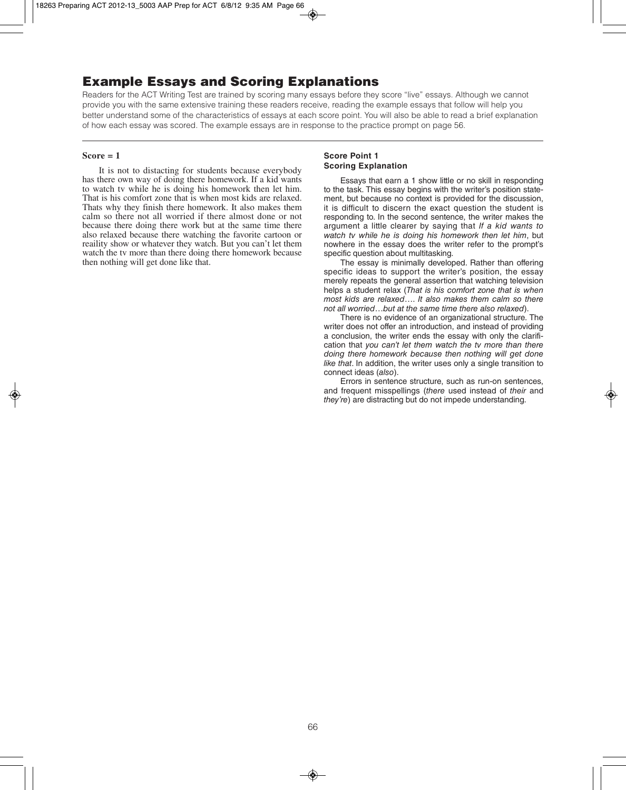## **Example Essays and Scoring Explanations**

Readers for the ACT Writing Test are trained by scoring many essays before they score "live" essays. Although we cannot provide you with the same extensive training these readers receive, reading the example essays that follow will help you better understand some of the characteristics of essays at each score point. You will also be able to read a brief explanation of how each essay was scored. The example essays are in response to the practice prompt on page 56.

## **Score = 1**

It is not to distacting for students because everybody has there own way of doing there homework. If a kid wants to watch tv while he is doing his homework then let him. That is his comfort zone that is when most kids are relaxed. Thats why they finish there homework. It also makes them calm so there not all worried if there almost done or not because there doing there work but at the same time there also relaxed because there watching the favorite cartoon or reaility show or whatever they watch. But you can't let them watch the tv more than there doing there homework because then nothing will get done like that.

## **Score Point 1 Scoring Explanation**

Essays that earn a 1 show little or no skill in responding to the task. This essay begins with the writer's position statement, but because no context is provided for the discussion, it is difficult to discern the exact question the student is responding to. In the second sentence, the writer makes the argument a little clearer by saying that *If a kid wants to watch tv while he is doing his homework then let him*, but nowhere in the essay does the writer refer to the prompt's specific question about multitasking.

The essay is minimally developed. Rather than offering specific ideas to support the writer's position, the essay merely repeats the general assertion that watching television helps a student relax (*That is his comfort zone that is when most kids are relaxed*…. *It also makes them calm so there not all worried*…*but at the same time there also relaxed*).

There is no evidence of an organizational structure. The writer does not offer an introduction, and instead of providing a conclusion, the writer ends the essay with only the clarification that *you can't let them watch the tv more than there doing there homework because then nothing will get done like that*. In addition, the writer uses only a single transition to connect ideas (*also*).

Errors in sentence structure, such as run-on sentences, and frequent misspellings (*there* used instead of *their* and *they're*) are distracting but do not impede understanding.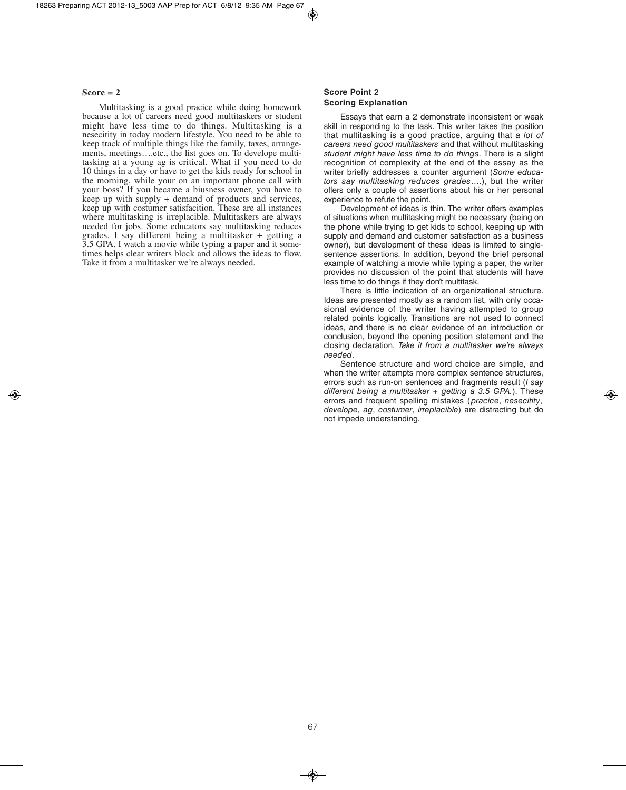Multitasking is a good pracice while doing homework because a lot of careers need good multitaskers or student might have less time to do things. Multitasking is a nesecitity in today modern lifestyle. You need to be able to keep track of multiple things like the family, taxes, arrangements, meetings….etc., the list goes on. To develope multitasking at a young ag is critical. What if you need to do 10 things in a day or have to get the kids ready for school in the morning, while your on an important phone call with your boss? If you became a biusness owner, you have to keep up with supply + demand of products and services, keep up with costumer satisfacition. These are all instances where multitasking is irreplacible. Multitaskers are always needed for jobs. Some educators say multitasking reduces grades. I say different being a multitasker + getting a 3.5 GPA. I watch a movie while typing a paper and it sometimes helps clear writers block and allows the ideas to flow. Take it from a multitasker we're always needed.

## **Score Point 2 Scoring Explanation**

Essays that earn a 2 demonstrate inconsistent or weak skill in responding to the task. This writer takes the position that multitasking is a good practice, arguing that *a lot of careers need good multitaskers* and that without multitasking *student might have less time to do things*. There is a slight recognition of complexity at the end of the essay as the writer briefly addresses a counter argument (*Some educators say multitasking reduces grades*….), but the writer offers only a couple of assertions about his or her personal experience to refute the point.

Development of ideas is thin. The writer offers examples of situations when multitasking might be necessary (being on the phone while trying to get kids to school, keeping up with supply and demand and customer satisfaction as a business owner), but development of these ideas is limited to singlesentence assertions. In addition, beyond the brief personal example of watching a movie while typing a paper, the writer provides no discussion of the point that students will have less time to do things if they don't multitask.

There is little indication of an organizational structure. Ideas are presented mostly as a random list, with only occasional evidence of the writer having attempted to group related points logically. Transitions are not used to connect ideas, and there is no clear evidence of an introduction or conclusion, beyond the opening position statement and the closing declaration, *Take it from a multitasker we're always needed*.

Sentence structure and word choice are simple, and when the writer attempts more complex sentence structures, errors such as run-on sentences and fragments result (*I say different being a multitasker + getting a 3.5 GPA.*). These errors and frequent spelling mistakes (*pracice*, *nesecitity*, *develope*, *ag*, *costumer*, *irreplacible*) are distracting but do not impede understanding.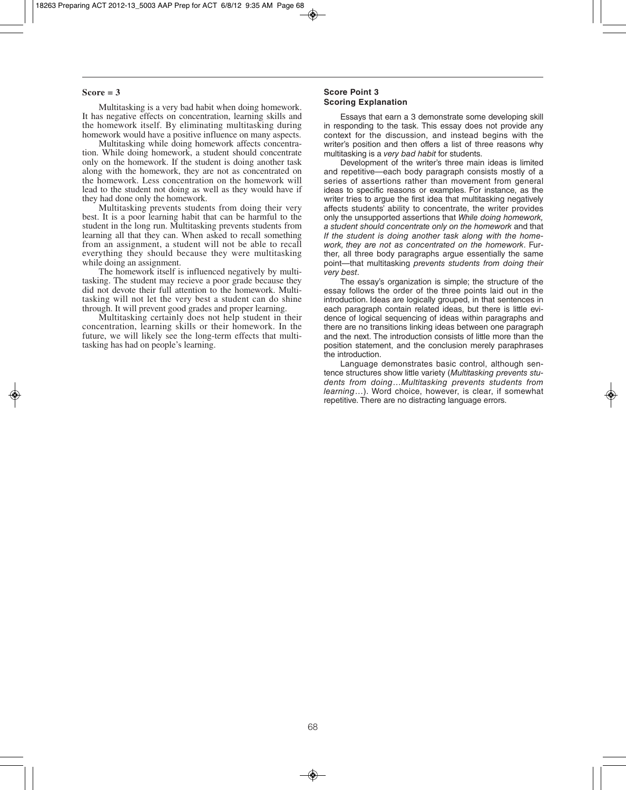Multitasking is a very bad habit when doing homework. It has negative effects on concentration, learning skills and the homework itself. By eliminating multitasking during homework would have a positive influence on many aspects.

Multitasking while doing homework affects concentration. While doing homework, a student should concentrate only on the homework. If the student is doing another task along with the homework, they are not as concentrated on the homework. Less concentration on the homework will lead to the student not doing as well as they would have if they had done only the homework.

Multitasking prevents students from doing their very best. It is a poor learning habit that can be harmful to the student in the long run. Multitasking prevents students from learning all that they can. When asked to recall something from an assignment, a student will not be able to recall everything they should because they were multitasking while doing an assignment.

The homework itself is influenced negatively by multitasking. The student may recieve a poor grade because they did not devote their full attention to the homework. Multitasking will not let the very best a student can do shine through. It will prevent good grades and proper learning.

Multitasking certainly does not help student in their concentration, learning skills or their homework. In the future, we will likely see the long-term effects that multitasking has had on people's learning.

#### **Score Point 3 Scoring Explanation**

Essays that earn a 3 demonstrate some developing skill in responding to the task. This essay does not provide any context for the discussion, and instead begins with the writer's position and then offers a list of three reasons why multitasking is a *very bad habit* for students.

Development of the writer's three main ideas is limited and repetitive—each body paragraph consists mostly of a series of assertions rather than movement from general ideas to specific reasons or examples. For instance, as the writer tries to argue the first idea that multitasking negatively affects students' ability to concentrate, the writer provides only the unsupported assertions that *While doing homework, a student should concentrate only on the homework* and that *If the student is doing another task along with the homework, they are not as concentrated on the homework*. Further, all three body paragraphs argue essentially the same point—that multitasking *prevents students from doing their very best*.

The essay's organization is simple; the structure of the essay follows the order of the three points laid out in the introduction. Ideas are logically grouped, in that sentences in each paragraph contain related ideas, but there is little evidence of logical sequencing of ideas within paragraphs and there are no transitions linking ideas between one paragraph and the next. The introduction consists of little more than the position statement, and the conclusion merely paraphrases the introduction.

Language demonstrates basic control, although sentence structures show little variety (*Multitasking prevents students from doing*…*Multitasking prevents students from learning*…). Word choice, however, is clear, if somewhat repetitive. There are no distracting language errors.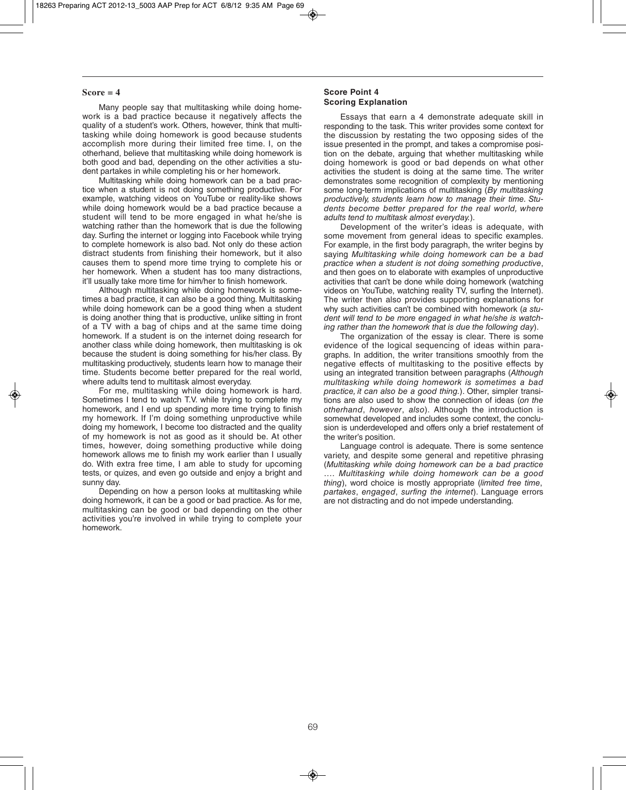Many people say that multitasking while doing homework is a bad practice because it negatively affects the quality of a student's work. Others, however, think that multitasking while doing homework is good because students accomplish more during their limited free time. I, on the otherhand, believe that multitasking while doing homework is both good and bad, depending on the other activities a student partakes in while completing his or her homework.

Multitasking while doing homework can be a bad practice when a student is not doing something productive. For example, watching videos on YouTube or reality-like shows while doing homework would be a bad practice because a student will tend to be more engaged in what he/she is watching rather than the homework that is due the following day. Surfing the internet or logging into Facebook while trying to complete homework is also bad. Not only do these action distract students from finishing their homework, but it also causes them to spend more time trying to complete his or her homework. When a student has too many distractions, it'll usually take more time for him/her to finish homework.

Although multitasking while doing homework is sometimes a bad practice, it can also be a good thing. Multitasking while doing homework can be a good thing when a student is doing another thing that is productive, unlike sitting in front of a TV with a bag of chips and at the same time doing homework. If a student is on the internet doing research for another class while doing homework, then multitasking is ok because the student is doing something for his/her class. By multitasking productively, students learn how to manage their time. Students become better prepared for the real world, where adults tend to multitask almost everyday.

For me, multitasking while doing homework is hard. Sometimes I tend to watch T.V. while trying to complete my homework, and I end up spending more time trying to finish my homework. If I'm doing something unproductive while doing my homework, I become too distracted and the quality of my homework is not as good as it should be. At other times, however, doing something productive while doing homework allows me to finish my work earlier than I usually do. With extra free time, I am able to study for upcoming tests, or quizes, and even go outside and enjoy a bright and sunny day.

Depending on how a person looks at multitasking while doing homework, it can be a good or bad practice. As for me, multitasking can be good or bad depending on the other activities you're involved in while trying to complete your homework.

### **Score Point 4 Scoring Explanation**

Essays that earn a 4 demonstrate adequate skill in responding to the task. This writer provides some context for the discussion by restating the two opposing sides of the issue presented in the prompt, and takes a compromise position on the debate, arguing that whether multitasking while doing homework is good or bad depends on what other activities the student is doing at the same time. The writer demonstrates some recognition of complexity by mentioning some long-term implications of multitasking (*By multitasking productively, students learn how to manage their time. Students become better prepared for the real world, where adults tend to multitask almost everyday.*).

Development of the writer's ideas is adequate, with some movement from general ideas to specific examples. For example, in the first body paragraph, the writer begins by saying *Multitasking while doing homework can be a bad practice when a student is not doing something productive*, and then goes on to elaborate with examples of unproductive activities that can't be done while doing homework (watching videos on YouTube, watching reality TV, surfing the Internet). The writer then also provides supporting explanations for why such activities can't be combined with homework (*a student will tend to be more engaged in what he/she is watching rather than the homework that is due the following day*).

The organization of the essay is clear. There is some evidence of the logical sequencing of ideas within paragraphs. In addition, the writer transitions smoothly from the negative effects of multitasking to the positive effects by using an integrated transition between paragraphs (*Although multitasking while doing homework is sometimes a bad practice, it can also be a good thing.*). Other, simpler transitions are also used to show the connection of ideas (*on the otherhand*, *however*, *also*). Although the introduction is somewhat developed and includes some context, the conclusion is underdeveloped and offers only a brief restatement of the writer's position.

Language control is adequate. There is some sentence variety, and despite some general and repetitive phrasing (*Multitasking while doing homework can be a bad practice* …. *Multitasking while doing homework can be a good thing*), word choice is mostly appropriate (*limited free time*, *partakes*, *engaged*, *surfing the internet*). Language errors are not distracting and do not impede understanding.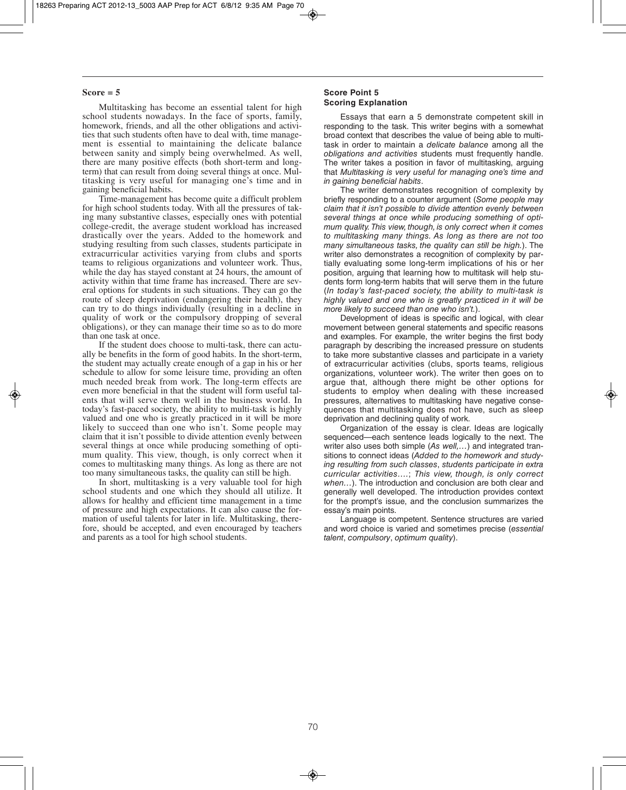Multitasking has become an essential talent for high school students nowadays. In the face of sports, family, homework, friends, and all the other obligations and activities that such students often have to deal with, time management is essential to maintaining the delicate balance between sanity and simply being overwhelmed. As well, there are many positive effects (both short-term and longterm) that can result from doing several things at once. Multitasking is very useful for managing one's time and in gaining beneficial habits.

Time-management has become quite a difficult problem for high school students today. With all the pressures of taking many substantive classes, especially ones with potential college-credit, the average student workload has increased drastically over the years. Added to the homework and studying resulting from such classes, students participate in extracurricular activities varying from clubs and sports teams to religious organizations and volunteer work. Thus, while the day has stayed constant at 24 hours, the amount of activity within that time frame has increased. There are several options for students in such situations. They can go the route of sleep deprivation (endangering their health), they can try to do things individually (resulting in a decline in quality of work or the compulsory dropping of several obligations), or they can manage their time so as to do more than one task at once.

If the student does choose to multi-task, there can actually be benefits in the form of good habits. In the short-term, the student may actually create enough of a gap in his or her schedule to allow for some leisure time, providing an often much needed break from work. The long-term effects are even more beneficial in that the student will form useful talents that will serve them well in the business world. In today's fast-paced society, the ability to multi-task is highly valued and one who is greatly practiced in it will be more likely to succeed than one who isn't. Some people may claim that it isn't possible to divide attention evenly between several things at once while producing something of optimum quality. This view, though, is only correct when it comes to multitasking many things. As long as there are not too many simultaneous tasks, the quality can still be high.

In short, multitasking is a very valuable tool for high school students and one which they should all utilize. It allows for healthy and efficient time management in a time of pressure and high expectations. It can also cause the formation of useful talents for later in life. Multitasking, therefore, should be accepted, and even encouraged by teachers and parents as a tool for high school students.

### **Score Point 5 Scoring Explanation**

Essays that earn a 5 demonstrate competent skill in responding to the task. This writer begins with a somewhat broad context that describes the value of being able to multitask in order to maintain a *delicate balance* among all the *obligations and activities* students must frequently handle. The writer takes a position in favor of multitasking, arguing that *Multitasking is very useful for managing one's time and in gaining beneficial habits*.

The writer demonstrates recognition of complexity by briefly responding to a counter argument (*Some people may claim that it isn't possible to divide attention evenly between several things at once while producing something of optimum quality. This view, though, is only correct when it comes to multitasking many things. As long as there are not too many simultaneous tasks, the quality can still be high.*). The writer also demonstrates a recognition of complexity by partially evaluating some long-term implications of his or her position, arguing that learning how to multitask will help students form long-term habits that will serve them in the future (*In today's fast-paced society, the ability to multi-task is highly valued and one who is greatly practiced in it will be more likely to succeed than one who isn't.*).

Development of ideas is specific and logical, with clear movement between general statements and specific reasons and examples. For example, the writer begins the first body paragraph by describing the increased pressure on students to take more substantive classes and participate in a variety of extracurricular activities (clubs, sports teams, religious organizations, volunteer work). The writer then goes on to argue that, although there might be other options for students to employ when dealing with these increased pressures, alternatives to multitasking have negative consequences that multitasking does not have, such as sleep deprivation and declining quality of work.

Organization of the essay is clear. Ideas are logically sequenced—each sentence leads logically to the next. The writer also uses both simple (*As well,…*) and integrated transitions to connect ideas (*Added to the homework and studying resulting from such classes*, *students participate in extra curricular activities….*; *This view, though, is only correct when…*). The introduction and conclusion are both clear and generally well developed. The introduction provides context for the prompt's issue, and the conclusion summarizes the essay's main points.

Language is competent. Sentence structures are varied and word choice is varied and sometimes precise (*essential talent*, *compulsory*, *optimum quality*).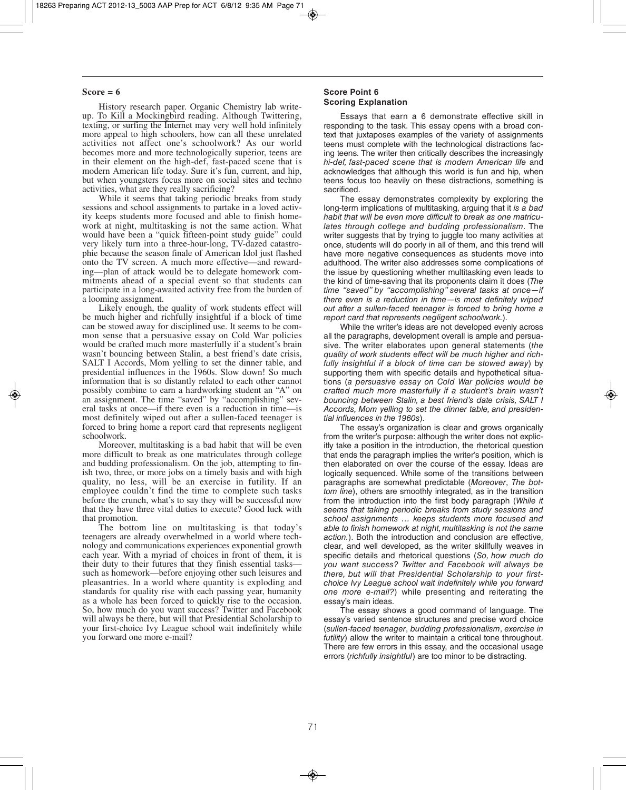History research paper. Organic Chemistry lab writeup. To Kill a Mockingbird reading. Although Twittering, texting, or surfing the Internet may very well hold infinitely more appeal to high schoolers, how can all these unrelated activities not affect one's schoolwork? As our world becomes more and more technologically superior, teens are in their element on the high-def, fast-paced scene that is modern American life today. Sure it's fun, current, and hip, but when youngsters focus more on social sites and techno activities, what are they really sacrificing?

While it seems that taking periodic breaks from study sessions and school assignments to partake in a loved activity keeps students more focused and able to finish homework at night, multitasking is not the same action. What would have been a "quick fifteen-point study guide" could very likely turn into a three-hour-long, TV-dazed catastrophie because the season finale of American Idol just flashed onto the TV screen. A much more effective—and rewarding—plan of attack would be to delegate homework commitments ahead of a special event so that students can participate in a long-awaited activity free from the burden of a looming assignment.

Likely enough, the quality of work students effect will be much higher and richfully insightful if a block of time can be stowed away for disciplined use. It seems to be common sense that a persuasive essay on Cold War policies would be crafted much more masterfully if a student's brain wasn't bouncing between Stalin, a best friend's date crisis, SALT I Accords, Mom yelling to set the dinner table, and presidential influences in the 1960s. Slow down! So much information that is so distantly related to each other cannot possibly combine to earn a hardworking student an "A" on an assignment. The time "saved" by "accomplishing" several tasks at once—if there even is a reduction in time—is most definitely wiped out after a sullen-faced teenager is forced to bring home a report card that represents negligent schoolwork.

Moreover, multitasking is a bad habit that will be even more difficult to break as one matriculates through college and budding professionalism. On the job, attempting to finish two, three, or more jobs on a timely basis and with high quality, no less, will be an exercise in futility. If an employee couldn't find the time to complete such tasks before the crunch, what's to say they will be successful now that they have three vital duties to execute? Good luck with that promotion.

The bottom line on multitasking is that today's teenagers are already overwhelmed in a world where technology and communications experiences exponential growth each year. With a myriad of choices in front of them, it is their duty to their futures that they finish essential tasks such as homework—before enjoying other such leisures and pleasantries. In a world where quantity is exploding and standards for quality rise with each passing year, humanity as a whole has been forced to quickly rise to the occasion. So, how much do you want success? Twitter and Facebook will always be there, but will that Presidential Scholarship to your first-choice Ivy League school wait indefinitely while you forward one more e-mail?

## **Score Point 6 Scoring Explanation**

Essays that earn a 6 demonstrate effective skill in responding to the task. This essay opens with a broad context that juxtaposes examples of the variety of assignments teens must complete with the technological distractions facing teens. The writer then critically describes the increasingly *hi-def, fast-paced scene that is modern American life* and acknowledges that although this world is fun and hip, when teens focus too heavily on these distractions, something is sacrificed.

The essay demonstrates complexity by exploring the long-term implications of multitasking, arguing that it *is a bad habit that will be even more difficult to break as one matriculates through college and budding professionalism*. The writer suggests that by trying to juggle too many activities at once, students will do poorly in all of them, and this trend will have more negative consequences as students move into adulthood. The writer also addresses some complications of the issue by questioning whether multitasking even leads to the kind of time-saving that its proponents claim it does (*The time "saved" by "accomplishing" several tasks at once—if there even is a reduction in time—is most definitely wiped out after a sullen-faced teenager is forced to bring home a report card that represents negligent schoolwork.*).

While the writer's ideas are not developed evenly across all the paragraphs, development overall is ample and persuasive. The writer elaborates upon general statements (*the quality of work students effect will be much higher and richfully insightful if a block of time can be stowed away*) by supporting them with specific details and hypothetical situations (*a persuasive essay on Cold War policies would be crafted much more masterfully if a student's brain wasn't bouncing between Stalin, a best friend's date crisis, SALT I Accords, Mom yelling to set the dinner table, and presidential influences in the 1960s*).

The essay's organization is clear and grows organically from the writer's purpose: although the writer does not explicitly take a position in the introduction, the rhetorical question that ends the paragraph implies the writer's position, which is then elaborated on over the course of the essay. Ideas are logically sequenced. While some of the transitions between paragraphs are somewhat predictable (*Moreover*, *The bottom line*), others are smoothly integrated, as in the transition from the introduction into the first body paragraph (*While it seems that taking periodic breaks from study sessions and school assignments … keeps students more focused and able to finish homework at night, multitasking is not the same action.*). Both the introduction and conclusion are effective, clear, and well developed, as the writer skillfully weaves in specific details and rhetorical questions (*So, how much do you want success? Twitter and Facebook will always be there, but will that Presidential Scholarship to your firstchoice Ivy League school wait indefinitely while you forward one more e-mail?*) while presenting and reiterating the essay's main ideas.

The essay shows a good command of language. The essay's varied sentence structures and precise word choice (*sullen-faced teenager*, *budding professionalism*, *exercise in futility*) allow the writer to maintain a critical tone throughout. There are few errors in this essay, and the occasional usage errors (*richfully insightful*) are too minor to be distracting.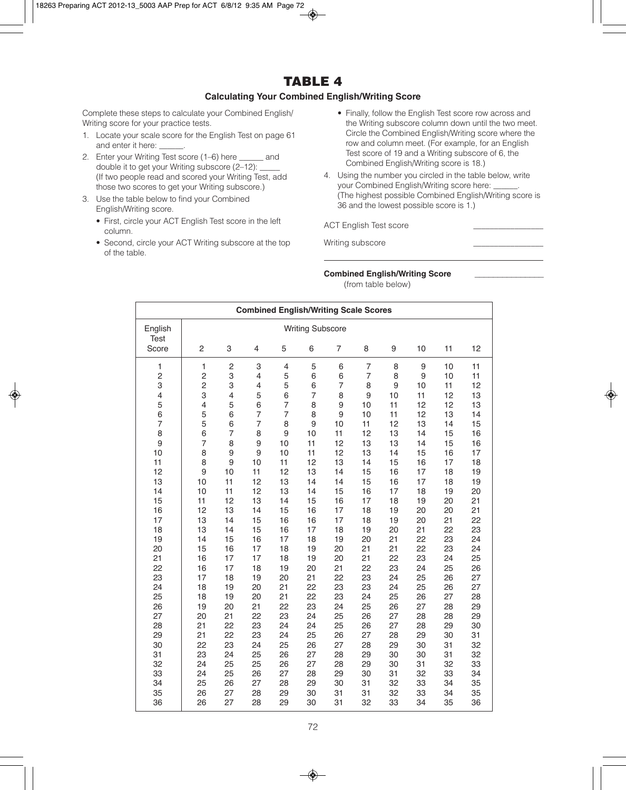## **TABLE 4**

## **Calculating Your Combined English/Writing Score**

Complete these steps to calculate your Combined English/ Writing score for your practice tests.

- 1. Locate your scale score for the English Test on page 61 and enter it here:
- 2. Enter your Writing Test score (1–6) here \_\_\_\_\_\_ and double it to get your Writing subscore (2–12): \_\_\_\_\_ (If two people read and scored your Writing Test, add those two scores to get your Writing subscore.)
- 3. Use the table below to find your Combined English/Writing score.
	- First, circle your ACT English Test score in the left column.
	- Second, circle your ACT Writing subscore at the top of the table.
- Finally, follow the English Test score row across and the Writing subscore column down until the two meet. Circle the Combined English/Writing score where the row and column meet. (For example, for an English Test score of 19 and a Writing subscore of 6, the Combined English/Writing score is 18.)
- 4. Using the number you circled in the table below, write your Combined English/Writing score here: (The highest possible Combined English/Writing score is 36 and the lowest possible score is 1.)

ACT English Test score

Writing subscore

**Combined English/Writing Score** \_\_\_\_\_\_\_\_\_\_\_\_\_\_\_

(from table below)

| <b>Combined English/Writing Scale Scores</b> |                                  |                       |                |                |                |                     |                     |          |          |          |          |
|----------------------------------------------|----------------------------------|-----------------------|----------------|----------------|----------------|---------------------|---------------------|----------|----------|----------|----------|
| English<br><b>Test</b>                       | <b>Writing Subscore</b>          |                       |                |                |                |                     |                     |          |          |          |          |
| Score                                        | $\overline{c}$                   | 3                     | 4              | 5              | 6              | 7                   | 8                   | 9        | 10       | 11       | 12       |
| 1                                            | 1                                | $\overline{c}$        | 3              | $\overline{4}$ | 5              | $\,6\,$             | $\overline{7}$      | 8        | 9        | 10       | 11       |
| $\overline{c}$<br>3                          | $\overline{c}$<br>$\overline{c}$ | 3<br>3                | 4<br>4         | 5<br>5         | 6<br>6         | 6<br>$\overline{7}$ | $\overline{7}$<br>8 | 8<br>9   | 9<br>10  | 10<br>11 | 11<br>12 |
| $\overline{\mathbf{4}}$                      | 3                                | 4                     | 5              | 6              | $\overline{7}$ | 8                   | 9                   | 10       | 11       | 12       | 13       |
| 5                                            | $\overline{\mathbf{4}}$          | 5                     | 6              | $\overline{7}$ | 8              | $\boldsymbol{9}$    | 10                  | 11       | 12       | 12       | 13       |
| 6                                            | 5                                | 6                     | $\overline{7}$ | $\overline{7}$ | 8              | 9                   | 10                  | 11       | 12       | 13       | 14       |
| $\overline{7}$                               | 5                                | 6                     | $\overline{7}$ | 8              | 9              | 10                  | 11                  | 12       | 13       | 14       | 15       |
| 8                                            | 6                                | $\overline{7}$        | 8              | 9              | 10             | 11                  | 12                  | 13       | 14       | 15       | 16       |
| 9                                            | $\overline{7}$                   | 8                     | 9              | 10             | 11             | 12                  | 13                  | 13       | 14       | 15       | 16       |
| 10<br>11                                     | 8<br>8                           | $\boldsymbol{9}$<br>9 | 9<br>10        | 10<br>11       | 11<br>12       | 12<br>13            | 13<br>14            | 14<br>15 | 15<br>16 | 16<br>17 | 17<br>18 |
| 12                                           | 9                                | 10                    | 11             | 12             | 13             | 14                  | 15                  | 16       | 17       | 18       | 19       |
| 13                                           | 10                               | 11                    | 12             | 13             | 14             | 14                  | 15                  | 16       | 17       | 18       | 19       |
| 14                                           | 10                               | 11                    | 12             | 13             | 14             | 15                  | 16                  | 17       | 18       | 19       | 20       |
| 15                                           | 11                               | 12                    | 13             | 14             | 15             | 16                  | 17                  | 18       | 19       | 20       | 21       |
| 16                                           | 12                               | 13                    | 14             | 15             | 16             | 17                  | 18                  | 19       | 20       | 20       | 21       |
| 17                                           | 13                               | 14                    | 15             | 16             | 16             | 17                  | 18                  | 19       | 20       | 21       | 22       |
| 18                                           | 13                               | 14                    | 15             | 16             | 17             | 18                  | 19                  | 20       | 21       | 22       | 23       |
| 19                                           | 14                               | 15                    | 16             | 17             | 18             | 19                  | 20                  | 21       | 22       | 23       | 24       |
| 20<br>21                                     | 15<br>16                         | 16<br>17              | 17<br>17       | 18<br>18       | 19<br>19       | 20<br>20            | 21<br>21            | 21<br>22 | 22<br>23 | 23<br>24 | 24<br>25 |
| 22                                           | 16                               | 17                    | 18             | 19             | 20             | 21                  | 22                  | 23       | 24       | 25       | 26       |
| 23                                           | 17                               | 18                    | 19             | 20             | 21             | 22                  | 23                  | 24       | 25       | 26       | 27       |
| 24                                           | 18                               | 19                    | 20             | 21             | 22             | 23                  | 23                  | 24       | 25       | 26       | 27       |
| 25                                           | 18                               | 19                    | 20             | 21             | 22             | 23                  | 24                  | 25       | 26       | 27       | 28       |
| 26                                           | 19                               | 20                    | 21             | 22             | 23             | 24                  | 25                  | 26       | 27       | 28       | 29       |
| 27                                           | 20                               | 21                    | 22             | 23             | 24             | 25                  | 26                  | 27       | 28       | 28       | 29       |
| 28                                           | 21                               | 22                    | 23             | 24             | 24             | 25                  | 26                  | 27       | 28       | 29       | 30       |
| 29                                           | 21                               | 22                    | 23             | 24             | 25             | 26                  | 27                  | 28       | 29       | 30       | 31       |
| 30                                           | 22<br>23                         | 23<br>24              | 24             | 25<br>26       | 26<br>27       | 27<br>28            | 28<br>29            | 29       | 30       | 31<br>31 | 32<br>32 |
| 31<br>32                                     | 24                               | 25                    | 25<br>25       | 26             | 27             | 28                  | 29                  | 30<br>30 | 30<br>31 | 32       | 33       |
| 33                                           | 24                               | 25                    | 26             | 27             | 28             | 29                  | 30                  | 31       | 32       | 33       | 34       |
| 34                                           | 25                               | 26                    | 27             | 28             | 29             | 30                  | 31                  | 32       | 33       | 34       | 35       |
| 35                                           | 26                               | 27                    | 28             | 29             | 30             | 31                  | 31                  | 32       | 33       | 34       | 35       |
| 36                                           | 26                               | 27                    | 28             | 29             | 30             | 31                  | 32                  | 33       | 34       | 35       | 36       |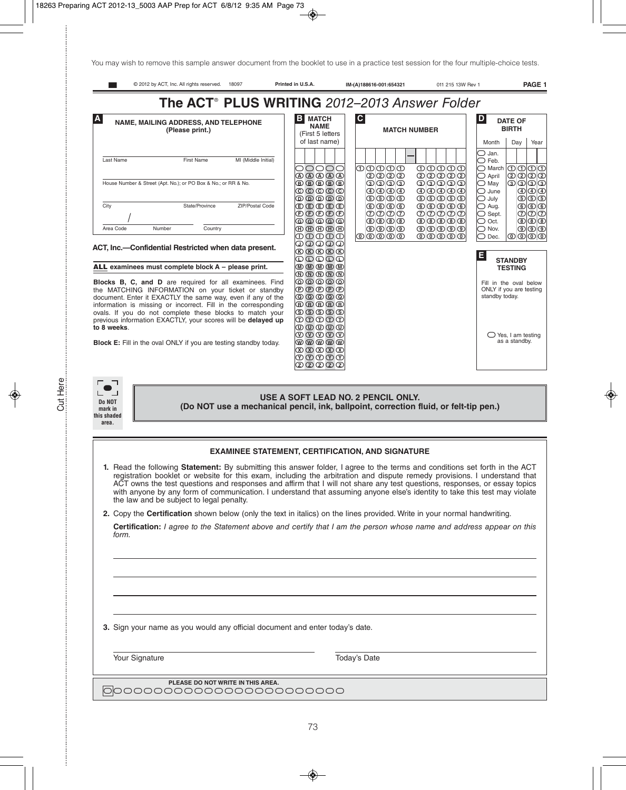| The ACT <sup>®</sup> PLUS WRITING 2012-2013 Answer Folder                                                                                                                                                                                                                                                                                                                                                                                                                                                                                                                                                                                                                                                                                                                              |                                                                                                                                                                                                                                                                                                                                                                                                                                                                                                                              |                                                                                                                                                                                                                                                                                                                                                                                                                                                                     |                                                                                                                                                                                                                                                                                                                                                                                                                                                                                                                                              |
|----------------------------------------------------------------------------------------------------------------------------------------------------------------------------------------------------------------------------------------------------------------------------------------------------------------------------------------------------------------------------------------------------------------------------------------------------------------------------------------------------------------------------------------------------------------------------------------------------------------------------------------------------------------------------------------------------------------------------------------------------------------------------------------|------------------------------------------------------------------------------------------------------------------------------------------------------------------------------------------------------------------------------------------------------------------------------------------------------------------------------------------------------------------------------------------------------------------------------------------------------------------------------------------------------------------------------|---------------------------------------------------------------------------------------------------------------------------------------------------------------------------------------------------------------------------------------------------------------------------------------------------------------------------------------------------------------------------------------------------------------------------------------------------------------------|----------------------------------------------------------------------------------------------------------------------------------------------------------------------------------------------------------------------------------------------------------------------------------------------------------------------------------------------------------------------------------------------------------------------------------------------------------------------------------------------------------------------------------------------|
| A<br><b>NAME, MAILING ADDRESS, AND TELEPHONE</b><br>(Please print.)                                                                                                                                                                                                                                                                                                                                                                                                                                                                                                                                                                                                                                                                                                                    | <b>MATCH</b><br>B<br><b>NAME</b><br>(First 5 letters)<br>of last name)                                                                                                                                                                                                                                                                                                                                                                                                                                                       | С<br><b>MATCH NUMBER</b>                                                                                                                                                                                                                                                                                                                                                                                                                                            | D<br><b>DATE OF</b><br><b>BIRTH</b><br>Day<br>Month<br>Year                                                                                                                                                                                                                                                                                                                                                                                                                                                                                  |
| Last Name<br>First Name<br>MI (Middle Initial)<br>House Number & Street (Apt. No.); or PO Box & No.; or RR & No.<br>ZIP/Postal Code<br>City<br>State/Province<br>Area Code<br>Number<br>Country<br>ACT, Inc.—Confidential Restricted when data present.<br>ALL examinees must complete block A - please print.<br>Blocks B, C, and D are required for all examinees. Find<br>the MATCHING INFORMATION on your ticket or standby<br>document. Enter it EXACTLY the same way, even if any of the<br>information is missing or incorrect. Fill in the corresponding<br>ovals. If you do not complete these blocks to match your<br>previous information EXACTLY, your scores will be delayed up<br>to 8 weeks.<br><b>Block E:</b> Fill in the oval ONLY if you are testing standby today. | 00000<br>$\textcircled{a}$ $\textcircled{a}$ $\textcircled{a}$<br>$\circledcirc\circledcirc\circledcirc$<br>©©©©©<br>$\textcircled{\tiny{D}}\textcircled{\tiny{D}}\textcircled{\tiny{D}}$<br><b>ODDDD</b><br><b>©©©©©</b><br>$\textcircled{\tiny{H}}\oplus\textcircled{\tiny{H}}\oplus\textcircled{\tiny{H}}$<br>00000<br>00000<br><b>OOOOO</b><br>OOOOO<br><b>600000</b><br>0000000<br>© © © © ©<br>ゆのののの<br>00000<br>0.0000<br>OOOOO<br>@@@@@<br><b>@@@@@</b><br><b>@@@@@</b><br><b>8</b> 8 8 8 8<br><b>00000</b><br>00000 | 0   0   0   0<br>$\textcircled{1}\textcircled{1}\textcircled{1}$<br>(2 (2 (2 <sup>(2)</sup><br>QQQQQ<br>0000<br><b>30000</b><br>$\bigcirc$ $\bigcirc$ $\bigcirc$ $\bigcirc$<br>$\bigcirc$ $\bigcirc$ $\bigcirc$ $\bigcirc$ $\bigcirc$<br>$O$ $O$ $O$<br>ூடுகெ<br>0000<br>00000<br>$O$ $O$ $O$ $O$<br>00000<br>$(D(D)$ $(D)$ $(D)$<br>$(D(D)$ $(D)$ $(D)$ $(D)$<br>$\circledcirc$<br>$\textcircled{\small{2}}\textcircled{\small{3}}$<br> 0   0   0   0<br>© © © © © | $\supset$ Jan.<br>$\bigcap$ Feb.<br> O 0 0 0<br>$\bigcirc$ March<br>$\circledcirc$ $\circledcirc$ $\circledcirc$<br>$\bigcirc$ April<br>© © ©<br>$\bigcirc$ May<br>$\circledcirc$<br>$\bigcirc$ June<br>© © © <br>$\bigcirc$ July<br>಄಄಄<br>$\bigcirc$ Aug.<br>തിതര<br>$\bigcirc$ Sept.<br>குகுக<br>$\bigcirc$ Oct.<br>ூடு<br>$\bigcirc$ Nov.<br>ൕൕൕ<br>ത<br>$\supset$ Dec.<br>Е<br><b>STANDBY</b><br><b>TESTING</b><br>Fill in the oval below<br>ONLY if you are testing<br>standby today.<br>$\bigcirc$ Yes, I am testing<br>as a standby. |

**Do NOT mark in this shaded area.**

### **USE A SOFT LEAD NO. 2 PENCIL ONLY.**

**(Do NOT use a mechanical pencil, ink, ballpoint, correction fluid, or felt-tip pen.)**

#### **EXAMINEE STATEMENT, CERTIFICATION, AND SIGNATURE**

- **1.** Read the following **Statement:** By submitting this answer folder, I agree to the terms and conditions set forth in the ACT registration booklet or website for this exam, including the arbitration and dispute remedy provisions. I understand that ACT owns the test questions and responses and affirm that I will not share any test questions, responses, or essay topics with anyone by any form of communication. I understand that assuming anyone else's identity to take this test may violate the law and be subject to legal penalty.
- **2.** Copy the **Certification** shown below (only the text in italics) on the lines provided. Write in your normal handwriting.

**Certification:** I agree to the Statement above and certify that I am the person whose name and address appear on this form.

**3.** Sign your name as you would any official document and enter today's date.

Your Signature Today's Date

**PLEASE DO NOT WRITE IN THIS AREA.** \\\\\\\\\\\\\\\\\\\\\\\\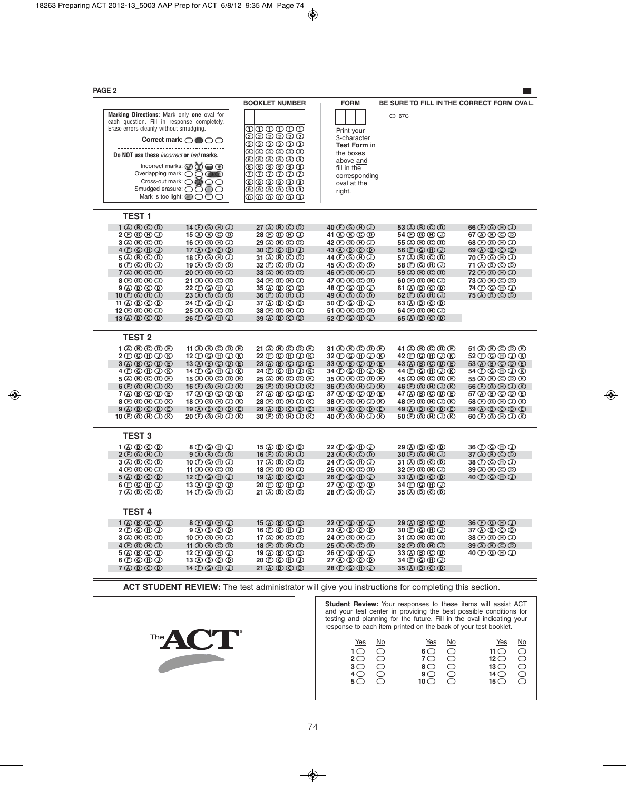**PAGE 2**

|                                                                                                                                                                                                                                                                                                                                                                                                                                                                                                                                                                                                                                                                                                                                                                                                                                                                     | <b>BOOKLET NUMBER</b>                                                                                                                                                                                                                                                                                                                                                                                                                                                                                                                                                                                                                             | <b>FORM</b>                                                                                                                                                                                                                                                                                                                                                                                                                                               |                                                                                                                                                                                                                                                                                                                                                                                                                                                                                               | BE SURE TO FILL IN THE CORRECT FORM OVAL.                                                                                                                                                                                                                                                                                                                                                        |
|---------------------------------------------------------------------------------------------------------------------------------------------------------------------------------------------------------------------------------------------------------------------------------------------------------------------------------------------------------------------------------------------------------------------------------------------------------------------------------------------------------------------------------------------------------------------------------------------------------------------------------------------------------------------------------------------------------------------------------------------------------------------------------------------------------------------------------------------------------------------|---------------------------------------------------------------------------------------------------------------------------------------------------------------------------------------------------------------------------------------------------------------------------------------------------------------------------------------------------------------------------------------------------------------------------------------------------------------------------------------------------------------------------------------------------------------------------------------------------------------------------------------------------|-----------------------------------------------------------------------------------------------------------------------------------------------------------------------------------------------------------------------------------------------------------------------------------------------------------------------------------------------------------------------------------------------------------------------------------------------------------|-----------------------------------------------------------------------------------------------------------------------------------------------------------------------------------------------------------------------------------------------------------------------------------------------------------------------------------------------------------------------------------------------------------------------------------------------------------------------------------------------|--------------------------------------------------------------------------------------------------------------------------------------------------------------------------------------------------------------------------------------------------------------------------------------------------------------------------------------------------------------------------------------------------|
| Marking Directions: Mark only one oval for<br>each question. Fill in response completely.<br>Erase errors cleanly without smudging.<br>Correct mark: $\bigcirc \bullet \bigcirc \bigcirc$<br>Do NOT use these incorrect or bad marks.                                                                                                                                                                                                                                                                                                                                                                                                                                                                                                                                                                                                                               | തിതിതിതി<br>000000<br>000000<br>000000                                                                                                                                                                                                                                                                                                                                                                                                                                                                                                                                                                                                            | Print your<br>3-character<br>Test Form in<br>the boxes                                                                                                                                                                                                                                                                                                                                                                                                    | $\circ$ 67C                                                                                                                                                                                                                                                                                                                                                                                                                                                                                   |                                                                                                                                                                                                                                                                                                                                                                                                  |
| Incorrect marks: $\bigcirc \bigotimes \bigcirc \bigcirc$<br>Overlapping mark: $\overline{O}$ O O<br>Smudged erasure: OÖOO<br>Mark is too light: @OOO                                                                                                                                                                                                                                                                                                                                                                                                                                                                                                                                                                                                                                                                                                                | <b>⑤⑤⑤⑤⑤</b><br>©©©©©©<br>のののののの<br>000000<br>$\textcircled{\textcircled{\tiny{1}}}\textcircled{\textcircled{\tiny{2}}}$<br>©©©©©                                                                                                                                                                                                                                                                                                                                                                                                                                                                                                                 | above and<br>fill in the<br>corresponding<br>oval at the<br>right.                                                                                                                                                                                                                                                                                                                                                                                        |                                                                                                                                                                                                                                                                                                                                                                                                                                                                                               |                                                                                                                                                                                                                                                                                                                                                                                                  |
| <b>TEST1</b>                                                                                                                                                                                                                                                                                                                                                                                                                                                                                                                                                                                                                                                                                                                                                                                                                                                        |                                                                                                                                                                                                                                                                                                                                                                                                                                                                                                                                                                                                                                                   |                                                                                                                                                                                                                                                                                                                                                                                                                                                           |                                                                                                                                                                                                                                                                                                                                                                                                                                                                                               |                                                                                                                                                                                                                                                                                                                                                                                                  |
| $1$ $\textcircled{1}$ $\textcircled{1}$ $\textcircled{1}$<br>$14\times 10$<br>$2\times 0\times 0$<br>15 4 ® © ®<br>$16 \oplus \textcircled{m} \oplus \textcircled{r}$<br>$4\times 10$<br>$17$ $\circledR$ $\circledR$ $\circledR$<br>18 © © H ①<br>$6\times 10$<br>70000<br>$20\times 10$<br>8 © © ⊕ ①<br>$21$ $\circledR$ $\circledR$ $\circledR$<br>$9$ $\circledR$ $\circledR$ $\circledR$<br>$22\times 10$<br>$10$ $\circ$ $\circ$ $\circ$ $\circ$ $\circ$<br>$23$ $\circledR$ $\circledR$ $\circledR$<br>$11$ (A) $\circledR$ (C) $\circledR$<br>$12\times 10$<br>$25$ $\circledR$ $\circledR$ $\circledR$<br>$13$ $\textcircled{1}$ $\textcircled{1}$ $\textcircled{1}$<br>$26\times 10$                                                                                                                                                                      | 27@@@@<br>$28 \oplus \textcircled{m} \oplus \textcircled{r}$<br>29 ④ ⑤ ⑥ ⓪<br>$30\times 10$<br>31 4 ® © ®<br>$33$ $\textcircled{1}$ $\textcircled{1}$ $\textcircled{1}$<br><b>35 40 B C D</b><br>$36\times 10$<br>37 4 B © D<br>$39$ $\textcircled{10}$ $\textcircled{10}$                                                                                                                                                                                                                                                                                                                                                                        | $40\times 10$<br>41 40 ® © ®<br>42 © © H ①<br>$43$ $\circledR$ $\circledR$ $\circledR$<br>44 © © ⊕ ①<br>45 40 40 40 40<br>$46$ $\circ$ $\circ$ $\circ$ $\circ$<br>47 40 40 40 40<br>48 ® ® ® ®<br>$49$ $\circledR$ $\circledR$ $\circledR$<br>$50$ $\circledR$ $\circledR$ $\circledR$<br>$51$ $\textcircled{1}$ $\textcircled{1}$ $\textcircled{1}$<br>$52\times 10$                                                                                     | $53$ $\circledR$ $\circledR$ $\circledR$<br>54 © © ⊕ ①<br>$55$ $\textcircled{1}$ $\textcircled{1}$ $\textcircled{1}$<br>$56\times 10$<br>57 4 ® © ®<br>58 © © H ①<br>$59$ $\circledR$ $\circledR$ $\circledR$<br>$60\times 10$<br>$61$ $\textcircled{r}$ $\textcircled{r}$ $\textcircled{r}$<br>$62\times\textcircled{m} \oplus \textcircled{m}$<br>$63$ $\textcircled{B}$ $\textcircled{D}$ $\textcircled{D}$<br>$64\times 10$<br>$65$ $\textcircled{B}$ $\textcircled{D}$ $\textcircled{D}$ | $66 \oplus \textcircled{m} \oplus \textcircled{r}$<br>67 40 40 40 40<br>$68 \oplus \textcircled{m} \oplus \textcircled{1}$<br>$69$ $\textcircled{10}$ $\textcircled{10}$<br>70 © © ⊕ ①<br>71 ④ ⑤ ⓪ ⓪<br>72 © © H ①<br>73 4 6 6 <sup>0</sup><br>74 ® ® ® ®<br>75 A B C D                                                                                                                          |
| <b>TEST 2</b>                                                                                                                                                                                                                                                                                                                                                                                                                                                                                                                                                                                                                                                                                                                                                                                                                                                       |                                                                                                                                                                                                                                                                                                                                                                                                                                                                                                                                                                                                                                                   |                                                                                                                                                                                                                                                                                                                                                                                                                                                           |                                                                                                                                                                                                                                                                                                                                                                                                                                                                                               |                                                                                                                                                                                                                                                                                                                                                                                                  |
| $1$ $0$ $0$ $0$ $0$ $0$<br>$11$ $\textcircled{1}$ $\textcircled{1}$ $\textcircled{1}$ $\textcircled{1}$<br>2 © © ⊕ ① ®<br>$12$ (F) $\circledcirc$ (F) $\circledcirc$ (K)<br>$3\t0\t0\t0\t0\t\t0$<br>$13$ $\textcircled{1}$ $\textcircled{1}$ $\textcircled{1}$ $\textcircled{1}$<br>$4 \oplus \oplus \oplus \oplus \oplus$<br>$14 \oplus \textcircled{a} \oplus \textcircled{b}$<br>$15$ $\textcircled{B}$ $\textcircled{D}$ $\textcircled{E}$<br>$6 \oplus \oplus \oplus \oplus \oplus$<br>$16 \oplus \textcircled{a} \oplus \textcircled{b} \oplus$<br>7 4 B © D E<br>$17$ $\textcircled{r}$ $\textcircled{r}$ $\textcircled{r}$ $\textcircled{r}$<br>8 © © ⊕ ① ß<br>$18 \oplus \textcircled{a} \oplus \textcircled{b}$<br>$9$ $\circledR$ $\circledR$ $\circledR$ $\circledR$<br>$19$ (a) $\circledcirc$ (c) $\circledcirc$ (e)<br>10 © © ⊕ ① ß<br>$20\times 10$ | $21$ $\textcircled{a}$ $\textcircled{b}$ $\textcircled{c}$ $\textcircled{c}$<br>$22 \oplus \oplus \oplus \oplus \oplus$<br>$23$ $\textcircled{1}$ $\textcircled{1}$ $\textcircled{1}$ $\textcircled{1}$<br>$24 \oplus \textcircled{a} \oplus \textcircled{b} \oplus$<br>$25$ $\textcircled{1}$ $\textcircled{1}$ $\textcircled{1}$ $\textcircled{1}$<br>$26 \oplus \textcircled{m} \oplus \textcircled{m}$<br>$27$ $\textcircled{r}$ $\textcircled{r}$ $\textcircled{r}$ $\textcircled{r}$<br>$28 \oplus \textcircled{a} \oplus \textcircled{b}$<br>$29$ $\textcircled{1}$ $\textcircled{1}$ $\textcircled{1}$ $\textcircled{1}$<br>30 © © ⊕ ① tO | 31 4 4 5 6 7 5 6<br>$33$ $\textcircled{1}$ $\textcircled{1}$ $\textcircled{1}$ $\textcircled{1}$<br>34 © © H ① K<br>$35$ $\textcircled{1}$ $\textcircled{1}$ $\textcircled{1}$ $\textcircled{1}$<br>$36 \oplus \textcircled{m} \oplus \textcircled{m}$<br>$37$ $\textcircled{1}$ $\textcircled{1}$ $\textcircled{1}$ $\textcircled{1}$<br>$38\times 100$<br>$39$ $\textcircled{1}$ $\textcircled{1}$ $\textcircled{1}$ $\textcircled{1}$<br>$40\times 10$ | $41$ $\textcircled{b}$ $\textcircled{c}$ $\textcircled{c}$<br>$43$ $\textcircled{1}$ $\textcircled{1}$ $\textcircled{1}$ $\textcircled{1}$<br>44 © © H ① K<br>$45$ $\textcircled{b}$ $\textcircled{c}$ $\textcircled{c}$<br>$46 \oplus \textcircled{m} \oplus \textcircled{m}$<br>$47$ $\circledR$ $\circledR$ $\circledR$ $\circledR$<br>$49$ $\textcircled{10}$ $\textcircled{10}$ $\textcircled{10}$<br>$50\times 10$                                                                      | $52$ $\circledR$ $\circledR$ $\circledR$ $\circledR$<br>$53$ $\textcircled{1}$ $\textcircled{1}$ $\textcircled{1}$ $\textcircled{1}$<br>54 © © ⊕ ① tO<br>$56\times 10$ $\times$ $\times$<br>$57$ $\textcircled{1}$ $\textcircled{1}$ $\textcircled{1}$ $\textcircled{1}$<br><b>58 © © ⊕ ① ⑥</b><br>$59$ $\textcircled{1}$ $\textcircled{1}$ $\textcircled{1}$ $\textcircled{1}$<br>$60\times 10$ |
| <b>TEST<sub>3</sub></b>                                                                                                                                                                                                                                                                                                                                                                                                                                                                                                                                                                                                                                                                                                                                                                                                                                             |                                                                                                                                                                                                                                                                                                                                                                                                                                                                                                                                                                                                                                                   |                                                                                                                                                                                                                                                                                                                                                                                                                                                           |                                                                                                                                                                                                                                                                                                                                                                                                                                                                                               |                                                                                                                                                                                                                                                                                                                                                                                                  |
| $1$ $\circledR$ $\circledR$ $\circledR$<br>$8 \oplus \textcircled{m} \oplus \textcircled{r}$<br>$2\times 0\times 0$<br>$9$ $\circledR$ $\circledR$ $\circledR$<br>$3$ (A) $(B)$ (C) $(D)$<br>$10$ (E) $@$ (H) $@$<br>$11$ $\textcircled{1}$ $\textcircled{1}$ $\textcircled{1}$<br>$5\t00\t00$<br>$12 \oplus \textcircled{a} \oplus \textcircled{b}$<br>$6\times 10$<br>13 4 ® © ®<br>14 ® ® ® ®                                                                                                                                                                                                                                                                                                                                                                                                                                                                    | $15 \textcircled{a} \textcircled{b} \textcircled{c}$<br>$16 \oplus \textcircled{m} \oplus \textcircled{1}$<br>$17$ $\circledR$ $\circledR$ $\circledR$<br>$18 \oplus \textcircled{m} \oplus \textcircled{1}$<br>$19$ $\circledR$ $\circledR$ $\circledR$<br>$20\times 10$<br>21 ④ ⑤ ⓒ ⓪                                                                                                                                                                                                                                                                                                                                                           | $22\times 10$<br>$23$ $\circledR$ $\circledR$ $\circledR$<br>$24$ (F) $@$ (H) $@$<br>$25 \textcircled{a} \textcircled{b} \textcircled{c}$<br>$26 \oplus \textcircled{m} \oplus \textcircled{r}$<br>$27$ $\circledR$ $\circledR$ $\circledR$<br>$28 \oplus \textcircled{m} \oplus \textcircled{r}$                                                                                                                                                         | $29$ $\circledR$ $\circledR$ $\circledR$<br>$30\times 10$<br>31 4 4 5 4 7 9 7<br>32 © © H ①<br>$33$ $\textcircled{1}$ $\textcircled{1}$ $\textcircled{1}$<br>$35$ $\textcircled{1}$ $\textcircled{1}$ $\textcircled{1}$                                                                                                                                                                                                                                                                       | 36 © © ⊕ ①<br>37 4 ® © ®<br>38 © © ⊕ ①                                                                                                                                                                                                                                                                                                                                                           |
| <b>TEST 4</b>                                                                                                                                                                                                                                                                                                                                                                                                                                                                                                                                                                                                                                                                                                                                                                                                                                                       |                                                                                                                                                                                                                                                                                                                                                                                                                                                                                                                                                                                                                                                   |                                                                                                                                                                                                                                                                                                                                                                                                                                                           |                                                                                                                                                                                                                                                                                                                                                                                                                                                                                               |                                                                                                                                                                                                                                                                                                                                                                                                  |
| 1@@@@<br>$8\times 10$<br>$2\times 0\times 0$<br>$9$ $\circledR$ $\circledR$ $\circledR$<br>$3\t0\t0\t0\t0$<br>$10\times 10$<br>$4\textcircled{F} \oplus \textcircled{H} \oplus$<br>$11$ $\textcircled{b}$ $\textcircled{c}$ $\textcircled{c}$<br>$5\t0\t0\t0\t0$<br>6 © © ⊕ ①<br>$14 \oplus \textcircled{a} \oplus \textcircled{b}$                                                                                                                                                                                                                                                                                                                                                                                                                                                                                                                                 | 15@@@@<br>$16 \oplus \textcircled{m} \oplus \textcircled{r}$<br>17 4 ® © ®<br>$18 \oplus \textcircled{m} \oplus \textcircled{r}$<br>$19$ $\textcircled{r}$ $\textcircled{r}$ $\textcircled{r}$<br>$20\times 10$<br>21 4 ® © ®                                                                                                                                                                                                                                                                                                                                                                                                                     | $22 \oplus \textcircled{a} \oplus \textcircled{b}$<br>$23$ $\circledR$ $\circledR$ $\circledR$<br>$24$ (F) $@$ (H) $@$<br>$25 \textcircled{a} \textcircled{b} \textcircled{c}$<br>$26$ (F) $@$ (H) $@$<br>$27$ (A) (B) (C) (D)<br>$28 \oplus \textcircled{4} \oplus \textcircled{1}$                                                                                                                                                                      | $29$ $\circledR$ $\circledR$ $\circledR$<br>$30\times 10$<br>$31$ (A) (B) (C) (D)<br>$32\times 100\times 100$<br>$33 \textcircled{1} \textcircled{1} \textcircled{1}$<br>34 © © ⊕ ①<br>$35$ $\textcircled{1}$ $\textcircled{1}$ $\textcircled{1}$                                                                                                                                                                                                                                             | 36 © © H ①<br>37 40 40 40 40<br>38 © © ⊕ ①<br>$39$ $\textcircled{10}$ $\textcircled{10}$<br>40 © © ⊕ ①                                                                                                                                                                                                                                                                                           |

**ACT STUDENT REVIEW:** The test administrator will give you instructions for completing this section.



 $\bigcirc$  $\bigcirc$  $\bigcirc$  $\bigcirc$  $\bigcirc$  $\bigcirc$  $\bigcirc$  $\bigcirc$  $\bigcirc$  $\bigcirc$  $\bigcirc$ 6〇<br>7〇  $\bigcirc$ \ **8**  $10$  $\bigcirc$  $\bigcirc$  $\bigcirc$  $\bigcirc$  $\bigcirc$  $\bigcirc$  $\bigcirc$  $\bigcirc$  $\bigcirc$  $\bigcirc$  $\bigcirc$  $\bigcirc$  $\bigcirc$  $\bigcirc$  $\bigcirc$  $\bigcirc$ **Student Review:** Your responses to these items will assist ACT and your test center in providing the best possible conditions for testing and planning for the future. Fill in the oval indicating your response to each item printed on the back of your test booklet. **1 2 3 4 5 7 9 11 12 13 14 15** Yes No Yes No Yes No

|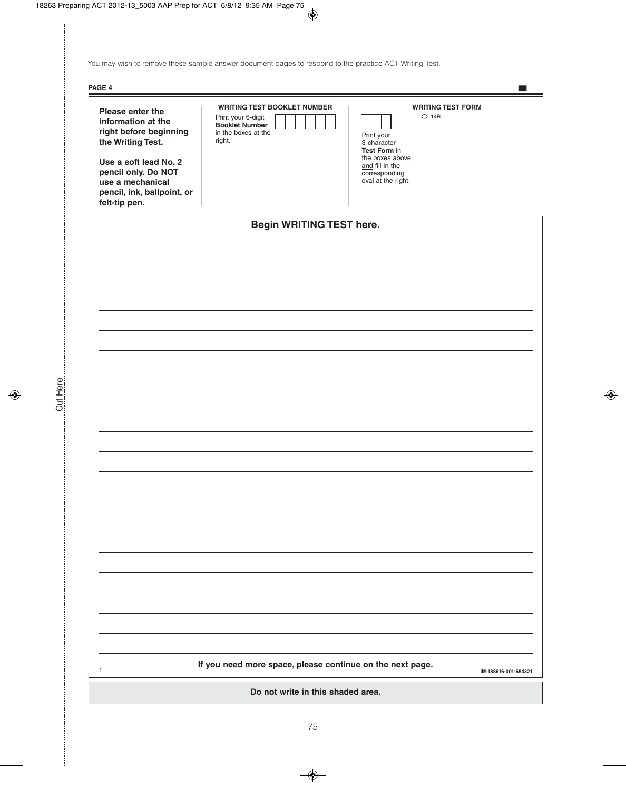You may wish to remove these sample answer document pages to respond to the practice ACT Writing Test.

|

### **PAGE 4**

| Please enter the<br>information at the<br>right before beginning<br>the Writing Test.<br>Use a soft lead No. 2<br>pencil only. Do NOT<br>use a mechanical<br>pencil, ink, ballpoint, or<br>felt-tip pen. | <b>WRITING TEST BOOKLET NUMBER</b><br>Print your 6-digit<br><b>Booklet Number</b><br>in the boxes at the<br>right. | <b>WRITING TEST FORM</b><br>$\bigcirc$ 14R<br>Print your<br>3-character<br>Test Form in<br>the boxes above<br>and fill in the<br>corresponding<br>oval at the right. |  |
|----------------------------------------------------------------------------------------------------------------------------------------------------------------------------------------------------------|--------------------------------------------------------------------------------------------------------------------|----------------------------------------------------------------------------------------------------------------------------------------------------------------------|--|
|                                                                                                                                                                                                          | <b>Begin WRITING TEST here.</b>                                                                                    |                                                                                                                                                                      |  |
|                                                                                                                                                                                                          |                                                                                                                    |                                                                                                                                                                      |  |
|                                                                                                                                                                                                          |                                                                                                                    |                                                                                                                                                                      |  |
|                                                                                                                                                                                                          |                                                                                                                    |                                                                                                                                                                      |  |
|                                                                                                                                                                                                          |                                                                                                                    |                                                                                                                                                                      |  |
|                                                                                                                                                                                                          |                                                                                                                    |                                                                                                                                                                      |  |
|                                                                                                                                                                                                          |                                                                                                                    |                                                                                                                                                                      |  |
|                                                                                                                                                                                                          |                                                                                                                    |                                                                                                                                                                      |  |
|                                                                                                                                                                                                          |                                                                                                                    |                                                                                                                                                                      |  |
|                                                                                                                                                                                                          |                                                                                                                    |                                                                                                                                                                      |  |
|                                                                                                                                                                                                          |                                                                                                                    |                                                                                                                                                                      |  |
|                                                                                                                                                                                                          |                                                                                                                    |                                                                                                                                                                      |  |
|                                                                                                                                                                                                          |                                                                                                                    |                                                                                                                                                                      |  |
|                                                                                                                                                                                                          |                                                                                                                    |                                                                                                                                                                      |  |
|                                                                                                                                                                                                          |                                                                                                                    |                                                                                                                                                                      |  |
|                                                                                                                                                                                                          |                                                                                                                    |                                                                                                                                                                      |  |
|                                                                                                                                                                                                          |                                                                                                                    |                                                                                                                                                                      |  |
|                                                                                                                                                                                                          |                                                                                                                    |                                                                                                                                                                      |  |
|                                                                                                                                                                                                          |                                                                                                                    |                                                                                                                                                                      |  |
|                                                                                                                                                                                                          |                                                                                                                    |                                                                                                                                                                      |  |
|                                                                                                                                                                                                          |                                                                                                                    |                                                                                                                                                                      |  |
|                                                                                                                                                                                                          |                                                                                                                    |                                                                                                                                                                      |  |
|                                                                                                                                                                                                          |                                                                                                                    |                                                                                                                                                                      |  |
| $\mathbf{1}$                                                                                                                                                                                             | If you need more space, please continue on the next page.                                                          | IM-188616-001:654321                                                                                                                                                 |  |
|                                                                                                                                                                                                          | Do not write in this shaded area.                                                                                  |                                                                                                                                                                      |  |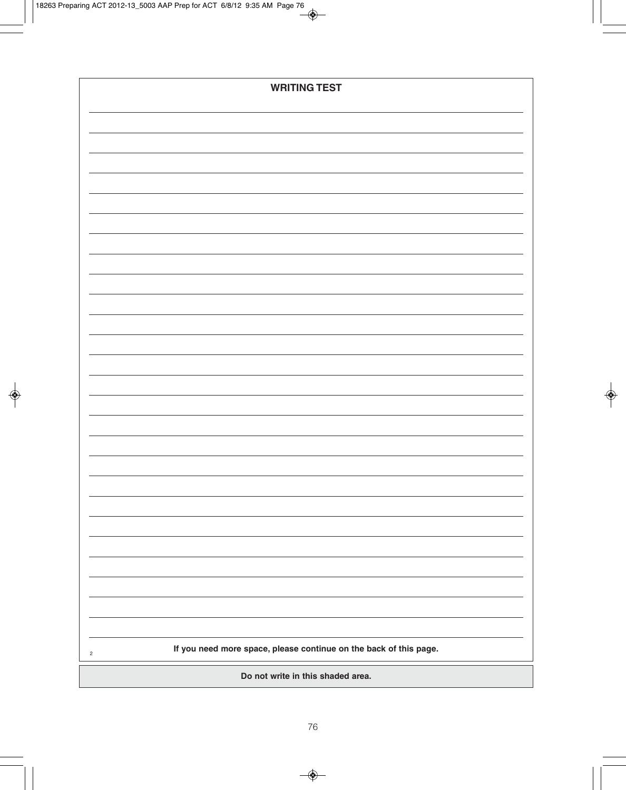| <b>WRITING TEST</b>                                                                 |  |
|-------------------------------------------------------------------------------------|--|
|                                                                                     |  |
|                                                                                     |  |
|                                                                                     |  |
|                                                                                     |  |
|                                                                                     |  |
|                                                                                     |  |
|                                                                                     |  |
|                                                                                     |  |
|                                                                                     |  |
|                                                                                     |  |
|                                                                                     |  |
|                                                                                     |  |
|                                                                                     |  |
|                                                                                     |  |
|                                                                                     |  |
|                                                                                     |  |
|                                                                                     |  |
|                                                                                     |  |
|                                                                                     |  |
|                                                                                     |  |
|                                                                                     |  |
|                                                                                     |  |
|                                                                                     |  |
|                                                                                     |  |
|                                                                                     |  |
|                                                                                     |  |
| If you need more space, please continue on the back of this page.<br>$\overline{c}$ |  |
| Do not write in this shaded area.                                                   |  |

ı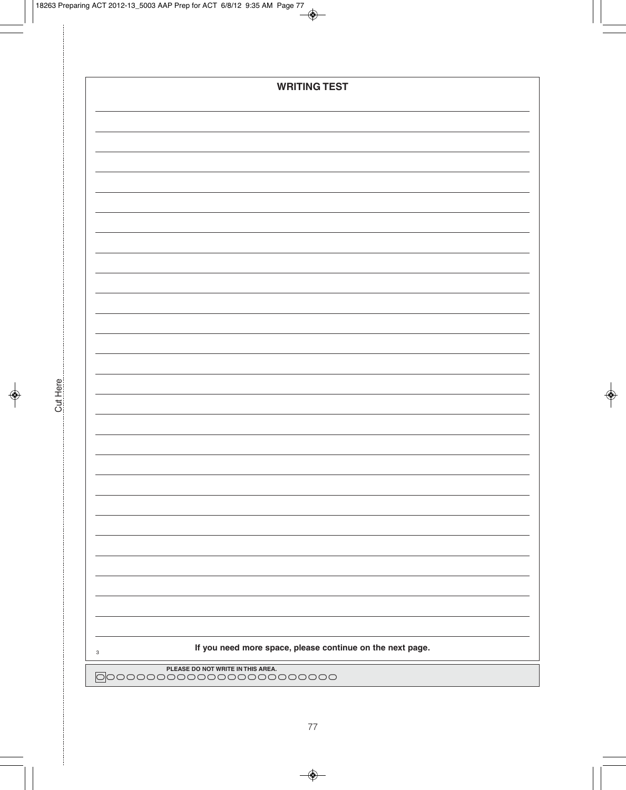| <b>WRITING TEST</b>                                                                    |
|----------------------------------------------------------------------------------------|
|                                                                                        |
|                                                                                        |
|                                                                                        |
|                                                                                        |
|                                                                                        |
|                                                                                        |
|                                                                                        |
|                                                                                        |
|                                                                                        |
|                                                                                        |
|                                                                                        |
|                                                                                        |
|                                                                                        |
|                                                                                        |
|                                                                                        |
|                                                                                        |
|                                                                                        |
|                                                                                        |
|                                                                                        |
|                                                                                        |
|                                                                                        |
|                                                                                        |
|                                                                                        |
|                                                                                        |
|                                                                                        |
|                                                                                        |
|                                                                                        |
|                                                                                        |
|                                                                                        |
|                                                                                        |
|                                                                                        |
|                                                                                        |
|                                                                                        |
|                                                                                        |
|                                                                                        |
|                                                                                        |
|                                                                                        |
|                                                                                        |
|                                                                                        |
| If you need more space, please continue on the next page.<br>$\ensuremath{\mathsf{3}}$ |
| PLEASE DO NOT WRITE IN THIS AREA.                                                      |
| 00000000000000000000000                                                                |

Cut Here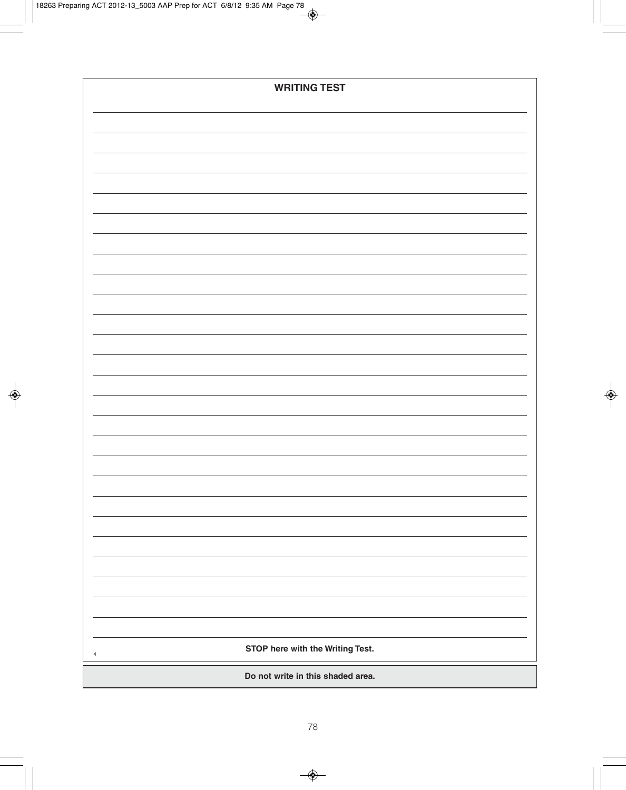| <b>WRITING TEST</b>                                |
|----------------------------------------------------|
|                                                    |
|                                                    |
|                                                    |
|                                                    |
|                                                    |
|                                                    |
|                                                    |
|                                                    |
|                                                    |
|                                                    |
|                                                    |
|                                                    |
|                                                    |
|                                                    |
|                                                    |
|                                                    |
|                                                    |
|                                                    |
|                                                    |
|                                                    |
|                                                    |
|                                                    |
|                                                    |
|                                                    |
|                                                    |
|                                                    |
|                                                    |
|                                                    |
|                                                    |
| STOP here with the Writing Test.<br>$\overline{4}$ |
| Do not write in this shaded area.                  |